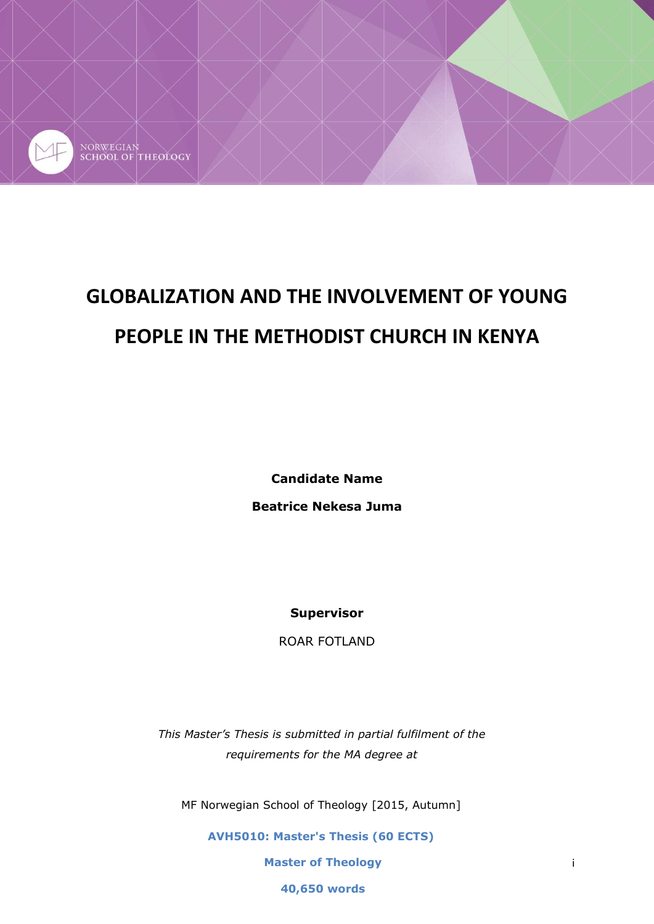

# **GLOBALIZATION AND THE INVOLVEMENT OF YOUNG PEOPLE IN THE METHODIST CHURCH IN KENYA**

**Candidate Name Beatrice Nekesa Juma**

**Supervisor**

ROAR FOTLAND

*This Master's Thesis is submitted in partial fulfilment of the requirements for the MA degree at*

MF Norwegian School of Theology [2015, Autumn]

**AVH5010: Master's Thesis (60 ECTS)**

**Master of Theology**

**40,650 words**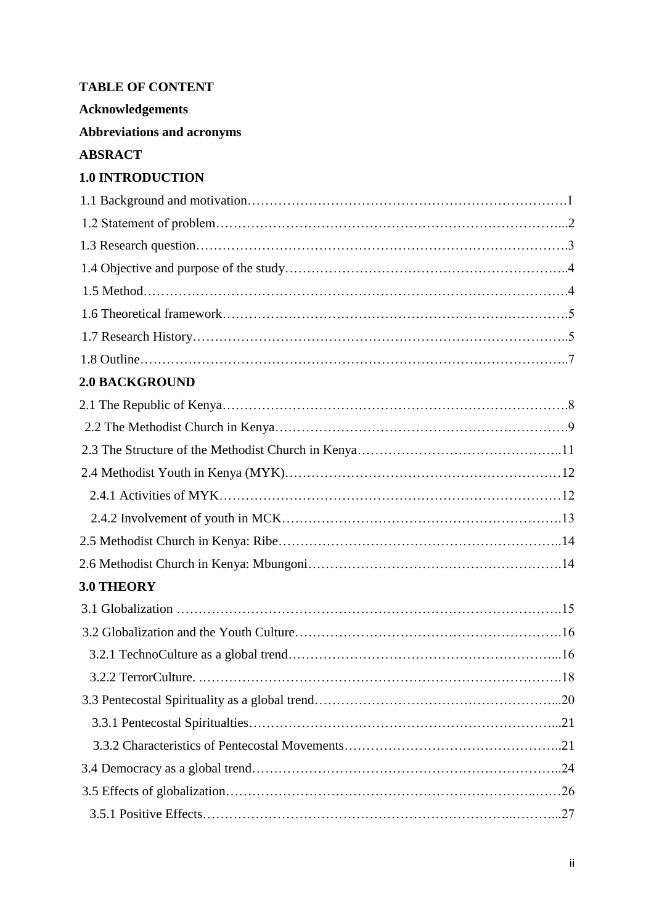# **TABLE OF CONTENT**

**Acknowledgements** 

**Abbreviations and acronyms**

# **ABSRACT**

# **1.0 INTRODUCTION**

| <b>2.0 BACKGROUND</b> |     |
|-----------------------|-----|
|                       |     |
|                       |     |
|                       |     |
|                       |     |
|                       |     |
|                       |     |
|                       |     |
|                       |     |
| <b>3.0 THEORY</b>     |     |
|                       |     |
|                       |     |
|                       |     |
| 3.2.2 TerrorCulture.  | .18 |
|                       |     |
|                       |     |
|                       |     |
|                       |     |
|                       |     |
|                       |     |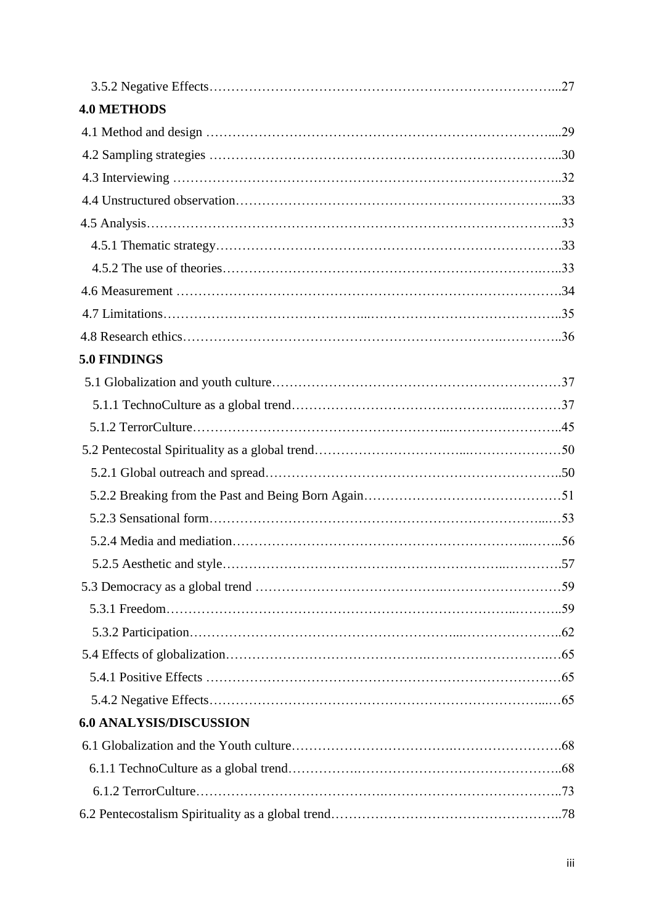| <b>4.0 METHODS</b>             |  |
|--------------------------------|--|
|                                |  |
|                                |  |
|                                |  |
|                                |  |
|                                |  |
|                                |  |
|                                |  |
|                                |  |
|                                |  |
|                                |  |
| 5.0 FINDINGS                   |  |
|                                |  |
|                                |  |
|                                |  |
|                                |  |
|                                |  |
|                                |  |
|                                |  |
|                                |  |
|                                |  |
|                                |  |
|                                |  |
|                                |  |
|                                |  |
|                                |  |
|                                |  |
| <b>6.0 ANALYSIS/DISCUSSION</b> |  |
|                                |  |
|                                |  |
|                                |  |
|                                |  |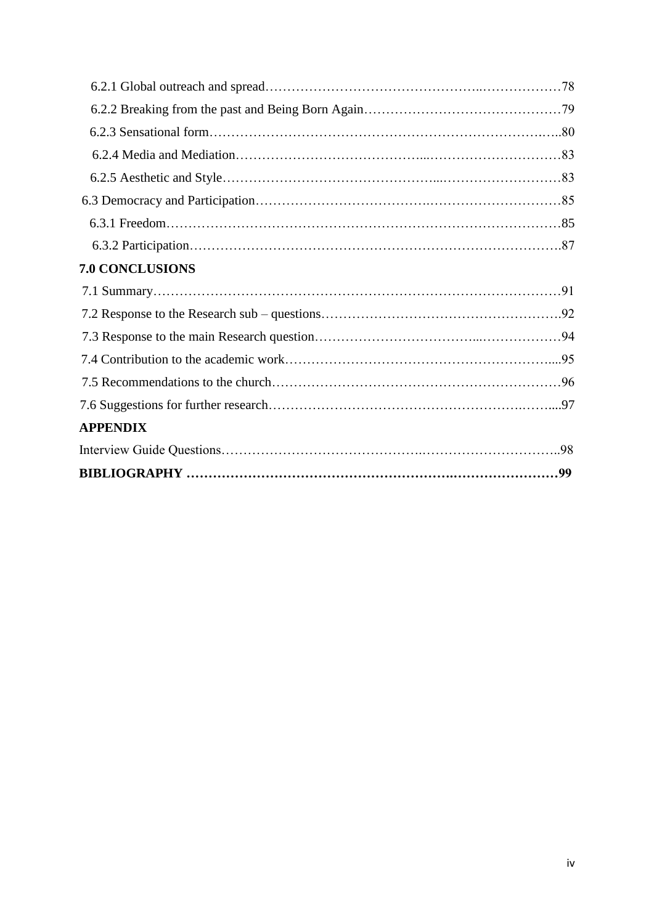| <b>7.0 CONCLUSIONS</b> |  |  |
|------------------------|--|--|
|                        |  |  |
|                        |  |  |
|                        |  |  |
|                        |  |  |
|                        |  |  |
|                        |  |  |
| <b>APPENDIX</b>        |  |  |
|                        |  |  |
|                        |  |  |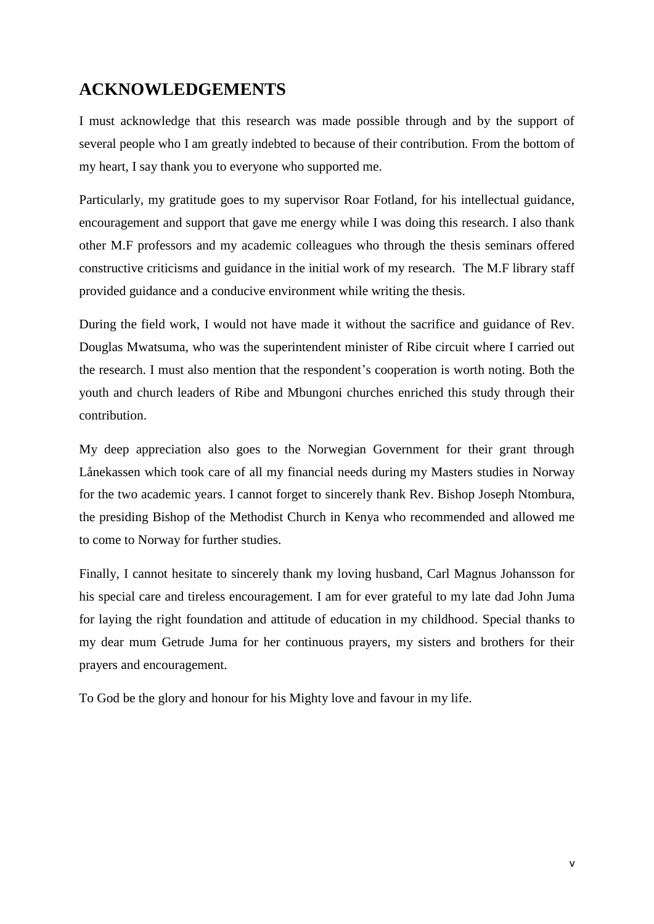# **ACKNOWLEDGEMENTS**

I must acknowledge that this research was made possible through and by the support of several people who I am greatly indebted to because of their contribution. From the bottom of my heart, I say thank you to everyone who supported me.

Particularly, my gratitude goes to my supervisor Roar Fotland, for his intellectual guidance, encouragement and support that gave me energy while I was doing this research. I also thank other M.F professors and my academic colleagues who through the thesis seminars offered constructive criticisms and guidance in the initial work of my research. The M.F library staff provided guidance and a conducive environment while writing the thesis.

During the field work, I would not have made it without the sacrifice and guidance of Rev. Douglas Mwatsuma, who was the superintendent minister of Ribe circuit where I carried out the research. I must also mention that the respondent's cooperation is worth noting. Both the youth and church leaders of Ribe and Mbungoni churches enriched this study through their contribution.

My deep appreciation also goes to the Norwegian Government for their grant through Lånekassen which took care of all my financial needs during my Masters studies in Norway for the two academic years. I cannot forget to sincerely thank Rev. Bishop Joseph Ntombura, the presiding Bishop of the Methodist Church in Kenya who recommended and allowed me to come to Norway for further studies.

Finally, I cannot hesitate to sincerely thank my loving husband, Carl Magnus Johansson for his special care and tireless encouragement. I am for ever grateful to my late dad John Juma for laying the right foundation and attitude of education in my childhood. Special thanks to my dear mum Getrude Juma for her continuous prayers, my sisters and brothers for their prayers and encouragement.

To God be the glory and honour for his Mighty love and favour in my life.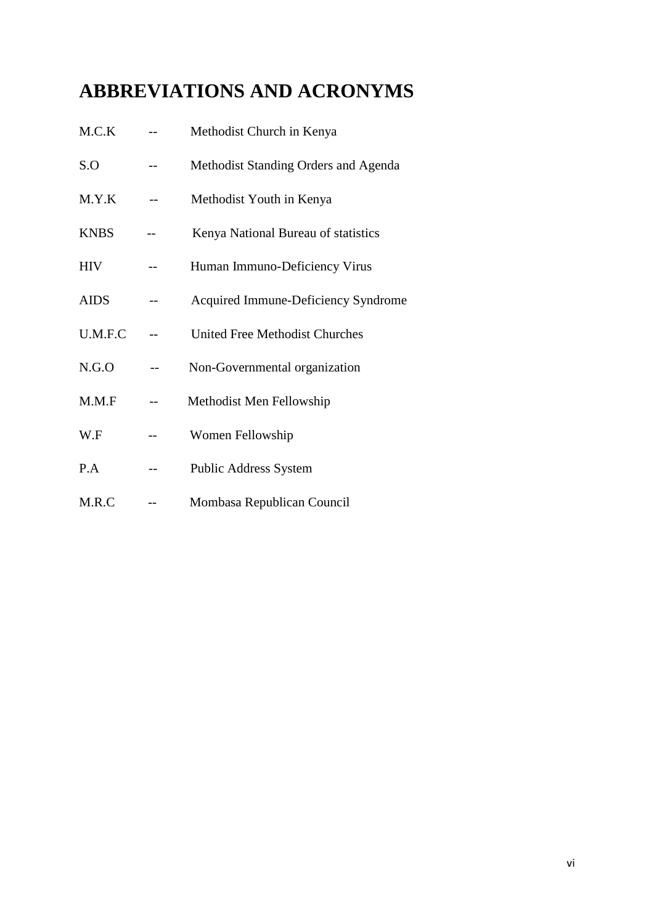# **ABBREVIATIONS AND ACRONYMS**

| M.C.K       | Methodist Church in Kenya                  |
|-------------|--------------------------------------------|
| S.O         | Methodist Standing Orders and Agenda       |
| M.Y.K       | Methodist Youth in Kenya                   |
| <b>KNBS</b> | Kenya National Bureau of statistics        |
| <b>HIV</b>  | Human Immuno-Deficiency Virus              |
| <b>AIDS</b> | <b>Acquired Immune-Deficiency Syndrome</b> |
| U.M.F.C     | <b>United Free Methodist Churches</b>      |
| N.G.O       | Non-Governmental organization              |
| M.M.F       | Methodist Men Fellowship                   |
| W.F         | Women Fellowship                           |
| P.A         | <b>Public Address System</b>               |
| M.R.C       | Mombasa Republican Council                 |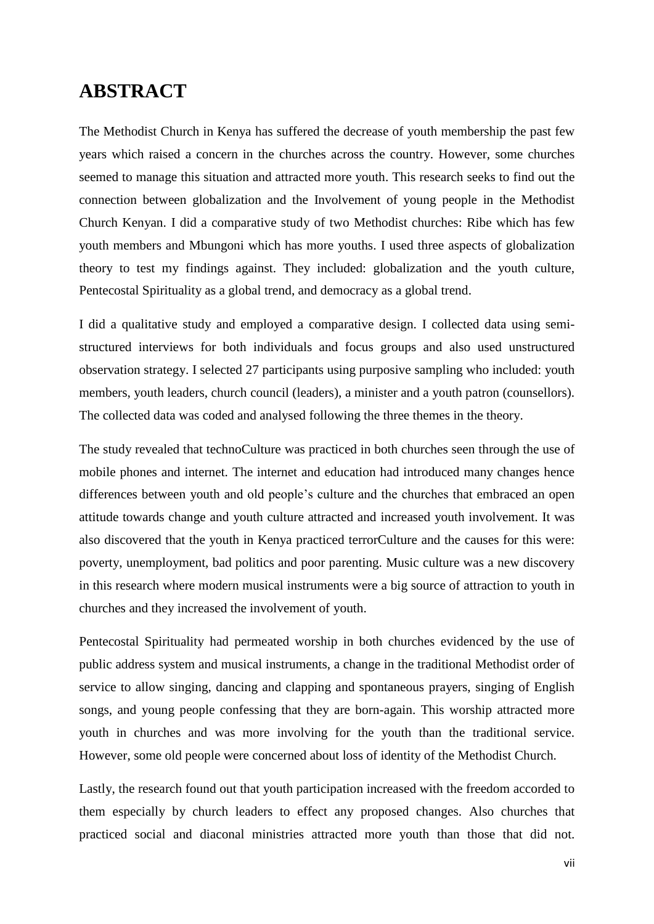# **ABSTRACT**

The Methodist Church in Kenya has suffered the decrease of youth membership the past few years which raised a concern in the churches across the country. However, some churches seemed to manage this situation and attracted more youth. This research seeks to find out the connection between globalization and the Involvement of young people in the Methodist Church Kenyan. I did a comparative study of two Methodist churches: Ribe which has few youth members and Mbungoni which has more youths. I used three aspects of globalization theory to test my findings against. They included: globalization and the youth culture, Pentecostal Spirituality as a global trend, and democracy as a global trend.

I did a qualitative study and employed a comparative design. I collected data using semistructured interviews for both individuals and focus groups and also used unstructured observation strategy. I selected 27 participants using purposive sampling who included: youth members, youth leaders, church council (leaders), a minister and a youth patron (counsellors). The collected data was coded and analysed following the three themes in the theory.

The study revealed that technoCulture was practiced in both churches seen through the use of mobile phones and internet. The internet and education had introduced many changes hence differences between youth and old people's culture and the churches that embraced an open attitude towards change and youth culture attracted and increased youth involvement. It was also discovered that the youth in Kenya practiced terrorCulture and the causes for this were: poverty, unemployment, bad politics and poor parenting. Music culture was a new discovery in this research where modern musical instruments were a big source of attraction to youth in churches and they increased the involvement of youth.

Pentecostal Spirituality had permeated worship in both churches evidenced by the use of public address system and musical instruments, a change in the traditional Methodist order of service to allow singing, dancing and clapping and spontaneous prayers, singing of English songs, and young people confessing that they are born-again. This worship attracted more youth in churches and was more involving for the youth than the traditional service. However, some old people were concerned about loss of identity of the Methodist Church.

Lastly, the research found out that youth participation increased with the freedom accorded to them especially by church leaders to effect any proposed changes. Also churches that practiced social and diaconal ministries attracted more youth than those that did not.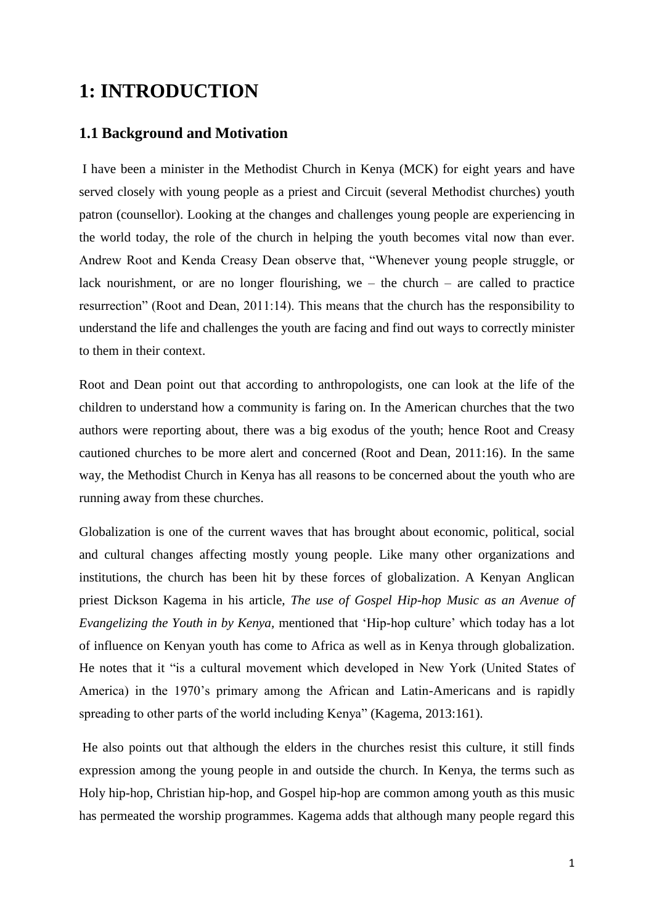# **1: INTRODUCTION**

# **1.1 Background and Motivation**

I have been a minister in the Methodist Church in Kenya (MCK) for eight years and have served closely with young people as a priest and Circuit (several Methodist churches) youth patron (counsellor). Looking at the changes and challenges young people are experiencing in the world today, the role of the church in helping the youth becomes vital now than ever. Andrew Root and Kenda Creasy Dean observe that, "Whenever young people struggle, or lack nourishment, or are no longer flourishing, we – the church – are called to practice resurrection" (Root and Dean, 2011:14). This means that the church has the responsibility to understand the life and challenges the youth are facing and find out ways to correctly minister to them in their context.

Root and Dean point out that according to anthropologists, one can look at the life of the children to understand how a community is faring on. In the American churches that the two authors were reporting about, there was a big exodus of the youth; hence Root and Creasy cautioned churches to be more alert and concerned (Root and Dean, 2011:16). In the same way, the Methodist Church in Kenya has all reasons to be concerned about the youth who are running away from these churches.

Globalization is one of the current waves that has brought about economic, political, social and cultural changes affecting mostly young people. Like many other organizations and institutions, the church has been hit by these forces of globalization. A Kenyan Anglican priest Dickson Kagema in his article, *The use of Gospel Hip-hop Music as an Avenue of Evangelizing the Youth in by Kenya,* mentioned that 'Hip-hop culture' which today has a lot of influence on Kenyan youth has come to Africa as well as in Kenya through globalization. He notes that it "is a cultural movement which developed in New York (United States of America) in the 1970's primary among the African and Latin-Americans and is rapidly spreading to other parts of the world including Kenya" (Kagema, 2013:161).

He also points out that although the elders in the churches resist this culture, it still finds expression among the young people in and outside the church. In Kenya, the terms such as Holy hip-hop, Christian hip-hop, and Gospel hip-hop are common among youth as this music has permeated the worship programmes. Kagema adds that although many people regard this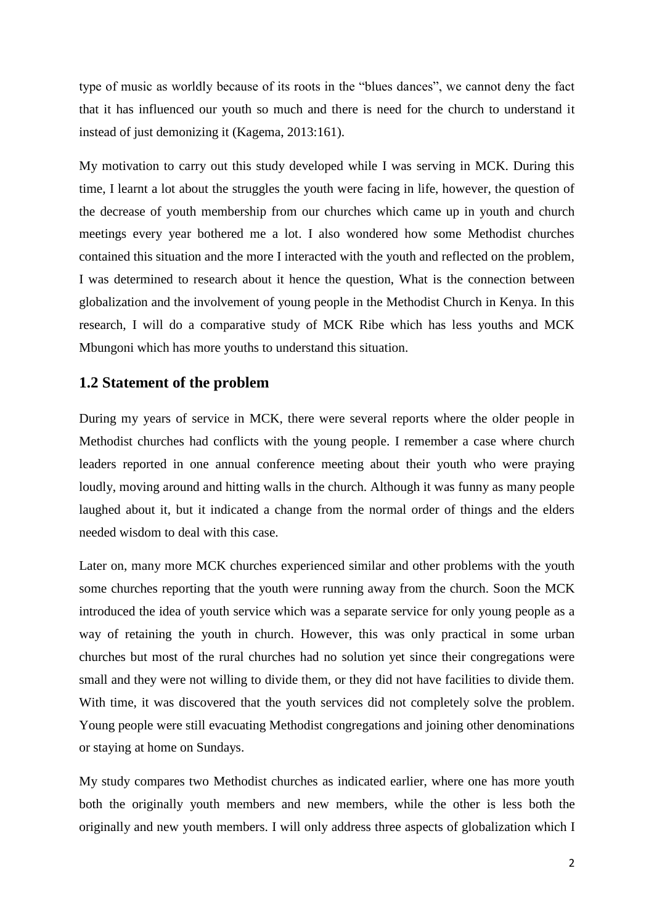type of music as worldly because of its roots in the "blues dances", we cannot deny the fact that it has influenced our youth so much and there is need for the church to understand it instead of just demonizing it (Kagema, 2013:161).

My motivation to carry out this study developed while I was serving in MCK. During this time, I learnt a lot about the struggles the youth were facing in life, however, the question of the decrease of youth membership from our churches which came up in youth and church meetings every year bothered me a lot. I also wondered how some Methodist churches contained this situation and the more I interacted with the youth and reflected on the problem, I was determined to research about it hence the question, What is the connection between globalization and the involvement of young people in the Methodist Church in Kenya. In this research, I will do a comparative study of MCK Ribe which has less youths and MCK Mbungoni which has more youths to understand this situation.

#### **1.2 Statement of the problem**

During my years of service in MCK, there were several reports where the older people in Methodist churches had conflicts with the young people. I remember a case where church leaders reported in one annual conference meeting about their youth who were praying loudly, moving around and hitting walls in the church. Although it was funny as many people laughed about it, but it indicated a change from the normal order of things and the elders needed wisdom to deal with this case.

Later on, many more MCK churches experienced similar and other problems with the youth some churches reporting that the youth were running away from the church. Soon the MCK introduced the idea of youth service which was a separate service for only young people as a way of retaining the youth in church. However, this was only practical in some urban churches but most of the rural churches had no solution yet since their congregations were small and they were not willing to divide them, or they did not have facilities to divide them. With time, it was discovered that the youth services did not completely solve the problem. Young people were still evacuating Methodist congregations and joining other denominations or staying at home on Sundays.

My study compares two Methodist churches as indicated earlier, where one has more youth both the originally youth members and new members, while the other is less both the originally and new youth members. I will only address three aspects of globalization which I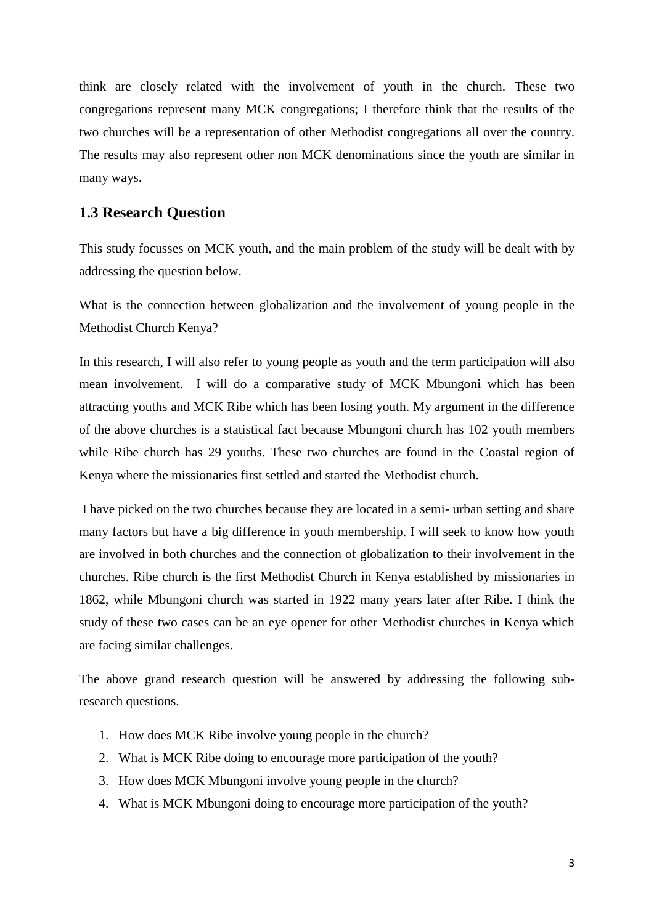think are closely related with the involvement of youth in the church. These two congregations represent many MCK congregations; I therefore think that the results of the two churches will be a representation of other Methodist congregations all over the country. The results may also represent other non MCK denominations since the youth are similar in many ways.

### **1.3 Research Question**

This study focusses on MCK youth, and the main problem of the study will be dealt with by addressing the question below.

What is the connection between globalization and the involvement of young people in the Methodist Church Kenya?

In this research, I will also refer to young people as youth and the term participation will also mean involvement. I will do a comparative study of MCK Mbungoni which has been attracting youths and MCK Ribe which has been losing youth. My argument in the difference of the above churches is a statistical fact because Mbungoni church has 102 youth members while Ribe church has 29 youths. These two churches are found in the Coastal region of Kenya where the missionaries first settled and started the Methodist church.

I have picked on the two churches because they are located in a semi- urban setting and share many factors but have a big difference in youth membership. I will seek to know how youth are involved in both churches and the connection of globalization to their involvement in the churches. Ribe church is the first Methodist Church in Kenya established by missionaries in 1862, while Mbungoni church was started in 1922 many years later after Ribe. I think the study of these two cases can be an eye opener for other Methodist churches in Kenya which are facing similar challenges.

The above grand research question will be answered by addressing the following subresearch questions.

- 1. How does MCK Ribe involve young people in the church?
- 2. What is MCK Ribe doing to encourage more participation of the youth?
- 3. How does MCK Mbungoni involve young people in the church?
- 4. What is MCK Mbungoni doing to encourage more participation of the youth?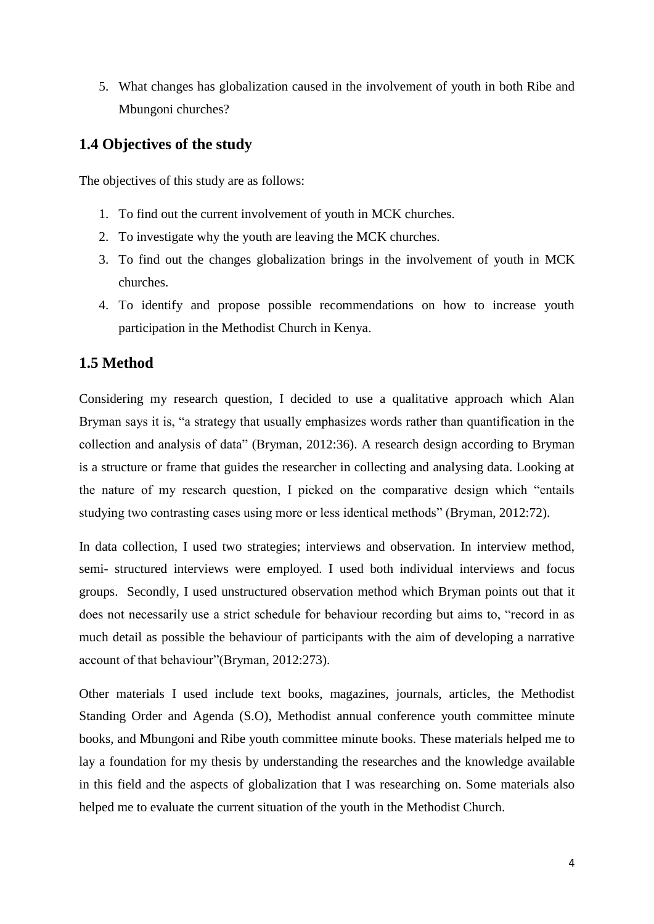5. What changes has globalization caused in the involvement of youth in both Ribe and Mbungoni churches?

# **1.4 Objectives of the study**

The objectives of this study are as follows:

- 1. To find out the current involvement of youth in MCK churches.
- 2. To investigate why the youth are leaving the MCK churches.
- 3. To find out the changes globalization brings in the involvement of youth in MCK churches.
- 4. To identify and propose possible recommendations on how to increase youth participation in the Methodist Church in Kenya.

# **1.5 Method**

Considering my research question, I decided to use a qualitative approach which Alan Bryman says it is, "a strategy that usually emphasizes words rather than quantification in the collection and analysis of data" (Bryman, 2012:36). A research design according to Bryman is a structure or frame that guides the researcher in collecting and analysing data. Looking at the nature of my research question, I picked on the comparative design which "entails studying two contrasting cases using more or less identical methods" (Bryman, 2012:72).

In data collection, I used two strategies; interviews and observation. In interview method, semi- structured interviews were employed. I used both individual interviews and focus groups. Secondly, I used unstructured observation method which Bryman points out that it does not necessarily use a strict schedule for behaviour recording but aims to, "record in as much detail as possible the behaviour of participants with the aim of developing a narrative account of that behaviour"(Bryman, 2012:273).

Other materials I used include text books, magazines, journals, articles, the Methodist Standing Order and Agenda (S.O), Methodist annual conference youth committee minute books, and Mbungoni and Ribe youth committee minute books. These materials helped me to lay a foundation for my thesis by understanding the researches and the knowledge available in this field and the aspects of globalization that I was researching on. Some materials also helped me to evaluate the current situation of the youth in the Methodist Church.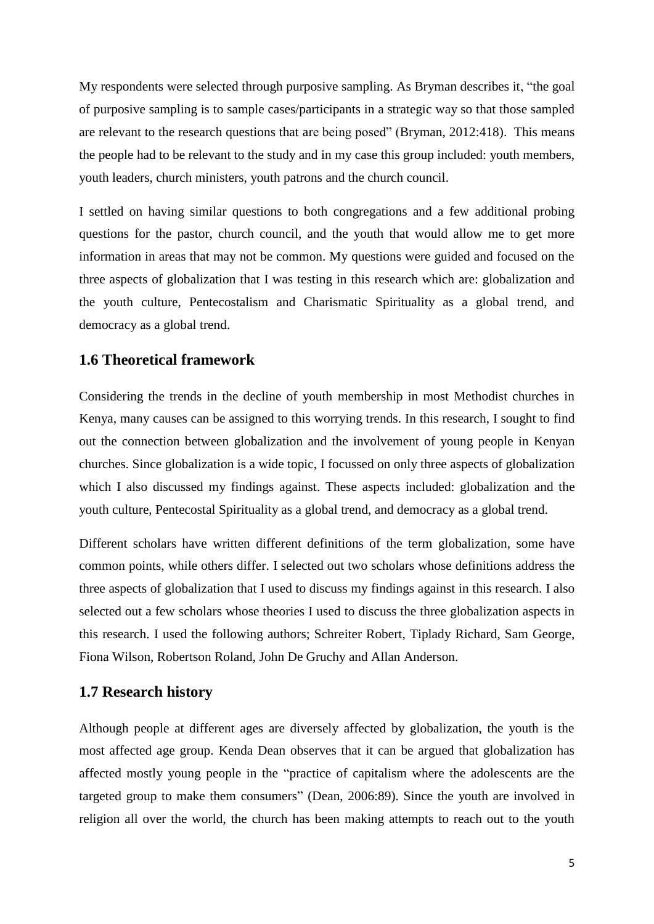My respondents were selected through purposive sampling. As Bryman describes it, "the goal of purposive sampling is to sample cases/participants in a strategic way so that those sampled are relevant to the research questions that are being posed" (Bryman, 2012:418). This means the people had to be relevant to the study and in my case this group included: youth members, youth leaders, church ministers, youth patrons and the church council.

I settled on having similar questions to both congregations and a few additional probing questions for the pastor, church council, and the youth that would allow me to get more information in areas that may not be common. My questions were guided and focused on the three aspects of globalization that I was testing in this research which are: globalization and the youth culture, Pentecostalism and Charismatic Spirituality as a global trend, and democracy as a global trend.

# **1.6 Theoretical framework**

Considering the trends in the decline of youth membership in most Methodist churches in Kenya, many causes can be assigned to this worrying trends. In this research, I sought to find out the connection between globalization and the involvement of young people in Kenyan churches. Since globalization is a wide topic, I focussed on only three aspects of globalization which I also discussed my findings against. These aspects included: globalization and the youth culture, Pentecostal Spirituality as a global trend, and democracy as a global trend.

Different scholars have written different definitions of the term globalization, some have common points, while others differ. I selected out two scholars whose definitions address the three aspects of globalization that I used to discuss my findings against in this research. I also selected out a few scholars whose theories I used to discuss the three globalization aspects in this research. I used the following authors; Schreiter Robert, Tiplady Richard, Sam George, Fiona Wilson, Robertson Roland, John De Gruchy and Allan Anderson.

### **1.7 Research history**

Although people at different ages are diversely affected by globalization, the youth is the most affected age group. Kenda Dean observes that it can be argued that globalization has affected mostly young people in the "practice of capitalism where the adolescents are the targeted group to make them consumers" (Dean, 2006:89). Since the youth are involved in religion all over the world, the church has been making attempts to reach out to the youth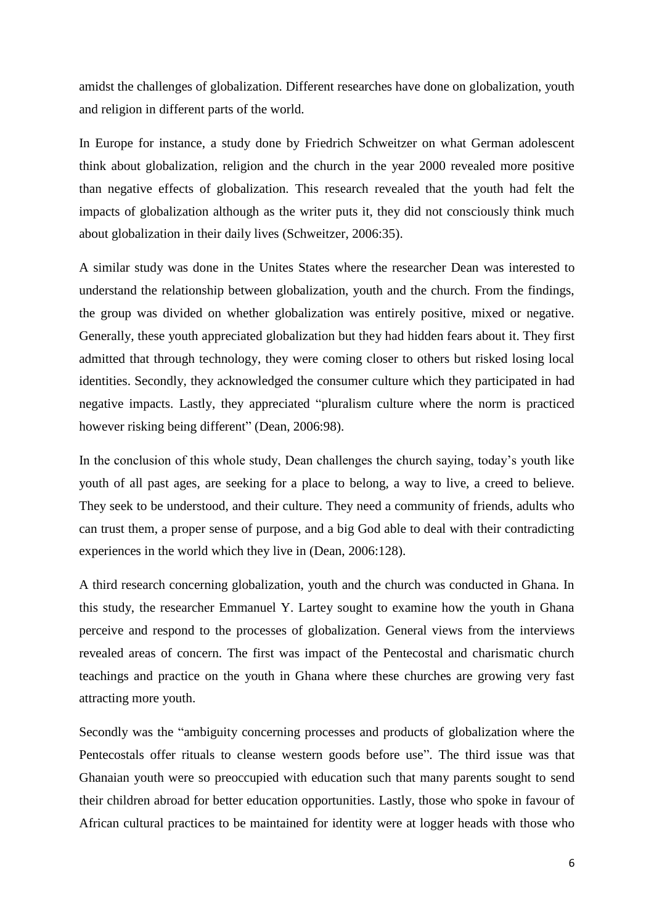amidst the challenges of globalization. Different researches have done on globalization, youth and religion in different parts of the world.

In Europe for instance, a study done by Friedrich Schweitzer on what German adolescent think about globalization, religion and the church in the year 2000 revealed more positive than negative effects of globalization. This research revealed that the youth had felt the impacts of globalization although as the writer puts it, they did not consciously think much about globalization in their daily lives (Schweitzer, 2006:35).

A similar study was done in the Unites States where the researcher Dean was interested to understand the relationship between globalization, youth and the church. From the findings, the group was divided on whether globalization was entirely positive, mixed or negative. Generally, these youth appreciated globalization but they had hidden fears about it. They first admitted that through technology, they were coming closer to others but risked losing local identities. Secondly, they acknowledged the consumer culture which they participated in had negative impacts. Lastly, they appreciated "pluralism culture where the norm is practiced however risking being different" (Dean, 2006:98).

In the conclusion of this whole study, Dean challenges the church saying, today's youth like youth of all past ages, are seeking for a place to belong, a way to live, a creed to believe. They seek to be understood, and their culture. They need a community of friends, adults who can trust them, a proper sense of purpose, and a big God able to deal with their contradicting experiences in the world which they live in (Dean, 2006:128).

A third research concerning globalization, youth and the church was conducted in Ghana. In this study, the researcher Emmanuel Y. Lartey sought to examine how the youth in Ghana perceive and respond to the processes of globalization. General views from the interviews revealed areas of concern. The first was impact of the Pentecostal and charismatic church teachings and practice on the youth in Ghana where these churches are growing very fast attracting more youth.

Secondly was the "ambiguity concerning processes and products of globalization where the Pentecostals offer rituals to cleanse western goods before use". The third issue was that Ghanaian youth were so preoccupied with education such that many parents sought to send their children abroad for better education opportunities. Lastly, those who spoke in favour of African cultural practices to be maintained for identity were at logger heads with those who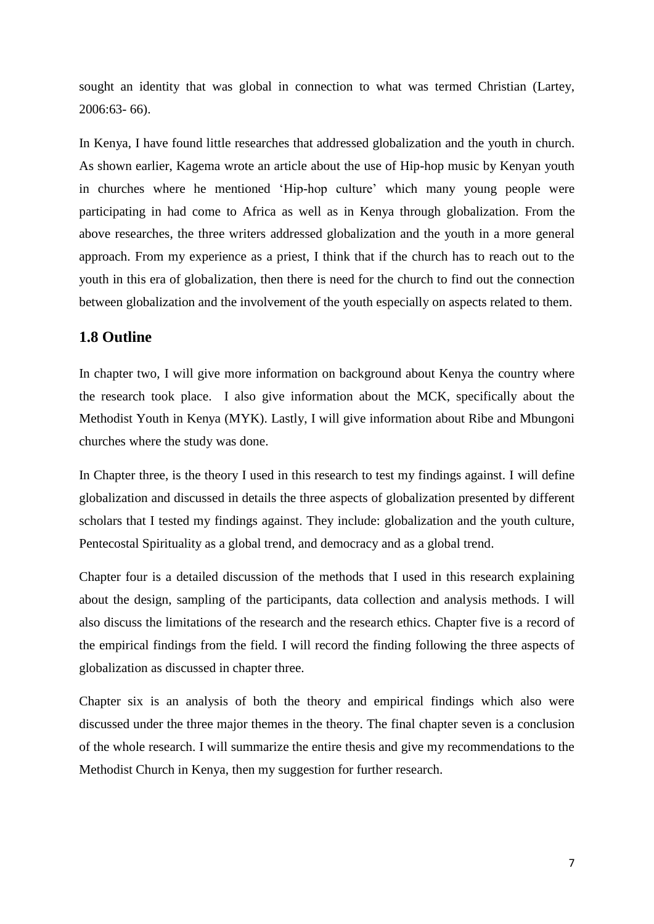sought an identity that was global in connection to what was termed Christian (Lartey, 2006:63- 66).

In Kenya, I have found little researches that addressed globalization and the youth in church. As shown earlier, Kagema wrote an article about the use of Hip-hop music by Kenyan youth in churches where he mentioned 'Hip-hop culture' which many young people were participating in had come to Africa as well as in Kenya through globalization. From the above researches, the three writers addressed globalization and the youth in a more general approach. From my experience as a priest, I think that if the church has to reach out to the youth in this era of globalization, then there is need for the church to find out the connection between globalization and the involvement of the youth especially on aspects related to them.

## **1.8 Outline**

In chapter two, I will give more information on background about Kenya the country where the research took place. I also give information about the MCK, specifically about the Methodist Youth in Kenya (MYK). Lastly, I will give information about Ribe and Mbungoni churches where the study was done.

In Chapter three, is the theory I used in this research to test my findings against. I will define globalization and discussed in details the three aspects of globalization presented by different scholars that I tested my findings against. They include: globalization and the youth culture, Pentecostal Spirituality as a global trend, and democracy and as a global trend.

Chapter four is a detailed discussion of the methods that I used in this research explaining about the design, sampling of the participants, data collection and analysis methods. I will also discuss the limitations of the research and the research ethics. Chapter five is a record of the empirical findings from the field. I will record the finding following the three aspects of globalization as discussed in chapter three.

Chapter six is an analysis of both the theory and empirical findings which also were discussed under the three major themes in the theory. The final chapter seven is a conclusion of the whole research. I will summarize the entire thesis and give my recommendations to the Methodist Church in Kenya, then my suggestion for further research.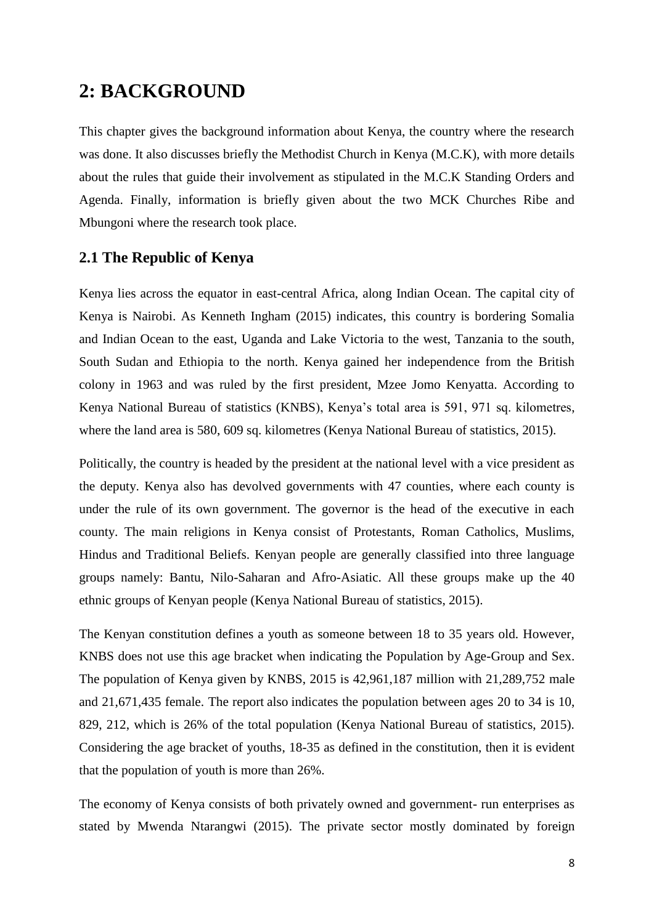# **2: BACKGROUND**

This chapter gives the background information about Kenya, the country where the research was done. It also discusses briefly the Methodist Church in Kenya (M.C.K), with more details about the rules that guide their involvement as stipulated in the M.C.K Standing Orders and Agenda. Finally, information is briefly given about the two MCK Churches Ribe and Mbungoni where the research took place.

# **2.1 The Republic of Kenya**

Kenya lies across the equator in east-central Africa, along Indian Ocean. The capital city of Kenya is Nairobi. As Kenneth Ingham (2015) indicates, this country is bordering Somalia and Indian Ocean to the east, Uganda and Lake Victoria to the west, Tanzania to the south, South Sudan and Ethiopia to the north. Kenya gained her independence from the British colony in 1963 and was ruled by the first president, Mzee Jomo Kenyatta. According to Kenya National Bureau of statistics (KNBS), Kenya's total area is 591, 971 sq. kilometres, where the land area is 580, 609 sq. kilometres (Kenya National Bureau of statistics, 2015).

Politically, the country is headed by the president at the national level with a vice president as the deputy. Kenya also has devolved governments with 47 counties, where each county is under the rule of its own government. The governor is the head of the executive in each county. The main religions in Kenya consist of Protestants, Roman Catholics, Muslims, Hindus and Traditional Beliefs. Kenyan people are generally classified into three language groups namely: Bantu, Nilo-Saharan and Afro-Asiatic. All these groups make up the 40 ethnic groups of Kenyan people (Kenya National Bureau of statistics, 2015).

The Kenyan constitution defines a youth as someone between 18 to 35 years old. However, KNBS does not use this age bracket when indicating the Population by Age-Group and Sex. The population of Kenya given by KNBS, 2015 is 42,961,187 million with 21,289,752 male and 21,671,435 female. The report also indicates the population between ages 20 to 34 is 10, 829, 212, which is 26% of the total population (Kenya National Bureau of statistics, 2015). Considering the age bracket of youths, 18-35 as defined in the constitution, then it is evident that the population of youth is more than 26%.

The economy of Kenya consists of both privately owned and government- run enterprises as stated by Mwenda Ntarangwi (2015). The private sector mostly dominated by foreign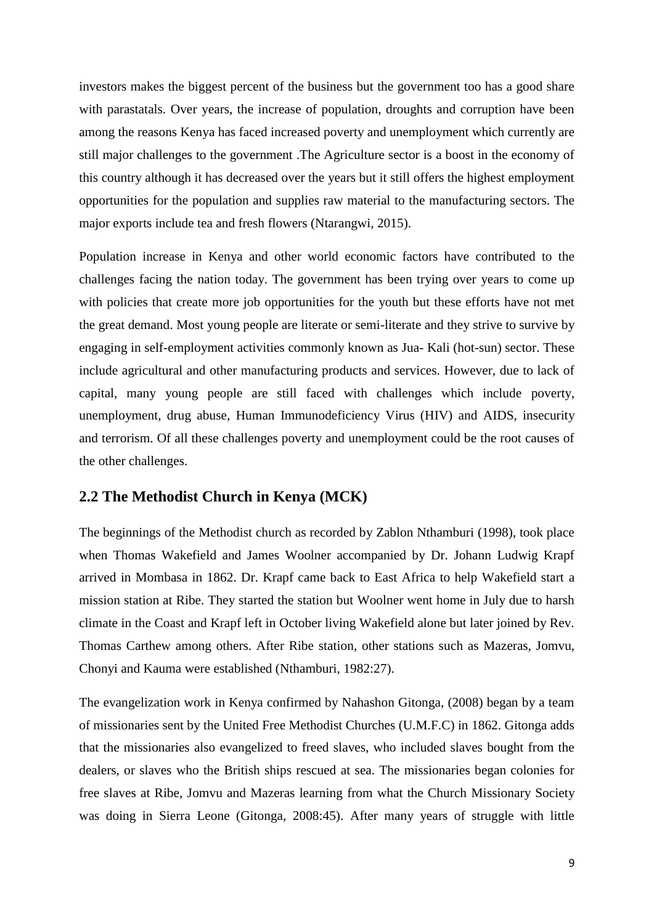investors makes the biggest percent of the business but the government too has a good share with parastatals. Over years, the increase of population, droughts and corruption have been among the reasons Kenya has faced increased poverty and unemployment which currently are still major challenges to the government .The Agriculture sector is a boost in the economy of this country although it has decreased over the years but it still offers the highest employment opportunities for the population and supplies raw material to the manufacturing sectors. The major exports include tea and fresh flowers (Ntarangwi, 2015).

Population increase in Kenya and other world economic factors have contributed to the challenges facing the nation today. The government has been trying over years to come up with policies that create more job opportunities for the youth but these efforts have not met the great demand. Most young people are literate or semi-literate and they strive to survive by engaging in self-employment activities commonly known as Jua- Kali (hot-sun) sector. These include agricultural and other manufacturing products and services. However, due to lack of capital, many young people are still faced with challenges which include poverty, unemployment, drug abuse, Human Immunodeficiency Virus (HIV) and AIDS, insecurity and terrorism. Of all these challenges poverty and unemployment could be the root causes of the other challenges.

## **2.2 The Methodist Church in Kenya (MCK)**

The beginnings of the Methodist church as recorded by Zablon Nthamburi (1998), took place when Thomas Wakefield and James Woolner accompanied by Dr. Johann Ludwig Krapf arrived in Mombasa in 1862. Dr. Krapf came back to East Africa to help Wakefield start a mission station at Ribe. They started the station but Woolner went home in July due to harsh climate in the Coast and Krapf left in October living Wakefield alone but later joined by Rev. Thomas Carthew among others. After Ribe station, other stations such as Mazeras, Jomvu, Chonyi and Kauma were established (Nthamburi, 1982:27).

The evangelization work in Kenya confirmed by Nahashon Gitonga, (2008) began by a team of missionaries sent by the United Free Methodist Churches (U.M.F.C) in 1862. Gitonga adds that the missionaries also evangelized to freed slaves, who included slaves bought from the dealers, or slaves who the British ships rescued at sea. The missionaries began colonies for free slaves at Ribe, Jomvu and Mazeras learning from what the Church Missionary Society was doing in Sierra Leone (Gitonga, 2008:45). After many years of struggle with little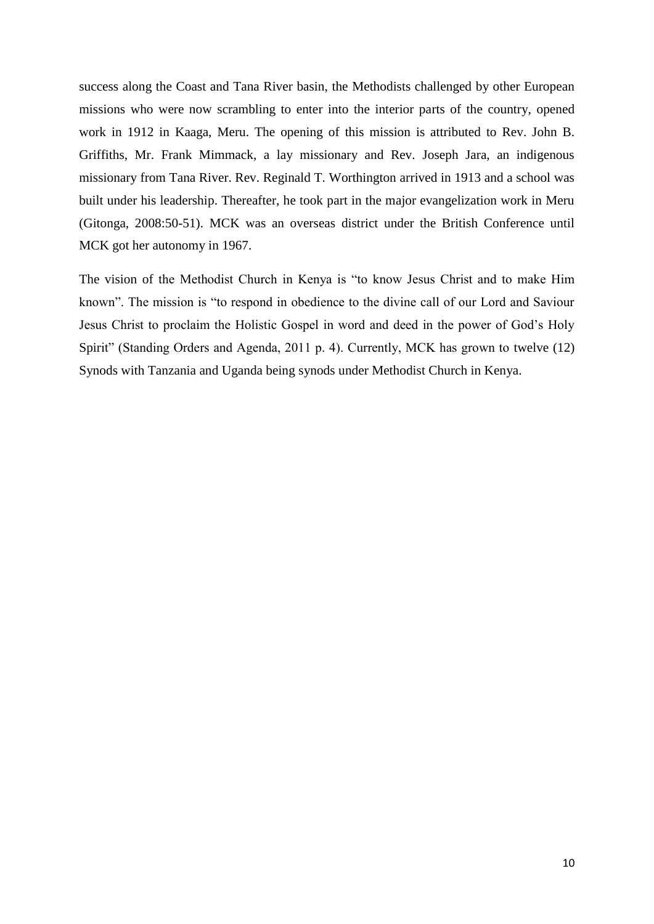success along the Coast and Tana River basin, the Methodists challenged by other European missions who were now scrambling to enter into the interior parts of the country, opened work in 1912 in Kaaga, Meru. The opening of this mission is attributed to Rev. John B. Griffiths, Mr. Frank Mimmack, a lay missionary and Rev. Joseph Jara, an indigenous missionary from Tana River. Rev. Reginald T. Worthington arrived in 1913 and a school was built under his leadership. Thereafter, he took part in the major evangelization work in Meru (Gitonga, 2008:50-51). MCK was an overseas district under the British Conference until MCK got her autonomy in 1967.

The vision of the Methodist Church in Kenya is "to know Jesus Christ and to make Him known". The mission is "to respond in obedience to the divine call of our Lord and Saviour Jesus Christ to proclaim the Holistic Gospel in word and deed in the power of God's Holy Spirit" (Standing Orders and Agenda, 2011 p. 4). Currently, MCK has grown to twelve (12) Synods with Tanzania and Uganda being synods under Methodist Church in Kenya.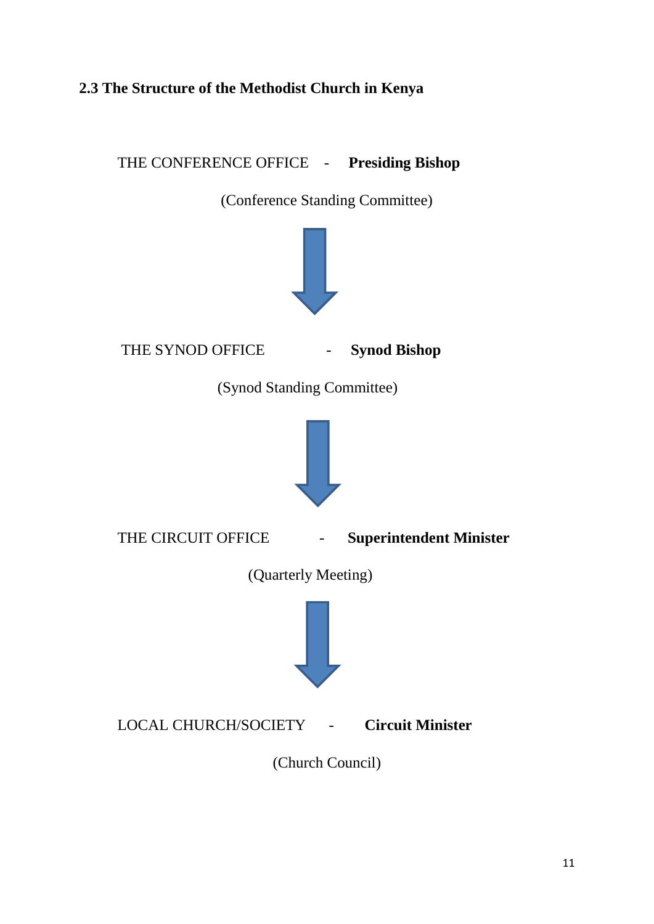# **2.3 The Structure of the Methodist Church in Kenya**

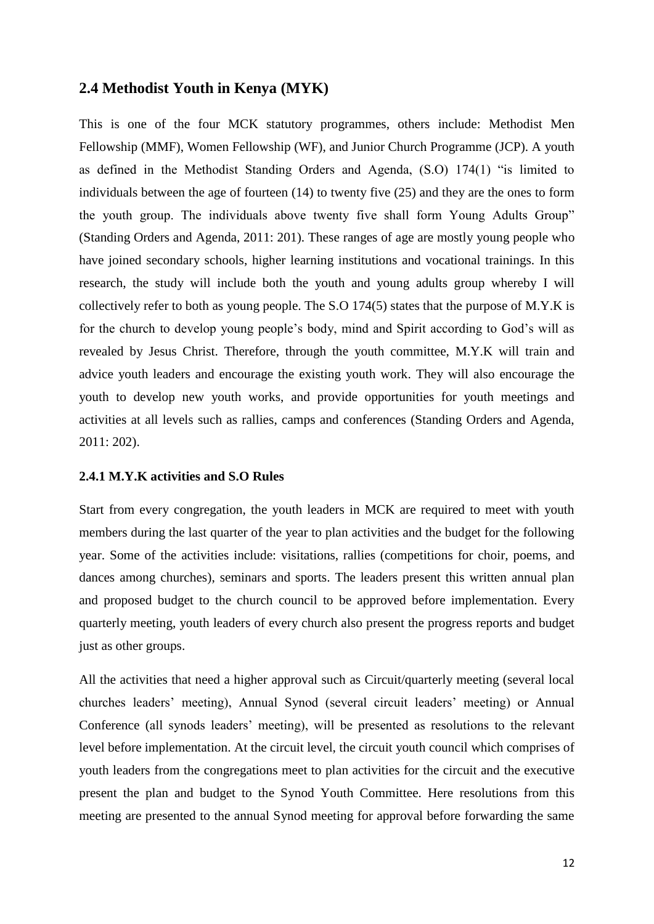# **2.4 Methodist Youth in Kenya (MYK)**

This is one of the four MCK statutory programmes, others include: Methodist Men Fellowship (MMF), Women Fellowship (WF), and Junior Church Programme (JCP). A youth as defined in the Methodist Standing Orders and Agenda, (S.O) 174(1) "is limited to individuals between the age of fourteen (14) to twenty five (25) and they are the ones to form the youth group. The individuals above twenty five shall form Young Adults Group" (Standing Orders and Agenda, 2011: 201). These ranges of age are mostly young people who have joined secondary schools, higher learning institutions and vocational trainings. In this research, the study will include both the youth and young adults group whereby I will collectively refer to both as young people. The S.O 174(5) states that the purpose of M.Y.K is for the church to develop young people's body, mind and Spirit according to God's will as revealed by Jesus Christ. Therefore, through the youth committee, M.Y.K will train and advice youth leaders and encourage the existing youth work. They will also encourage the youth to develop new youth works, and provide opportunities for youth meetings and activities at all levels such as rallies, camps and conferences (Standing Orders and Agenda, 2011: 202).

#### **2.4.1 M.Y.K activities and S.O Rules**

Start from every congregation, the youth leaders in MCK are required to meet with youth members during the last quarter of the year to plan activities and the budget for the following year. Some of the activities include: visitations, rallies (competitions for choir, poems, and dances among churches), seminars and sports. The leaders present this written annual plan and proposed budget to the church council to be approved before implementation. Every quarterly meeting, youth leaders of every church also present the progress reports and budget just as other groups.

All the activities that need a higher approval such as Circuit/quarterly meeting (several local churches leaders' meeting), Annual Synod (several circuit leaders' meeting) or Annual Conference (all synods leaders' meeting), will be presented as resolutions to the relevant level before implementation. At the circuit level, the circuit youth council which comprises of youth leaders from the congregations meet to plan activities for the circuit and the executive present the plan and budget to the Synod Youth Committee. Here resolutions from this meeting are presented to the annual Synod meeting for approval before forwarding the same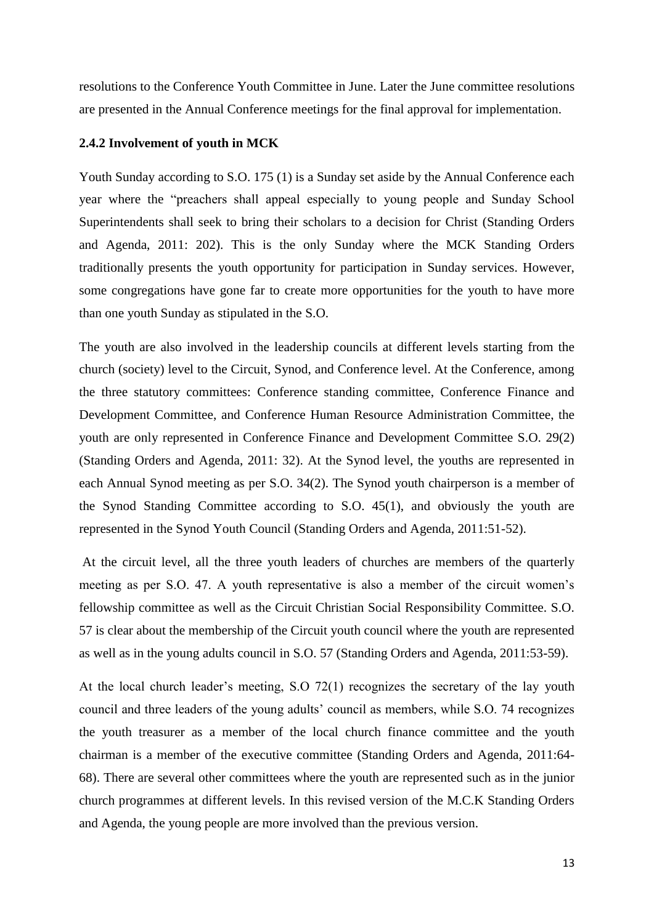resolutions to the Conference Youth Committee in June. Later the June committee resolutions are presented in the Annual Conference meetings for the final approval for implementation.

#### **2.4.2 Involvement of youth in MCK**

Youth Sunday according to S.O. 175 (1) is a Sunday set aside by the Annual Conference each year where the "preachers shall appeal especially to young people and Sunday School Superintendents shall seek to bring their scholars to a decision for Christ (Standing Orders and Agenda, 2011: 202). This is the only Sunday where the MCK Standing Orders traditionally presents the youth opportunity for participation in Sunday services. However, some congregations have gone far to create more opportunities for the youth to have more than one youth Sunday as stipulated in the S.O.

The youth are also involved in the leadership councils at different levels starting from the church (society) level to the Circuit, Synod, and Conference level. At the Conference, among the three statutory committees: Conference standing committee, Conference Finance and Development Committee, and Conference Human Resource Administration Committee, the youth are only represented in Conference Finance and Development Committee S.O. 29(2) (Standing Orders and Agenda, 2011: 32). At the Synod level, the youths are represented in each Annual Synod meeting as per S.O. 34(2). The Synod youth chairperson is a member of the Synod Standing Committee according to S.O. 45(1), and obviously the youth are represented in the Synod Youth Council (Standing Orders and Agenda, 2011:51-52).

At the circuit level, all the three youth leaders of churches are members of the quarterly meeting as per S.O. 47. A youth representative is also a member of the circuit women's fellowship committee as well as the Circuit Christian Social Responsibility Committee. S.O. 57 is clear about the membership of the Circuit youth council where the youth are represented as well as in the young adults council in S.O. 57 (Standing Orders and Agenda, 2011:53-59).

At the local church leader's meeting, S.O 72(1) recognizes the secretary of the lay youth council and three leaders of the young adults' council as members, while S.O. 74 recognizes the youth treasurer as a member of the local church finance committee and the youth chairman is a member of the executive committee (Standing Orders and Agenda, 2011:64- 68). There are several other committees where the youth are represented such as in the junior church programmes at different levels. In this revised version of the M.C.K Standing Orders and Agenda, the young people are more involved than the previous version.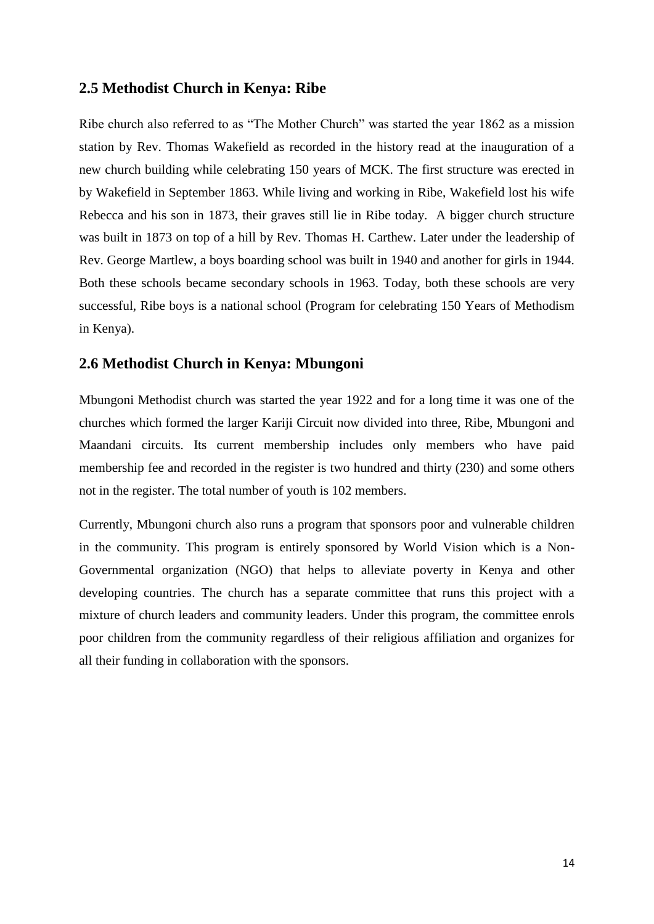# **2.5 Methodist Church in Kenya: Ribe**

Ribe church also referred to as "The Mother Church" was started the year 1862 as a mission station by Rev. Thomas Wakefield as recorded in the history read at the inauguration of a new church building while celebrating 150 years of MCK. The first structure was erected in by Wakefield in September 1863. While living and working in Ribe, Wakefield lost his wife Rebecca and his son in 1873, their graves still lie in Ribe today. A bigger church structure was built in 1873 on top of a hill by Rev. Thomas H. Carthew. Later under the leadership of Rev. George Martlew, a boys boarding school was built in 1940 and another for girls in 1944. Both these schools became secondary schools in 1963. Today, both these schools are very successful, Ribe boys is a national school (Program for celebrating 150 Years of Methodism in Kenya).

## **2.6 Methodist Church in Kenya: Mbungoni**

Mbungoni Methodist church was started the year 1922 and for a long time it was one of the churches which formed the larger Kariji Circuit now divided into three, Ribe, Mbungoni and Maandani circuits. Its current membership includes only members who have paid membership fee and recorded in the register is two hundred and thirty (230) and some others not in the register. The total number of youth is 102 members.

Currently, Mbungoni church also runs a program that sponsors poor and vulnerable children in the community. This program is entirely sponsored by World Vision which is a Non-Governmental organization (NGO) that helps to alleviate poverty in Kenya and other developing countries. The church has a separate committee that runs this project with a mixture of church leaders and community leaders. Under this program, the committee enrols poor children from the community regardless of their religious affiliation and organizes for all their funding in collaboration with the sponsors.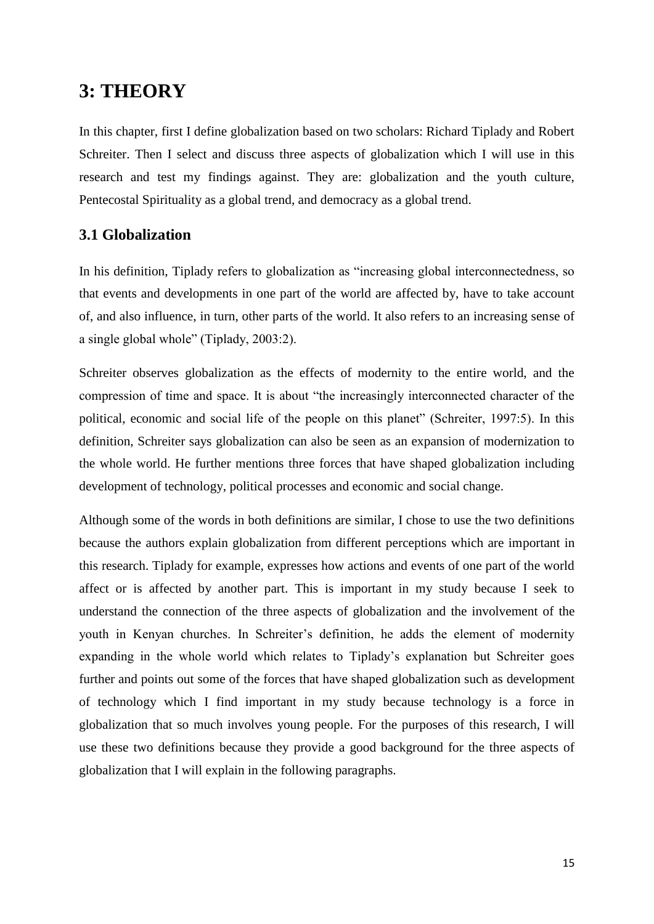# **3: THEORY**

In this chapter, first I define globalization based on two scholars: Richard Tiplady and Robert Schreiter. Then I select and discuss three aspects of globalization which I will use in this research and test my findings against. They are: globalization and the youth culture, Pentecostal Spirituality as a global trend, and democracy as a global trend.

# **3.1 Globalization**

In his definition, Tiplady refers to globalization as "increasing global interconnectedness, so that events and developments in one part of the world are affected by, have to take account of, and also influence, in turn, other parts of the world. It also refers to an increasing sense of a single global whole" (Tiplady, 2003:2).

Schreiter observes globalization as the effects of modernity to the entire world, and the compression of time and space. It is about "the increasingly interconnected character of the political, economic and social life of the people on this planet" (Schreiter, 1997:5). In this definition, Schreiter says globalization can also be seen as an expansion of modernization to the whole world. He further mentions three forces that have shaped globalization including development of technology, political processes and economic and social change.

Although some of the words in both definitions are similar, I chose to use the two definitions because the authors explain globalization from different perceptions which are important in this research. Tiplady for example, expresses how actions and events of one part of the world affect or is affected by another part. This is important in my study because I seek to understand the connection of the three aspects of globalization and the involvement of the youth in Kenyan churches. In Schreiter's definition, he adds the element of modernity expanding in the whole world which relates to Tiplady's explanation but Schreiter goes further and points out some of the forces that have shaped globalization such as development of technology which I find important in my study because technology is a force in globalization that so much involves young people. For the purposes of this research, I will use these two definitions because they provide a good background for the three aspects of globalization that I will explain in the following paragraphs.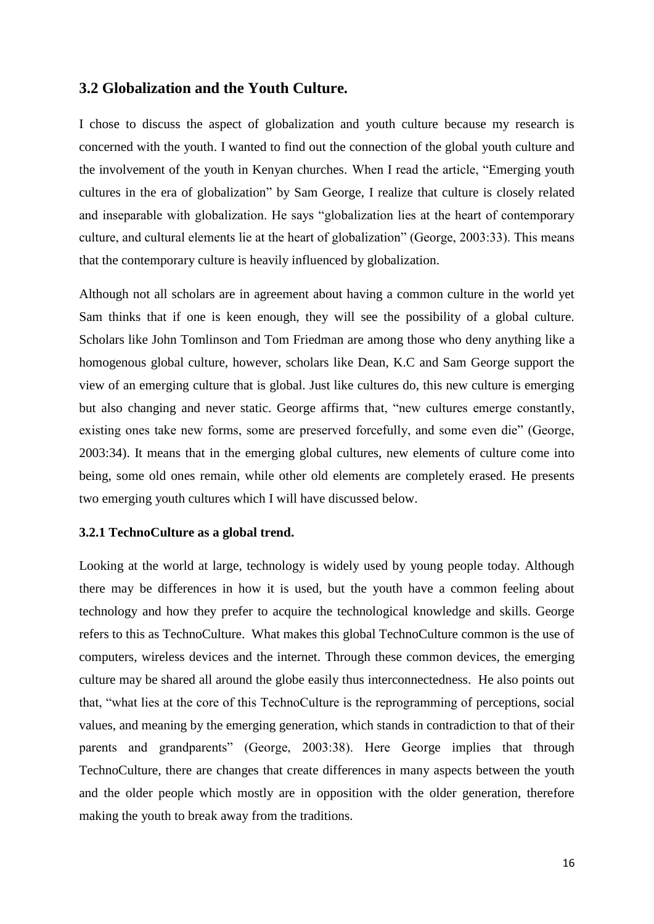#### **3.2 Globalization and the Youth Culture.**

I chose to discuss the aspect of globalization and youth culture because my research is concerned with the youth. I wanted to find out the connection of the global youth culture and the involvement of the youth in Kenyan churches. When I read the article, "Emerging youth cultures in the era of globalization" by Sam George, I realize that culture is closely related and inseparable with globalization. He says "globalization lies at the heart of contemporary culture, and cultural elements lie at the heart of globalization" (George, 2003:33). This means that the contemporary culture is heavily influenced by globalization.

Although not all scholars are in agreement about having a common culture in the world yet Sam thinks that if one is keen enough, they will see the possibility of a global culture. Scholars like John Tomlinson and Tom Friedman are among those who deny anything like a homogenous global culture, however, scholars like Dean, K.C and Sam George support the view of an emerging culture that is global. Just like cultures do, this new culture is emerging but also changing and never static. George affirms that, "new cultures emerge constantly, existing ones take new forms, some are preserved forcefully, and some even die" (George, 2003:34). It means that in the emerging global cultures, new elements of culture come into being, some old ones remain, while other old elements are completely erased. He presents two emerging youth cultures which I will have discussed below.

#### **3.2.1 TechnoCulture as a global trend.**

Looking at the world at large, technology is widely used by young people today. Although there may be differences in how it is used, but the youth have a common feeling about technology and how they prefer to acquire the technological knowledge and skills. George refers to this as TechnoCulture. What makes this global TechnoCulture common is the use of computers, wireless devices and the internet. Through these common devices, the emerging culture may be shared all around the globe easily thus interconnectedness. He also points out that, "what lies at the core of this TechnoCulture is the reprogramming of perceptions, social values, and meaning by the emerging generation, which stands in contradiction to that of their parents and grandparents" (George, 2003:38). Here George implies that through TechnoCulture, there are changes that create differences in many aspects between the youth and the older people which mostly are in opposition with the older generation, therefore making the youth to break away from the traditions.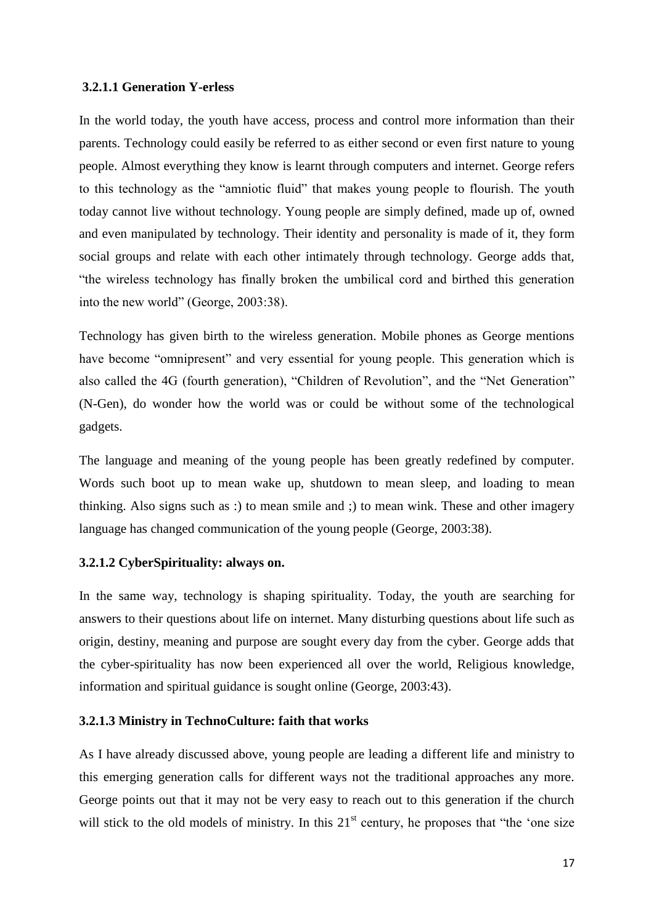#### **3.2.1.1 Generation Y-erless**

In the world today, the youth have access, process and control more information than their parents. Technology could easily be referred to as either second or even first nature to young people. Almost everything they know is learnt through computers and internet. George refers to this technology as the "amniotic fluid" that makes young people to flourish. The youth today cannot live without technology. Young people are simply defined, made up of, owned and even manipulated by technology. Their identity and personality is made of it, they form social groups and relate with each other intimately through technology. George adds that, "the wireless technology has finally broken the umbilical cord and birthed this generation into the new world" (George, 2003:38).

Technology has given birth to the wireless generation. Mobile phones as George mentions have become "omnipresent" and very essential for young people. This generation which is also called the 4G (fourth generation), "Children of Revolution", and the "Net Generation" (N-Gen), do wonder how the world was or could be without some of the technological gadgets.

The language and meaning of the young people has been greatly redefined by computer. Words such boot up to mean wake up, shutdown to mean sleep, and loading to mean thinking. Also signs such as :) to mean smile and ;) to mean wink. These and other imagery language has changed communication of the young people (George, 2003:38).

#### **3.2.1.2 CyberSpirituality: always on.**

In the same way, technology is shaping spirituality. Today, the youth are searching for answers to their questions about life on internet. Many disturbing questions about life such as origin, destiny, meaning and purpose are sought every day from the cyber. George adds that the cyber-spirituality has now been experienced all over the world, Religious knowledge, information and spiritual guidance is sought online (George, 2003:43).

#### **3.2.1.3 Ministry in TechnoCulture: faith that works**

As I have already discussed above, young people are leading a different life and ministry to this emerging generation calls for different ways not the traditional approaches any more. George points out that it may not be very easy to reach out to this generation if the church will stick to the old models of ministry. In this  $21<sup>st</sup>$  century, he proposes that "the 'one size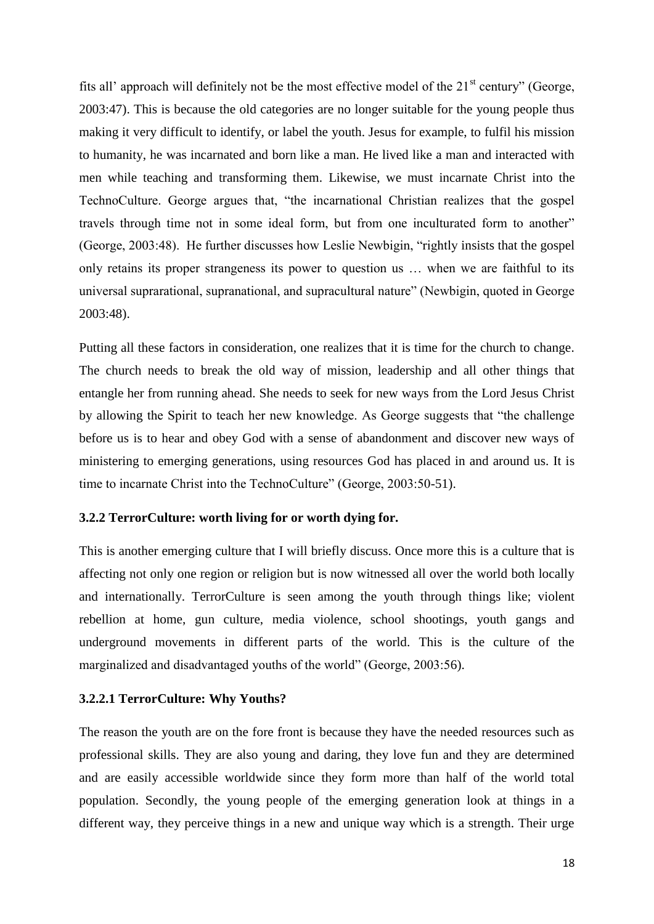fits all' approach will definitely not be the most effective model of the  $21<sup>st</sup>$  century" (George, 2003:47). This is because the old categories are no longer suitable for the young people thus making it very difficult to identify, or label the youth. Jesus for example, to fulfil his mission to humanity, he was incarnated and born like a man. He lived like a man and interacted with men while teaching and transforming them. Likewise, we must incarnate Christ into the TechnoCulture. George argues that, "the incarnational Christian realizes that the gospel travels through time not in some ideal form, but from one inculturated form to another" (George, 2003:48). He further discusses how Leslie Newbigin, "rightly insists that the gospel only retains its proper strangeness its power to question us … when we are faithful to its universal suprarational, supranational, and supracultural nature" (Newbigin, quoted in George 2003:48).

Putting all these factors in consideration, one realizes that it is time for the church to change. The church needs to break the old way of mission, leadership and all other things that entangle her from running ahead. She needs to seek for new ways from the Lord Jesus Christ by allowing the Spirit to teach her new knowledge. As George suggests that "the challenge before us is to hear and obey God with a sense of abandonment and discover new ways of ministering to emerging generations, using resources God has placed in and around us. It is time to incarnate Christ into the TechnoCulture" (George, 2003:50-51).

#### **3.2.2 TerrorCulture: worth living for or worth dying for.**

This is another emerging culture that I will briefly discuss. Once more this is a culture that is affecting not only one region or religion but is now witnessed all over the world both locally and internationally. TerrorCulture is seen among the youth through things like; violent rebellion at home, gun culture, media violence, school shootings, youth gangs and underground movements in different parts of the world. This is the culture of the marginalized and disadvantaged youths of the world" (George, 2003:56).

#### **3.2.2.1 TerrorCulture: Why Youths?**

The reason the youth are on the fore front is because they have the needed resources such as professional skills. They are also young and daring, they love fun and they are determined and are easily accessible worldwide since they form more than half of the world total population. Secondly, the young people of the emerging generation look at things in a different way, they perceive things in a new and unique way which is a strength. Their urge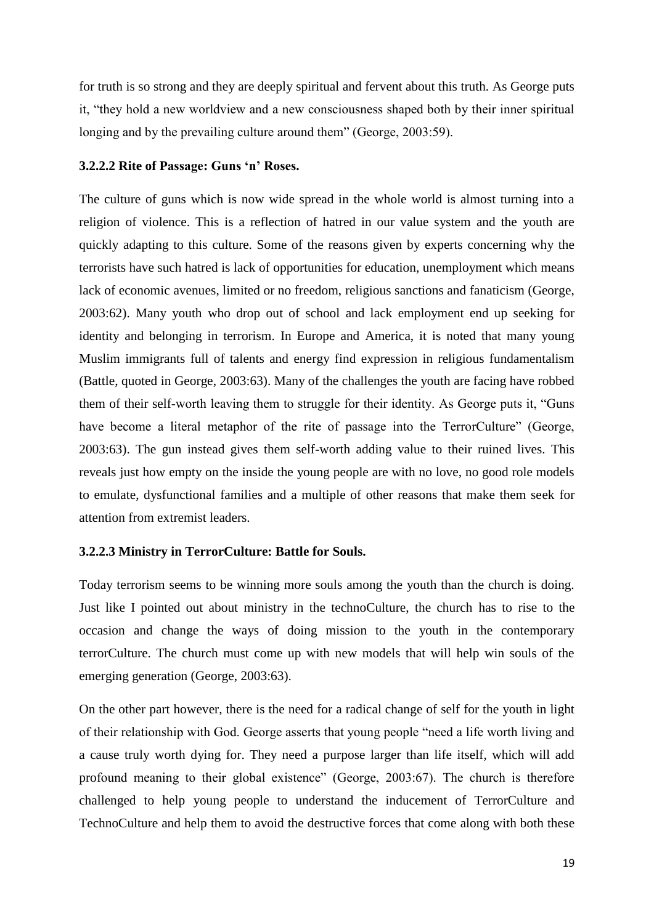for truth is so strong and they are deeply spiritual and fervent about this truth. As George puts it, "they hold a new worldview and a new consciousness shaped both by their inner spiritual longing and by the prevailing culture around them" (George, 2003:59).

#### **3.2.2.2 Rite of Passage: Guns 'n' Roses.**

The culture of guns which is now wide spread in the whole world is almost turning into a religion of violence. This is a reflection of hatred in our value system and the youth are quickly adapting to this culture. Some of the reasons given by experts concerning why the terrorists have such hatred is lack of opportunities for education, unemployment which means lack of economic avenues, limited or no freedom, religious sanctions and fanaticism (George, 2003:62). Many youth who drop out of school and lack employment end up seeking for identity and belonging in terrorism. In Europe and America, it is noted that many young Muslim immigrants full of talents and energy find expression in religious fundamentalism (Battle, quoted in George, 2003:63). Many of the challenges the youth are facing have robbed them of their self-worth leaving them to struggle for their identity. As George puts it, "Guns have become a literal metaphor of the rite of passage into the TerrorCulture" (George, 2003:63). The gun instead gives them self-worth adding value to their ruined lives. This reveals just how empty on the inside the young people are with no love, no good role models to emulate, dysfunctional families and a multiple of other reasons that make them seek for attention from extremist leaders.

#### **3.2.2.3 Ministry in TerrorCulture: Battle for Souls.**

Today terrorism seems to be winning more souls among the youth than the church is doing. Just like I pointed out about ministry in the technoCulture, the church has to rise to the occasion and change the ways of doing mission to the youth in the contemporary terrorCulture. The church must come up with new models that will help win souls of the emerging generation (George, 2003:63).

On the other part however, there is the need for a radical change of self for the youth in light of their relationship with God. George asserts that young people "need a life worth living and a cause truly worth dying for. They need a purpose larger than life itself, which will add profound meaning to their global existence" (George, 2003:67). The church is therefore challenged to help young people to understand the inducement of TerrorCulture and TechnoCulture and help them to avoid the destructive forces that come along with both these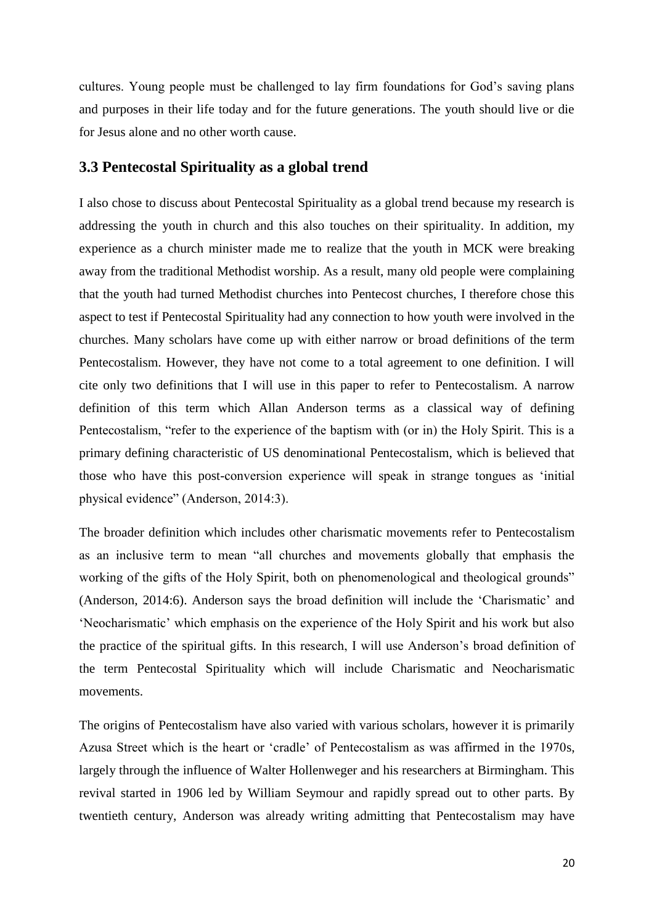cultures. Young people must be challenged to lay firm foundations for God's saving plans and purposes in their life today and for the future generations. The youth should live or die for Jesus alone and no other worth cause.

#### **3.3 Pentecostal Spirituality as a global trend**

I also chose to discuss about Pentecostal Spirituality as a global trend because my research is addressing the youth in church and this also touches on their spirituality. In addition, my experience as a church minister made me to realize that the youth in MCK were breaking away from the traditional Methodist worship. As a result, many old people were complaining that the youth had turned Methodist churches into Pentecost churches, I therefore chose this aspect to test if Pentecostal Spirituality had any connection to how youth were involved in the churches. Many scholars have come up with either narrow or broad definitions of the term Pentecostalism. However, they have not come to a total agreement to one definition. I will cite only two definitions that I will use in this paper to refer to Pentecostalism. A narrow definition of this term which Allan Anderson terms as a classical way of defining Pentecostalism, "refer to the experience of the baptism with (or in) the Holy Spirit. This is a primary defining characteristic of US denominational Pentecostalism, which is believed that those who have this post-conversion experience will speak in strange tongues as 'initial physical evidence" (Anderson, 2014:3).

The broader definition which includes other charismatic movements refer to Pentecostalism as an inclusive term to mean "all churches and movements globally that emphasis the working of the gifts of the Holy Spirit, both on phenomenological and theological grounds" (Anderson, 2014:6). Anderson says the broad definition will include the 'Charismatic' and 'Neocharismatic' which emphasis on the experience of the Holy Spirit and his work but also the practice of the spiritual gifts. In this research, I will use Anderson's broad definition of the term Pentecostal Spirituality which will include Charismatic and Neocharismatic movements.

The origins of Pentecostalism have also varied with various scholars, however it is primarily Azusa Street which is the heart or 'cradle' of Pentecostalism as was affirmed in the 1970s, largely through the influence of Walter Hollenweger and his researchers at Birmingham. This revival started in 1906 led by William Seymour and rapidly spread out to other parts. By twentieth century, Anderson was already writing admitting that Pentecostalism may have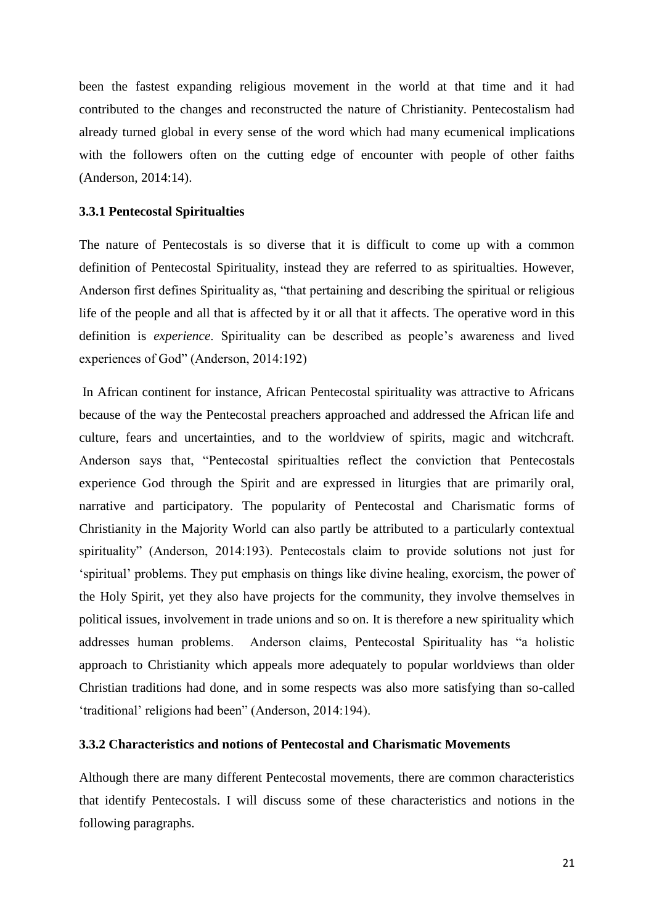been the fastest expanding religious movement in the world at that time and it had contributed to the changes and reconstructed the nature of Christianity. Pentecostalism had already turned global in every sense of the word which had many ecumenical implications with the followers often on the cutting edge of encounter with people of other faiths (Anderson, 2014:14).

#### **3.3.1 Pentecostal Spiritualties**

The nature of Pentecostals is so diverse that it is difficult to come up with a common definition of Pentecostal Spirituality, instead they are referred to as spiritualties. However, Anderson first defines Spirituality as, "that pertaining and describing the spiritual or religious life of the people and all that is affected by it or all that it affects. The operative word in this definition is *experience*. Spirituality can be described as people's awareness and lived experiences of God" (Anderson, 2014:192)

In African continent for instance, African Pentecostal spirituality was attractive to Africans because of the way the Pentecostal preachers approached and addressed the African life and culture, fears and uncertainties, and to the worldview of spirits, magic and witchcraft. Anderson says that, "Pentecostal spiritualties reflect the conviction that Pentecostals experience God through the Spirit and are expressed in liturgies that are primarily oral, narrative and participatory. The popularity of Pentecostal and Charismatic forms of Christianity in the Majority World can also partly be attributed to a particularly contextual spirituality" (Anderson, 2014:193). Pentecostals claim to provide solutions not just for 'spiritual' problems. They put emphasis on things like divine healing, exorcism, the power of the Holy Spirit, yet they also have projects for the community, they involve themselves in political issues, involvement in trade unions and so on. It is therefore a new spirituality which addresses human problems. Anderson claims, Pentecostal Spirituality has "a holistic approach to Christianity which appeals more adequately to popular worldviews than older Christian traditions had done, and in some respects was also more satisfying than so-called 'traditional' religions had been" (Anderson, 2014:194).

### **3.3.2 Characteristics and notions of Pentecostal and Charismatic Movements**

Although there are many different Pentecostal movements, there are common characteristics that identify Pentecostals. I will discuss some of these characteristics and notions in the following paragraphs.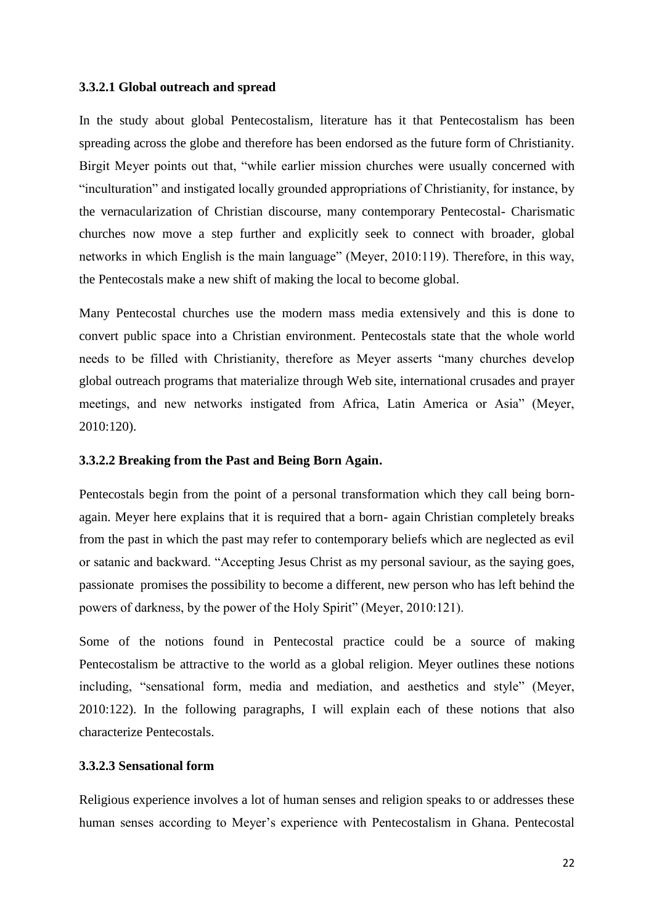#### **3.3.2.1 Global outreach and spread**

In the study about global Pentecostalism, literature has it that Pentecostalism has been spreading across the globe and therefore has been endorsed as the future form of Christianity. Birgit Meyer points out that, "while earlier mission churches were usually concerned with "inculturation" and instigated locally grounded appropriations of Christianity, for instance, by the vernacularization of Christian discourse, many contemporary Pentecostal- Charismatic churches now move a step further and explicitly seek to connect with broader, global networks in which English is the main language" (Meyer, 2010:119). Therefore, in this way, the Pentecostals make a new shift of making the local to become global.

Many Pentecostal churches use the modern mass media extensively and this is done to convert public space into a Christian environment. Pentecostals state that the whole world needs to be filled with Christianity, therefore as Meyer asserts "many churches develop global outreach programs that materialize through Web site, international crusades and prayer meetings, and new networks instigated from Africa, Latin America or Asia" (Meyer, 2010:120).

#### **3.3.2.2 Breaking from the Past and Being Born Again.**

Pentecostals begin from the point of a personal transformation which they call being bornagain. Meyer here explains that it is required that a born- again Christian completely breaks from the past in which the past may refer to contemporary beliefs which are neglected as evil or satanic and backward. "Accepting Jesus Christ as my personal saviour, as the saying goes, passionate promises the possibility to become a different, new person who has left behind the powers of darkness, by the power of the Holy Spirit" (Meyer, 2010:121).

Some of the notions found in Pentecostal practice could be a source of making Pentecostalism be attractive to the world as a global religion. Meyer outlines these notions including, "sensational form, media and mediation, and aesthetics and style" (Meyer, 2010:122). In the following paragraphs, I will explain each of these notions that also characterize Pentecostals.

#### **3.3.2.3 Sensational form**

Religious experience involves a lot of human senses and religion speaks to or addresses these human senses according to Meyer's experience with Pentecostalism in Ghana. Pentecostal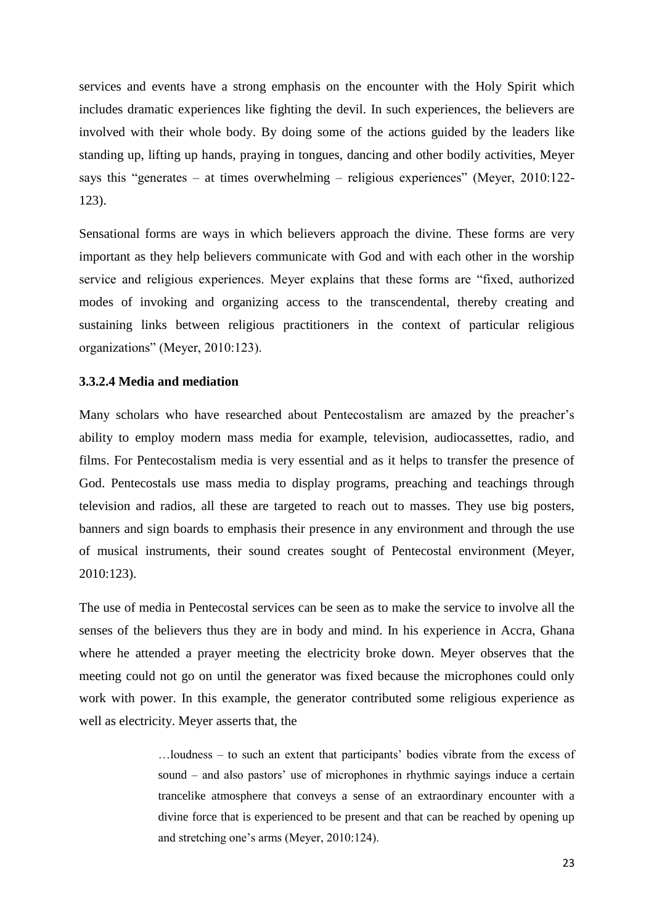services and events have a strong emphasis on the encounter with the Holy Spirit which includes dramatic experiences like fighting the devil. In such experiences, the believers are involved with their whole body. By doing some of the actions guided by the leaders like standing up, lifting up hands, praying in tongues, dancing and other bodily activities, Meyer says this "generates – at times overwhelming – religious experiences" (Meyer, 2010:122- 123).

Sensational forms are ways in which believers approach the divine. These forms are very important as they help believers communicate with God and with each other in the worship service and religious experiences. Meyer explains that these forms are "fixed, authorized modes of invoking and organizing access to the transcendental, thereby creating and sustaining links between religious practitioners in the context of particular religious organizations" (Meyer, 2010:123).

#### **3.3.2.4 Media and mediation**

Many scholars who have researched about Pentecostalism are amazed by the preacher's ability to employ modern mass media for example, television, audiocassettes, radio, and films. For Pentecostalism media is very essential and as it helps to transfer the presence of God. Pentecostals use mass media to display programs, preaching and teachings through television and radios, all these are targeted to reach out to masses. They use big posters, banners and sign boards to emphasis their presence in any environment and through the use of musical instruments, their sound creates sought of Pentecostal environment (Meyer, 2010:123).

The use of media in Pentecostal services can be seen as to make the service to involve all the senses of the believers thus they are in body and mind. In his experience in Accra, Ghana where he attended a prayer meeting the electricity broke down. Meyer observes that the meeting could not go on until the generator was fixed because the microphones could only work with power. In this example, the generator contributed some religious experience as well as electricity. Meyer asserts that, the

> …loudness – to such an extent that participants' bodies vibrate from the excess of sound – and also pastors' use of microphones in rhythmic sayings induce a certain trancelike atmosphere that conveys a sense of an extraordinary encounter with a divine force that is experienced to be present and that can be reached by opening up and stretching one's arms (Meyer, 2010:124).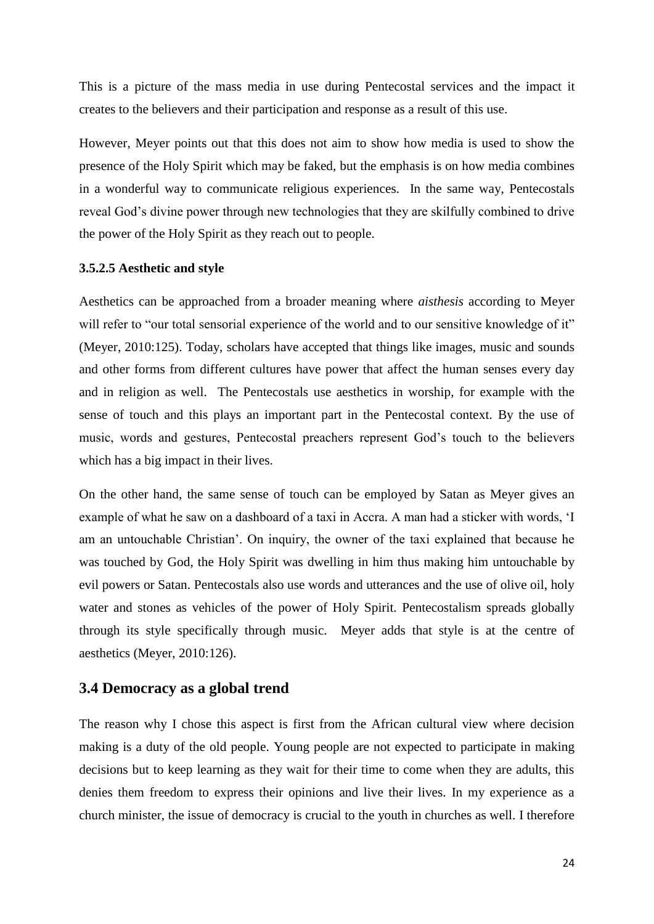This is a picture of the mass media in use during Pentecostal services and the impact it creates to the believers and their participation and response as a result of this use.

However, Meyer points out that this does not aim to show how media is used to show the presence of the Holy Spirit which may be faked, but the emphasis is on how media combines in a wonderful way to communicate religious experiences. In the same way, Pentecostals reveal God's divine power through new technologies that they are skilfully combined to drive the power of the Holy Spirit as they reach out to people.

#### **3.5.2.5 Aesthetic and style**

Aesthetics can be approached from a broader meaning where *aisthesis* according to Meyer will refer to "our total sensorial experience of the world and to our sensitive knowledge of it" (Meyer, 2010:125). Today, scholars have accepted that things like images, music and sounds and other forms from different cultures have power that affect the human senses every day and in religion as well. The Pentecostals use aesthetics in worship, for example with the sense of touch and this plays an important part in the Pentecostal context. By the use of music, words and gestures, Pentecostal preachers represent God's touch to the believers which has a big impact in their lives.

On the other hand, the same sense of touch can be employed by Satan as Meyer gives an example of what he saw on a dashboard of a taxi in Accra. A man had a sticker with words, 'I am an untouchable Christian'. On inquiry, the owner of the taxi explained that because he was touched by God, the Holy Spirit was dwelling in him thus making him untouchable by evil powers or Satan. Pentecostals also use words and utterances and the use of olive oil, holy water and stones as vehicles of the power of Holy Spirit. Pentecostalism spreads globally through its style specifically through music. Meyer adds that style is at the centre of aesthetics (Meyer, 2010:126).

#### **3.4 Democracy as a global trend**

The reason why I chose this aspect is first from the African cultural view where decision making is a duty of the old people. Young people are not expected to participate in making decisions but to keep learning as they wait for their time to come when they are adults, this denies them freedom to express their opinions and live their lives. In my experience as a church minister, the issue of democracy is crucial to the youth in churches as well. I therefore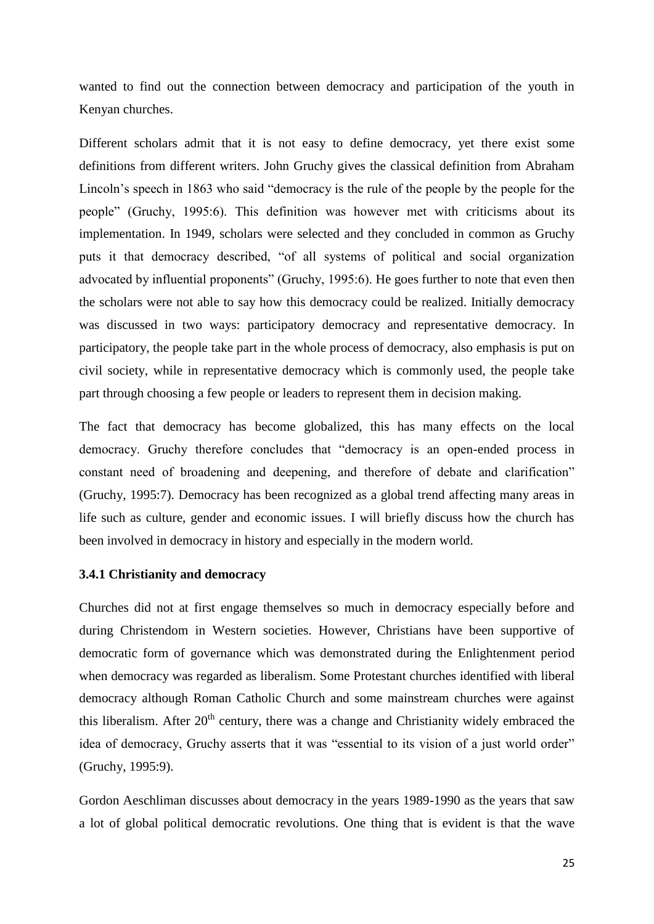wanted to find out the connection between democracy and participation of the youth in Kenyan churches.

Different scholars admit that it is not easy to define democracy, yet there exist some definitions from different writers. John Gruchy gives the classical definition from Abraham Lincoln's speech in 1863 who said "democracy is the rule of the people by the people for the people" (Gruchy, 1995:6). This definition was however met with criticisms about its implementation. In 1949, scholars were selected and they concluded in common as Gruchy puts it that democracy described, "of all systems of political and social organization advocated by influential proponents" (Gruchy, 1995:6). He goes further to note that even then the scholars were not able to say how this democracy could be realized. Initially democracy was discussed in two ways: participatory democracy and representative democracy. In participatory, the people take part in the whole process of democracy, also emphasis is put on civil society, while in representative democracy which is commonly used, the people take part through choosing a few people or leaders to represent them in decision making.

The fact that democracy has become globalized, this has many effects on the local democracy. Gruchy therefore concludes that "democracy is an open-ended process in constant need of broadening and deepening, and therefore of debate and clarification" (Gruchy, 1995:7). Democracy has been recognized as a global trend affecting many areas in life such as culture, gender and economic issues. I will briefly discuss how the church has been involved in democracy in history and especially in the modern world.

#### **3.4.1 Christianity and democracy**

Churches did not at first engage themselves so much in democracy especially before and during Christendom in Western societies. However, Christians have been supportive of democratic form of governance which was demonstrated during the Enlightenment period when democracy was regarded as liberalism. Some Protestant churches identified with liberal democracy although Roman Catholic Church and some mainstream churches were against this liberalism. After 20<sup>th</sup> century, there was a change and Christianity widely embraced the idea of democracy, Gruchy asserts that it was "essential to its vision of a just world order" (Gruchy, 1995:9).

Gordon Aeschliman discusses about democracy in the years 1989-1990 as the years that saw a lot of global political democratic revolutions. One thing that is evident is that the wave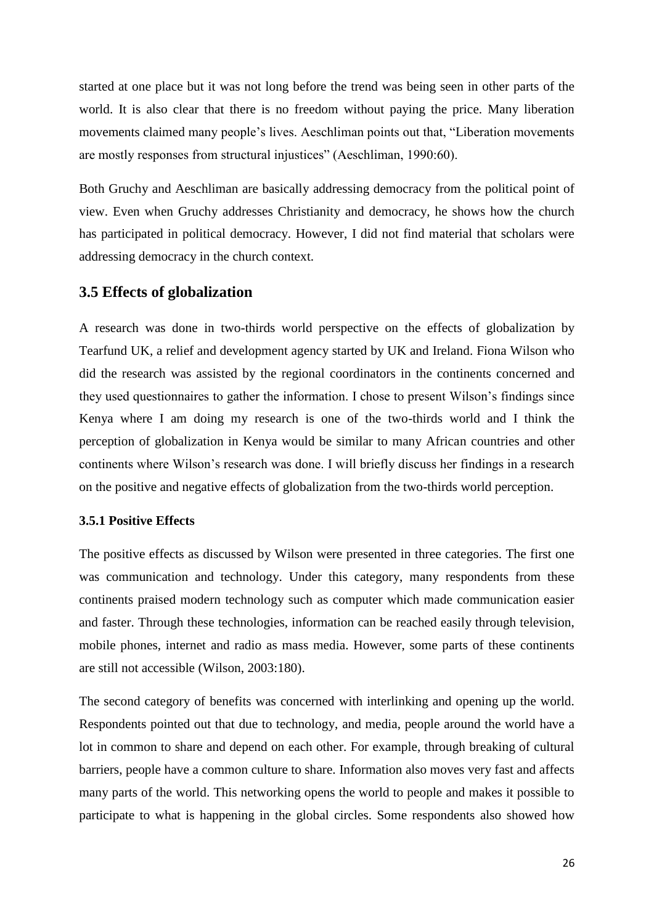started at one place but it was not long before the trend was being seen in other parts of the world. It is also clear that there is no freedom without paying the price. Many liberation movements claimed many people's lives. Aeschliman points out that, "Liberation movements are mostly responses from structural injustices" (Aeschliman, 1990:60).

Both Gruchy and Aeschliman are basically addressing democracy from the political point of view. Even when Gruchy addresses Christianity and democracy, he shows how the church has participated in political democracy. However, I did not find material that scholars were addressing democracy in the church context.

# **3.5 Effects of globalization**

A research was done in two-thirds world perspective on the effects of globalization by Tearfund UK, a relief and development agency started by UK and Ireland. Fiona Wilson who did the research was assisted by the regional coordinators in the continents concerned and they used questionnaires to gather the information. I chose to present Wilson's findings since Kenya where I am doing my research is one of the two-thirds world and I think the perception of globalization in Kenya would be similar to many African countries and other continents where Wilson's research was done. I will briefly discuss her findings in a research on the positive and negative effects of globalization from the two-thirds world perception.

#### **3.5.1 Positive Effects**

The positive effects as discussed by Wilson were presented in three categories. The first one was communication and technology. Under this category, many respondents from these continents praised modern technology such as computer which made communication easier and faster. Through these technologies, information can be reached easily through television, mobile phones, internet and radio as mass media. However, some parts of these continents are still not accessible (Wilson, 2003:180).

The second category of benefits was concerned with interlinking and opening up the world. Respondents pointed out that due to technology, and media, people around the world have a lot in common to share and depend on each other. For example, through breaking of cultural barriers, people have a common culture to share. Information also moves very fast and affects many parts of the world. This networking opens the world to people and makes it possible to participate to what is happening in the global circles. Some respondents also showed how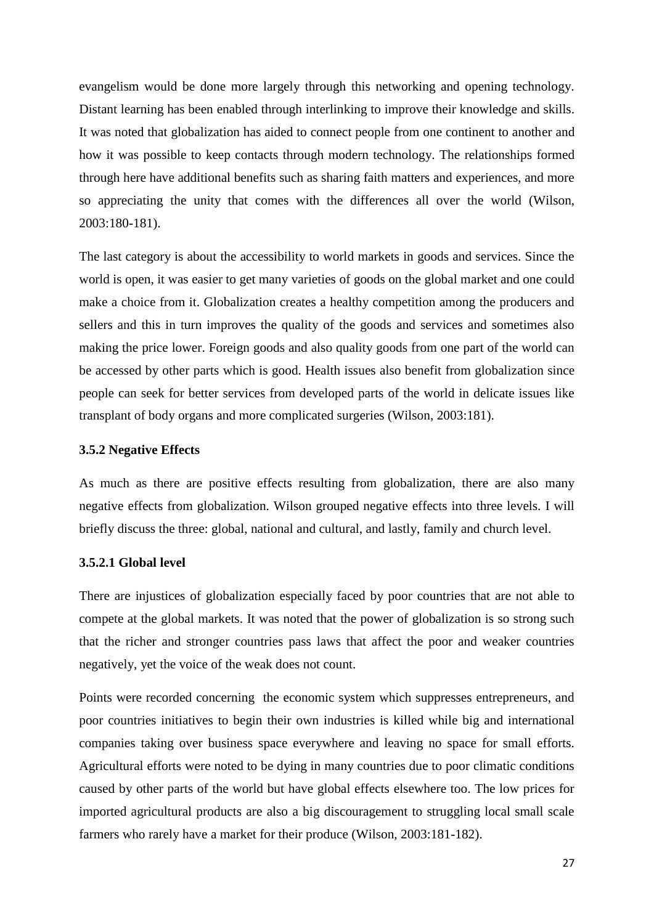evangelism would be done more largely through this networking and opening technology. Distant learning has been enabled through interlinking to improve their knowledge and skills. It was noted that globalization has aided to connect people from one continent to another and how it was possible to keep contacts through modern technology. The relationships formed through here have additional benefits such as sharing faith matters and experiences, and more so appreciating the unity that comes with the differences all over the world (Wilson, 2003:180-181).

The last category is about the accessibility to world markets in goods and services. Since the world is open, it was easier to get many varieties of goods on the global market and one could make a choice from it. Globalization creates a healthy competition among the producers and sellers and this in turn improves the quality of the goods and services and sometimes also making the price lower. Foreign goods and also quality goods from one part of the world can be accessed by other parts which is good. Health issues also benefit from globalization since people can seek for better services from developed parts of the world in delicate issues like transplant of body organs and more complicated surgeries (Wilson, 2003:181).

#### **3.5.2 Negative Effects**

As much as there are positive effects resulting from globalization, there are also many negative effects from globalization. Wilson grouped negative effects into three levels. I will briefly discuss the three: global, national and cultural, and lastly, family and church level.

#### **3.5.2.1 Global level**

There are injustices of globalization especially faced by poor countries that are not able to compete at the global markets. It was noted that the power of globalization is so strong such that the richer and stronger countries pass laws that affect the poor and weaker countries negatively, yet the voice of the weak does not count.

Points were recorded concerning the economic system which suppresses entrepreneurs, and poor countries initiatives to begin their own industries is killed while big and international companies taking over business space everywhere and leaving no space for small efforts. Agricultural efforts were noted to be dying in many countries due to poor climatic conditions caused by other parts of the world but have global effects elsewhere too. The low prices for imported agricultural products are also a big discouragement to struggling local small scale farmers who rarely have a market for their produce (Wilson, 2003:181-182).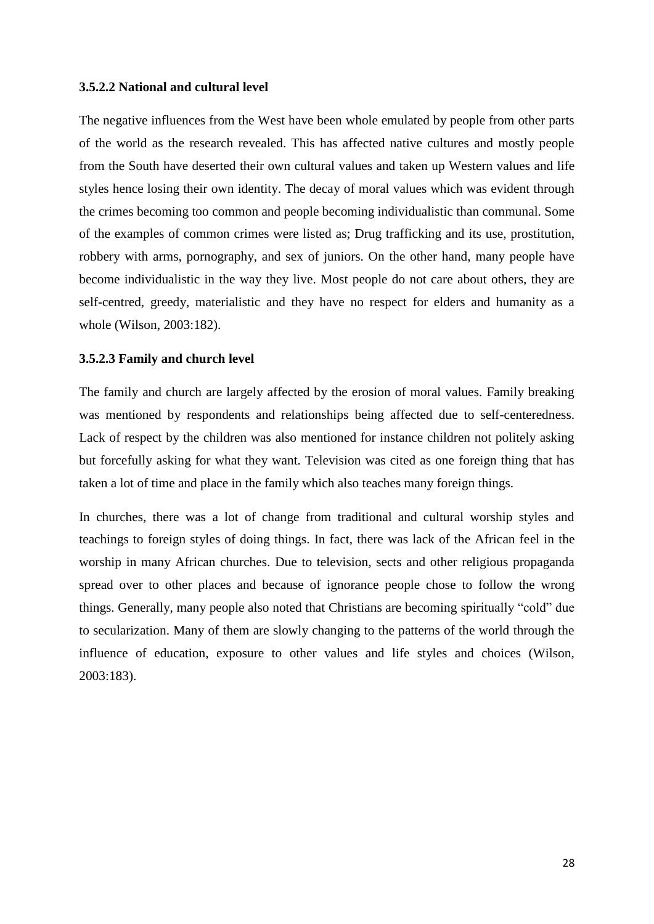#### **3.5.2.2 National and cultural level**

The negative influences from the West have been whole emulated by people from other parts of the world as the research revealed. This has affected native cultures and mostly people from the South have deserted their own cultural values and taken up Western values and life styles hence losing their own identity. The decay of moral values which was evident through the crimes becoming too common and people becoming individualistic than communal. Some of the examples of common crimes were listed as; Drug trafficking and its use, prostitution, robbery with arms, pornography, and sex of juniors. On the other hand, many people have become individualistic in the way they live. Most people do not care about others, they are self-centred, greedy, materialistic and they have no respect for elders and humanity as a whole (Wilson, 2003:182).

#### **3.5.2.3 Family and church level**

The family and church are largely affected by the erosion of moral values. Family breaking was mentioned by respondents and relationships being affected due to self-centeredness. Lack of respect by the children was also mentioned for instance children not politely asking but forcefully asking for what they want. Television was cited as one foreign thing that has taken a lot of time and place in the family which also teaches many foreign things.

In churches, there was a lot of change from traditional and cultural worship styles and teachings to foreign styles of doing things. In fact, there was lack of the African feel in the worship in many African churches. Due to television, sects and other religious propaganda spread over to other places and because of ignorance people chose to follow the wrong things. Generally, many people also noted that Christians are becoming spiritually "cold" due to secularization. Many of them are slowly changing to the patterns of the world through the influence of education, exposure to other values and life styles and choices (Wilson, 2003:183).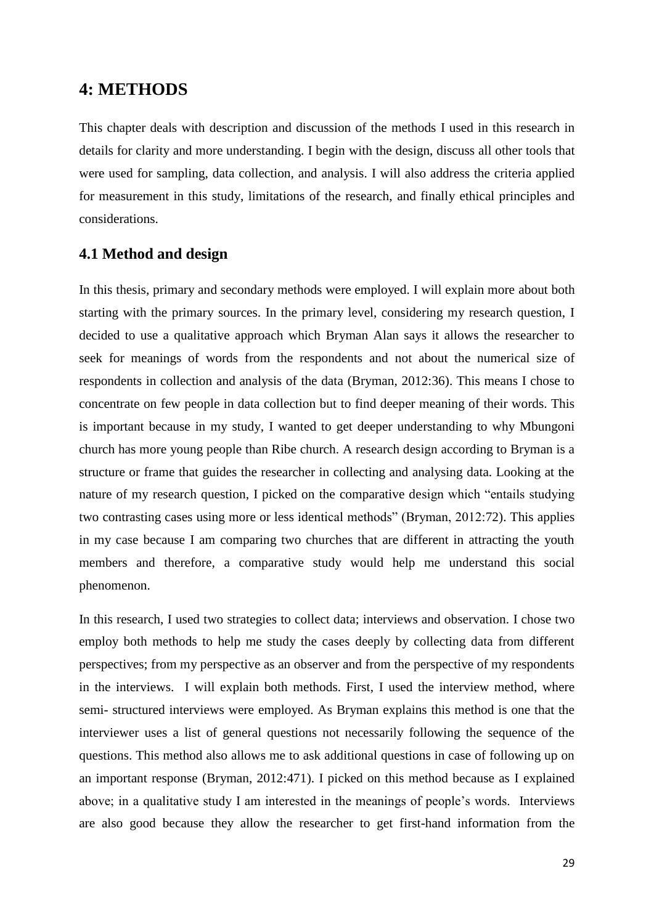# **4: METHODS**

This chapter deals with description and discussion of the methods I used in this research in details for clarity and more understanding. I begin with the design, discuss all other tools that were used for sampling, data collection, and analysis. I will also address the criteria applied for measurement in this study, limitations of the research, and finally ethical principles and considerations.

# **4.1 Method and design**

In this thesis, primary and secondary methods were employed. I will explain more about both starting with the primary sources. In the primary level, considering my research question, I decided to use a qualitative approach which Bryman Alan says it allows the researcher to seek for meanings of words from the respondents and not about the numerical size of respondents in collection and analysis of the data (Bryman, 2012:36). This means I chose to concentrate on few people in data collection but to find deeper meaning of their words. This is important because in my study, I wanted to get deeper understanding to why Mbungoni church has more young people than Ribe church. A research design according to Bryman is a structure or frame that guides the researcher in collecting and analysing data. Looking at the nature of my research question, I picked on the comparative design which "entails studying two contrasting cases using more or less identical methods" (Bryman, 2012:72). This applies in my case because I am comparing two churches that are different in attracting the youth members and therefore, a comparative study would help me understand this social phenomenon.

In this research, I used two strategies to collect data; interviews and observation. I chose two employ both methods to help me study the cases deeply by collecting data from different perspectives; from my perspective as an observer and from the perspective of my respondents in the interviews. I will explain both methods. First, I used the interview method, where semi- structured interviews were employed. As Bryman explains this method is one that the interviewer uses a list of general questions not necessarily following the sequence of the questions. This method also allows me to ask additional questions in case of following up on an important response (Bryman, 2012:471). I picked on this method because as I explained above; in a qualitative study I am interested in the meanings of people's words. Interviews are also good because they allow the researcher to get first-hand information from the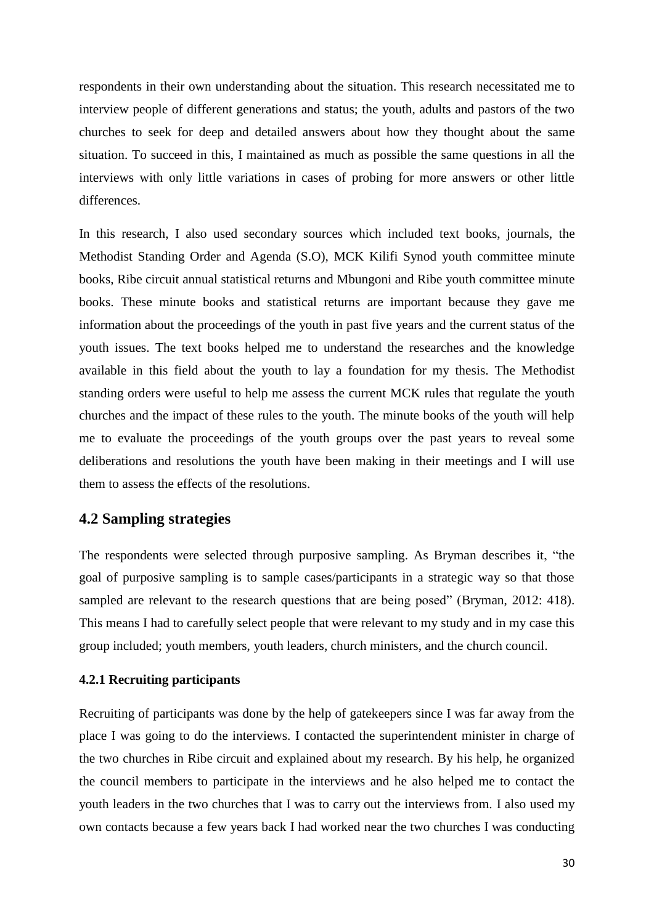respondents in their own understanding about the situation. This research necessitated me to interview people of different generations and status; the youth, adults and pastors of the two churches to seek for deep and detailed answers about how they thought about the same situation. To succeed in this, I maintained as much as possible the same questions in all the interviews with only little variations in cases of probing for more answers or other little differences.

In this research, I also used secondary sources which included text books, journals, the Methodist Standing Order and Agenda (S.O), MCK Kilifi Synod youth committee minute books, Ribe circuit annual statistical returns and Mbungoni and Ribe youth committee minute books. These minute books and statistical returns are important because they gave me information about the proceedings of the youth in past five years and the current status of the youth issues. The text books helped me to understand the researches and the knowledge available in this field about the youth to lay a foundation for my thesis. The Methodist standing orders were useful to help me assess the current MCK rules that regulate the youth churches and the impact of these rules to the youth. The minute books of the youth will help me to evaluate the proceedings of the youth groups over the past years to reveal some deliberations and resolutions the youth have been making in their meetings and I will use them to assess the effects of the resolutions.

# **4.2 Sampling strategies**

The respondents were selected through purposive sampling. As Bryman describes it, "the goal of purposive sampling is to sample cases/participants in a strategic way so that those sampled are relevant to the research questions that are being posed" (Bryman, 2012: 418). This means I had to carefully select people that were relevant to my study and in my case this group included; youth members, youth leaders, church ministers, and the church council.

### **4.2.1 Recruiting participants**

Recruiting of participants was done by the help of gatekeepers since I was far away from the place I was going to do the interviews. I contacted the superintendent minister in charge of the two churches in Ribe circuit and explained about my research. By his help, he organized the council members to participate in the interviews and he also helped me to contact the youth leaders in the two churches that I was to carry out the interviews from. I also used my own contacts because a few years back I had worked near the two churches I was conducting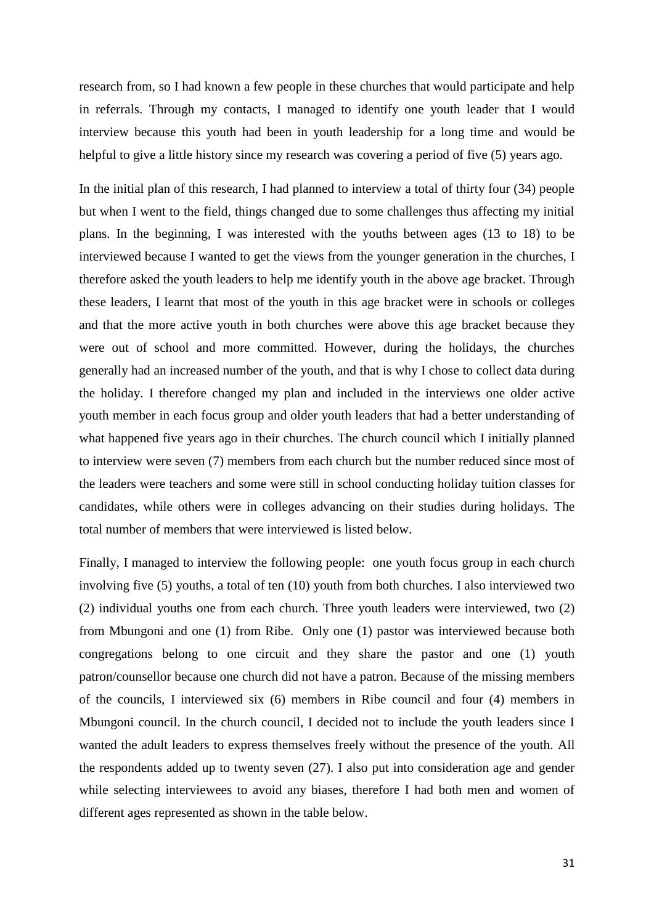research from, so I had known a few people in these churches that would participate and help in referrals. Through my contacts, I managed to identify one youth leader that I would interview because this youth had been in youth leadership for a long time and would be helpful to give a little history since my research was covering a period of five (5) years ago.

In the initial plan of this research, I had planned to interview a total of thirty four (34) people but when I went to the field, things changed due to some challenges thus affecting my initial plans. In the beginning, I was interested with the youths between ages (13 to 18) to be interviewed because I wanted to get the views from the younger generation in the churches, I therefore asked the youth leaders to help me identify youth in the above age bracket. Through these leaders, I learnt that most of the youth in this age bracket were in schools or colleges and that the more active youth in both churches were above this age bracket because they were out of school and more committed. However, during the holidays, the churches generally had an increased number of the youth, and that is why I chose to collect data during the holiday. I therefore changed my plan and included in the interviews one older active youth member in each focus group and older youth leaders that had a better understanding of what happened five years ago in their churches. The church council which I initially planned to interview were seven (7) members from each church but the number reduced since most of the leaders were teachers and some were still in school conducting holiday tuition classes for candidates, while others were in colleges advancing on their studies during holidays. The total number of members that were interviewed is listed below.

Finally, I managed to interview the following people: one youth focus group in each church involving five (5) youths, a total of ten (10) youth from both churches. I also interviewed two (2) individual youths one from each church. Three youth leaders were interviewed, two (2) from Mbungoni and one (1) from Ribe. Only one (1) pastor was interviewed because both congregations belong to one circuit and they share the pastor and one (1) youth patron/counsellor because one church did not have a patron. Because of the missing members of the councils, I interviewed six (6) members in Ribe council and four (4) members in Mbungoni council. In the church council, I decided not to include the youth leaders since I wanted the adult leaders to express themselves freely without the presence of the youth. All the respondents added up to twenty seven (27). I also put into consideration age and gender while selecting interviewees to avoid any biases, therefore I had both men and women of different ages represented as shown in the table below.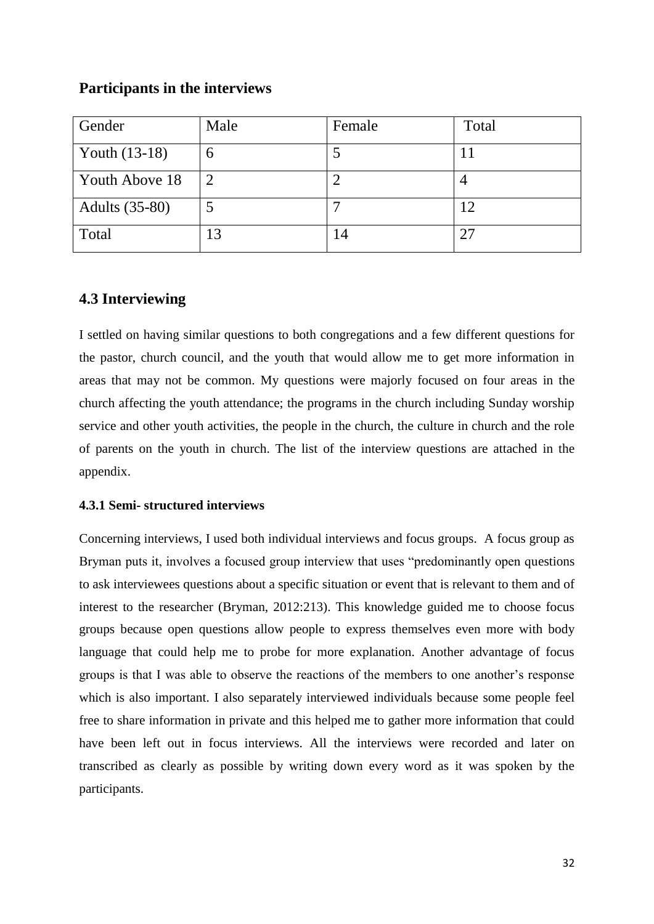# **Participants in the interviews**

| Gender                | Male           | Female | Total |
|-----------------------|----------------|--------|-------|
| Youth (13-18)         | O              |        |       |
| Youth Above 18        | $\overline{2}$ |        |       |
| <b>Adults</b> (35-80) |                |        | 12    |
| Total                 | 13             | 14     | 27    |

# **4.3 Interviewing**

I settled on having similar questions to both congregations and a few different questions for the pastor, church council, and the youth that would allow me to get more information in areas that may not be common. My questions were majorly focused on four areas in the church affecting the youth attendance; the programs in the church including Sunday worship service and other youth activities, the people in the church, the culture in church and the role of parents on the youth in church. The list of the interview questions are attached in the appendix.

# **4.3.1 Semi- structured interviews**

Concerning interviews, I used both individual interviews and focus groups. A focus group as Bryman puts it, involves a focused group interview that uses "predominantly open questions to ask interviewees questions about a specific situation or event that is relevant to them and of interest to the researcher (Bryman, 2012:213). This knowledge guided me to choose focus groups because open questions allow people to express themselves even more with body language that could help me to probe for more explanation. Another advantage of focus groups is that I was able to observe the reactions of the members to one another's response which is also important. I also separately interviewed individuals because some people feel free to share information in private and this helped me to gather more information that could have been left out in focus interviews. All the interviews were recorded and later on transcribed as clearly as possible by writing down every word as it was spoken by the participants.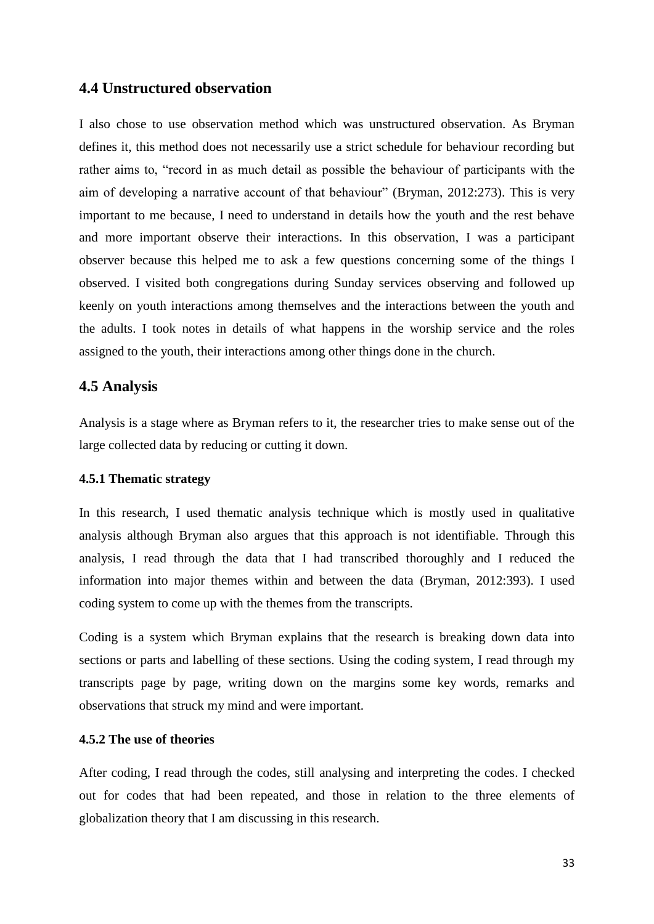# **4.4 Unstructured observation**

I also chose to use observation method which was unstructured observation. As Bryman defines it, this method does not necessarily use a strict schedule for behaviour recording but rather aims to, "record in as much detail as possible the behaviour of participants with the aim of developing a narrative account of that behaviour" (Bryman, 2012:273). This is very important to me because, I need to understand in details how the youth and the rest behave and more important observe their interactions. In this observation, I was a participant observer because this helped me to ask a few questions concerning some of the things I observed. I visited both congregations during Sunday services observing and followed up keenly on youth interactions among themselves and the interactions between the youth and the adults. I took notes in details of what happens in the worship service and the roles assigned to the youth, their interactions among other things done in the church.

# **4.5 Analysis**

Analysis is a stage where as Bryman refers to it, the researcher tries to make sense out of the large collected data by reducing or cutting it down.

#### **4.5.1 Thematic strategy**

In this research, I used thematic analysis technique which is mostly used in qualitative analysis although Bryman also argues that this approach is not identifiable. Through this analysis, I read through the data that I had transcribed thoroughly and I reduced the information into major themes within and between the data (Bryman, 2012:393). I used coding system to come up with the themes from the transcripts.

Coding is a system which Bryman explains that the research is breaking down data into sections or parts and labelling of these sections. Using the coding system, I read through my transcripts page by page, writing down on the margins some key words, remarks and observations that struck my mind and were important.

### **4.5.2 The use of theories**

After coding, I read through the codes, still analysing and interpreting the codes. I checked out for codes that had been repeated, and those in relation to the three elements of globalization theory that I am discussing in this research.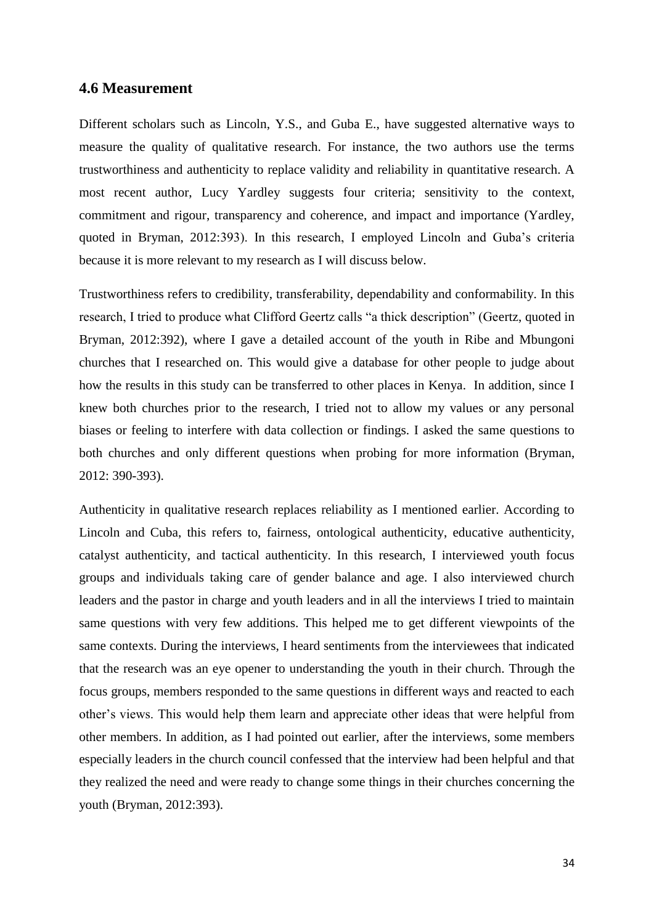### **4.6 Measurement**

Different scholars such as Lincoln, Y.S., and Guba E., have suggested alternative ways to measure the quality of qualitative research. For instance, the two authors use the terms trustworthiness and authenticity to replace validity and reliability in quantitative research. A most recent author, Lucy Yardley suggests four criteria; sensitivity to the context, commitment and rigour, transparency and coherence, and impact and importance (Yardley, quoted in Bryman, 2012:393). In this research, I employed Lincoln and Guba's criteria because it is more relevant to my research as I will discuss below.

Trustworthiness refers to credibility, transferability, dependability and conformability. In this research, I tried to produce what Clifford Geertz calls "a thick description" (Geertz, quoted in Bryman, 2012:392), where I gave a detailed account of the youth in Ribe and Mbungoni churches that I researched on. This would give a database for other people to judge about how the results in this study can be transferred to other places in Kenya. In addition, since I knew both churches prior to the research, I tried not to allow my values or any personal biases or feeling to interfere with data collection or findings. I asked the same questions to both churches and only different questions when probing for more information (Bryman, 2012: 390-393).

Authenticity in qualitative research replaces reliability as I mentioned earlier. According to Lincoln and Cuba, this refers to, fairness, ontological authenticity, educative authenticity, catalyst authenticity, and tactical authenticity. In this research, I interviewed youth focus groups and individuals taking care of gender balance and age. I also interviewed church leaders and the pastor in charge and youth leaders and in all the interviews I tried to maintain same questions with very few additions. This helped me to get different viewpoints of the same contexts. During the interviews, I heard sentiments from the interviewees that indicated that the research was an eye opener to understanding the youth in their church. Through the focus groups, members responded to the same questions in different ways and reacted to each other's views. This would help them learn and appreciate other ideas that were helpful from other members. In addition, as I had pointed out earlier, after the interviews, some members especially leaders in the church council confessed that the interview had been helpful and that they realized the need and were ready to change some things in their churches concerning the youth (Bryman, 2012:393).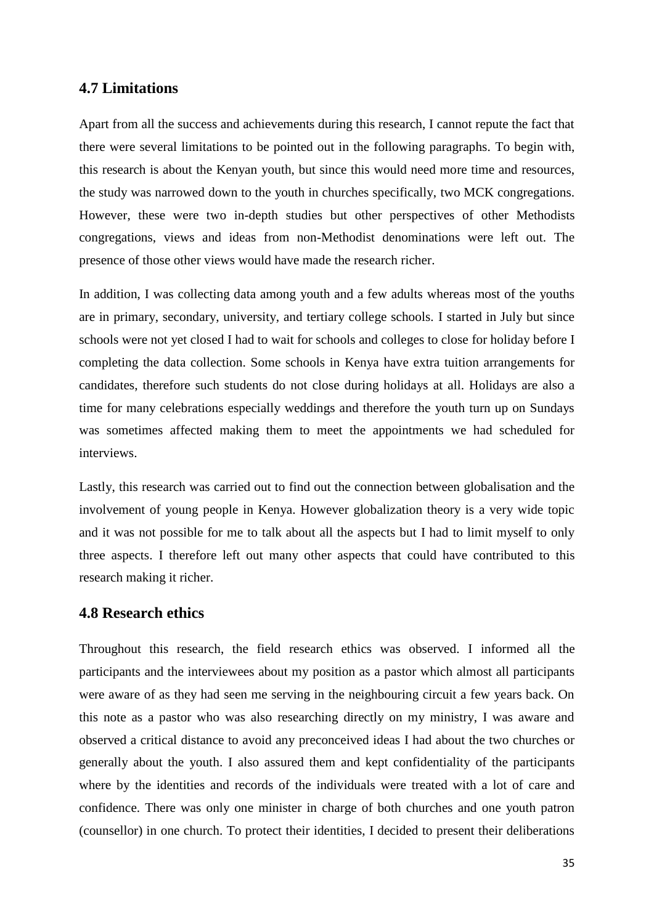### **4.7 Limitations**

Apart from all the success and achievements during this research, I cannot repute the fact that there were several limitations to be pointed out in the following paragraphs. To begin with, this research is about the Kenyan youth, but since this would need more time and resources, the study was narrowed down to the youth in churches specifically, two MCK congregations. However, these were two in-depth studies but other perspectives of other Methodists congregations, views and ideas from non-Methodist denominations were left out. The presence of those other views would have made the research richer.

In addition, I was collecting data among youth and a few adults whereas most of the youths are in primary, secondary, university, and tertiary college schools. I started in July but since schools were not yet closed I had to wait for schools and colleges to close for holiday before I completing the data collection. Some schools in Kenya have extra tuition arrangements for candidates, therefore such students do not close during holidays at all. Holidays are also a time for many celebrations especially weddings and therefore the youth turn up on Sundays was sometimes affected making them to meet the appointments we had scheduled for interviews.

Lastly, this research was carried out to find out the connection between globalisation and the involvement of young people in Kenya. However globalization theory is a very wide topic and it was not possible for me to talk about all the aspects but I had to limit myself to only three aspects. I therefore left out many other aspects that could have contributed to this research making it richer.

### **4.8 Research ethics**

Throughout this research, the field research ethics was observed. I informed all the participants and the interviewees about my position as a pastor which almost all participants were aware of as they had seen me serving in the neighbouring circuit a few years back. On this note as a pastor who was also researching directly on my ministry, I was aware and observed a critical distance to avoid any preconceived ideas I had about the two churches or generally about the youth. I also assured them and kept confidentiality of the participants where by the identities and records of the individuals were treated with a lot of care and confidence. There was only one minister in charge of both churches and one youth patron (counsellor) in one church. To protect their identities, I decided to present their deliberations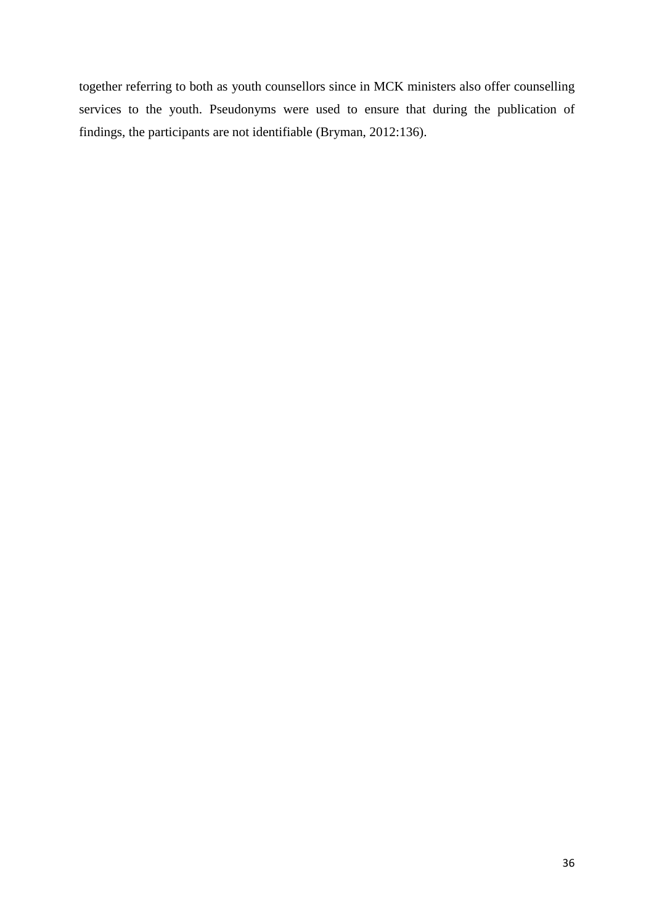together referring to both as youth counsellors since in MCK ministers also offer counselling services to the youth. Pseudonyms were used to ensure that during the publication of findings, the participants are not identifiable (Bryman, 2012:136).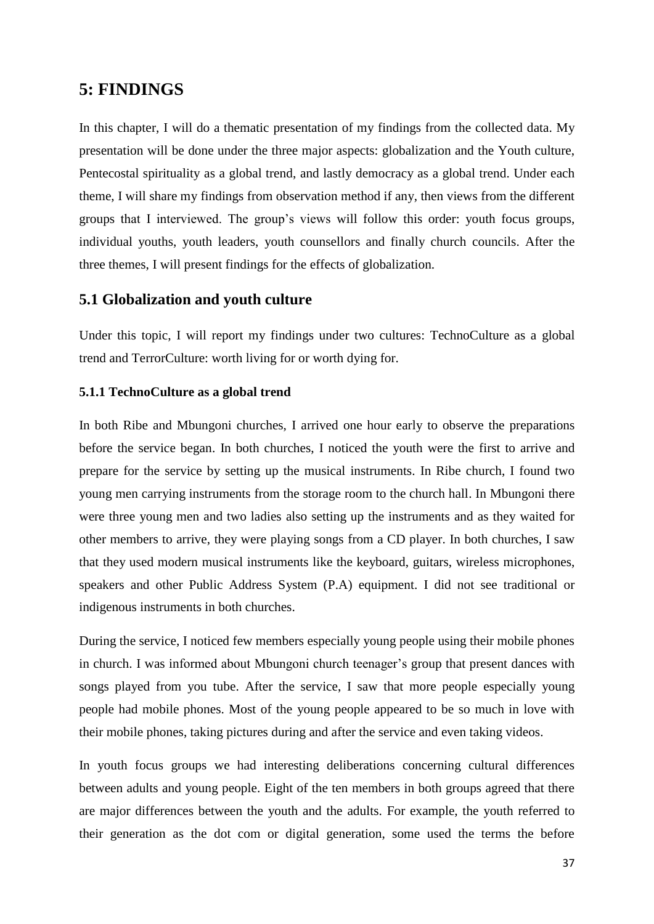# **5: FINDINGS**

In this chapter, I will do a thematic presentation of my findings from the collected data. My presentation will be done under the three major aspects: globalization and the Youth culture, Pentecostal spirituality as a global trend, and lastly democracy as a global trend. Under each theme, I will share my findings from observation method if any, then views from the different groups that I interviewed. The group's views will follow this order: youth focus groups, individual youths, youth leaders, youth counsellors and finally church councils. After the three themes, I will present findings for the effects of globalization.

# **5.1 Globalization and youth culture**

Under this topic, I will report my findings under two cultures: TechnoCulture as a global trend and TerrorCulture: worth living for or worth dying for.

### **5.1.1 TechnoCulture as a global trend**

In both Ribe and Mbungoni churches, I arrived one hour early to observe the preparations before the service began. In both churches, I noticed the youth were the first to arrive and prepare for the service by setting up the musical instruments. In Ribe church, I found two young men carrying instruments from the storage room to the church hall. In Mbungoni there were three young men and two ladies also setting up the instruments and as they waited for other members to arrive, they were playing songs from a CD player. In both churches, I saw that they used modern musical instruments like the keyboard, guitars, wireless microphones, speakers and other Public Address System (P.A) equipment. I did not see traditional or indigenous instruments in both churches.

During the service, I noticed few members especially young people using their mobile phones in church. I was informed about Mbungoni church teenager's group that present dances with songs played from you tube. After the service, I saw that more people especially young people had mobile phones. Most of the young people appeared to be so much in love with their mobile phones, taking pictures during and after the service and even taking videos.

In youth focus groups we had interesting deliberations concerning cultural differences between adults and young people. Eight of the ten members in both groups agreed that there are major differences between the youth and the adults. For example, the youth referred to their generation as the dot com or digital generation, some used the terms the before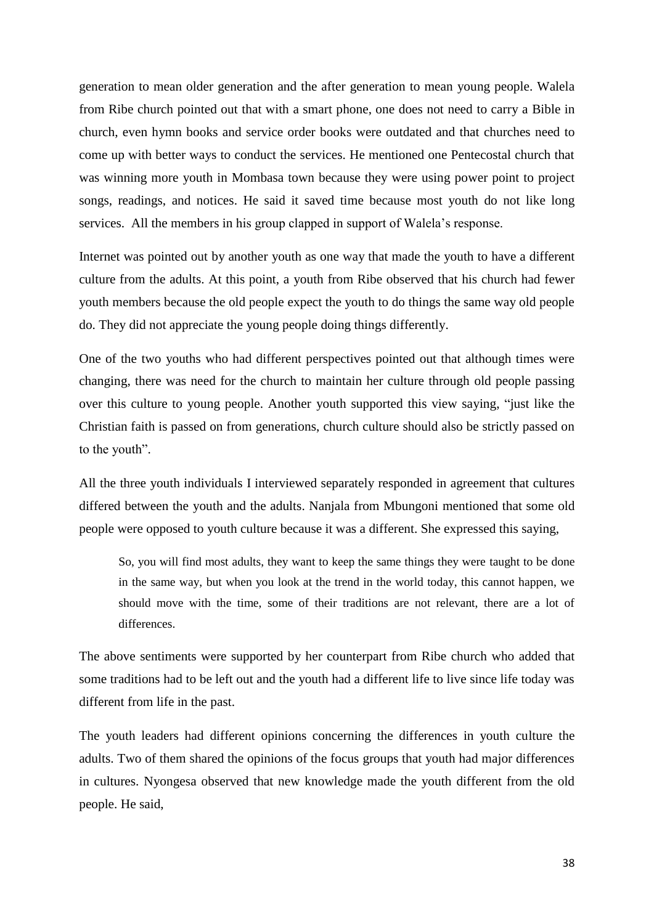generation to mean older generation and the after generation to mean young people. Walela from Ribe church pointed out that with a smart phone, one does not need to carry a Bible in church, even hymn books and service order books were outdated and that churches need to come up with better ways to conduct the services. He mentioned one Pentecostal church that was winning more youth in Mombasa town because they were using power point to project songs, readings, and notices. He said it saved time because most youth do not like long services. All the members in his group clapped in support of Walela's response.

Internet was pointed out by another youth as one way that made the youth to have a different culture from the adults. At this point, a youth from Ribe observed that his church had fewer youth members because the old people expect the youth to do things the same way old people do. They did not appreciate the young people doing things differently.

One of the two youths who had different perspectives pointed out that although times were changing, there was need for the church to maintain her culture through old people passing over this culture to young people. Another youth supported this view saying, "just like the Christian faith is passed on from generations, church culture should also be strictly passed on to the youth".

All the three youth individuals I interviewed separately responded in agreement that cultures differed between the youth and the adults. Nanjala from Mbungoni mentioned that some old people were opposed to youth culture because it was a different. She expressed this saying,

So, you will find most adults, they want to keep the same things they were taught to be done in the same way, but when you look at the trend in the world today, this cannot happen, we should move with the time, some of their traditions are not relevant, there are a lot of differences.

The above sentiments were supported by her counterpart from Ribe church who added that some traditions had to be left out and the youth had a different life to live since life today was different from life in the past.

The youth leaders had different opinions concerning the differences in youth culture the adults. Two of them shared the opinions of the focus groups that youth had major differences in cultures. Nyongesa observed that new knowledge made the youth different from the old people. He said,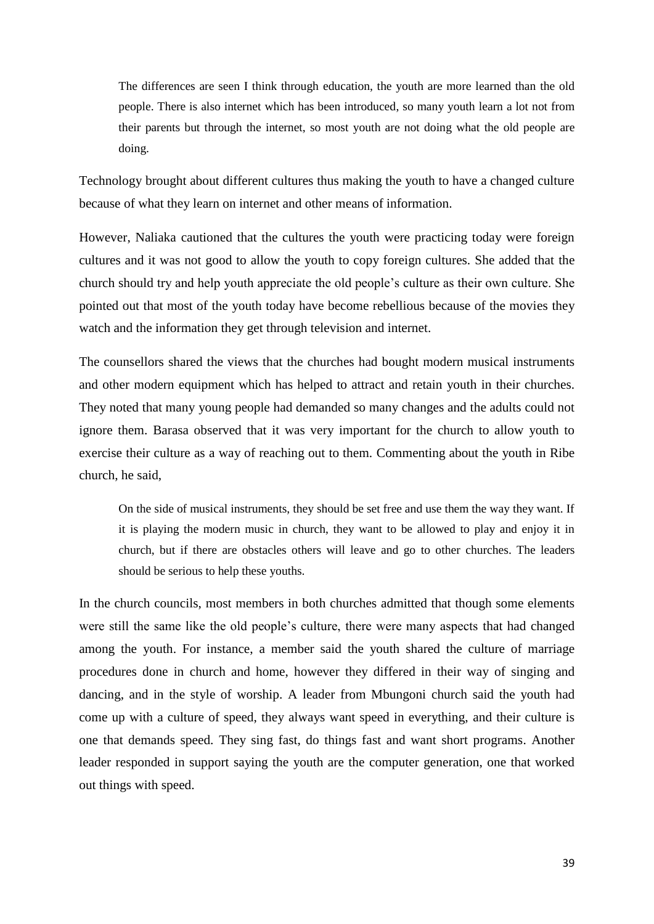The differences are seen I think through education, the youth are more learned than the old people. There is also internet which has been introduced, so many youth learn a lot not from their parents but through the internet, so most youth are not doing what the old people are doing.

Technology brought about different cultures thus making the youth to have a changed culture because of what they learn on internet and other means of information.

However, Naliaka cautioned that the cultures the youth were practicing today were foreign cultures and it was not good to allow the youth to copy foreign cultures. She added that the church should try and help youth appreciate the old people's culture as their own culture. She pointed out that most of the youth today have become rebellious because of the movies they watch and the information they get through television and internet.

The counsellors shared the views that the churches had bought modern musical instruments and other modern equipment which has helped to attract and retain youth in their churches. They noted that many young people had demanded so many changes and the adults could not ignore them. Barasa observed that it was very important for the church to allow youth to exercise their culture as a way of reaching out to them. Commenting about the youth in Ribe church, he said,

On the side of musical instruments, they should be set free and use them the way they want. If it is playing the modern music in church, they want to be allowed to play and enjoy it in church, but if there are obstacles others will leave and go to other churches. The leaders should be serious to help these youths.

In the church councils, most members in both churches admitted that though some elements were still the same like the old people's culture, there were many aspects that had changed among the youth. For instance, a member said the youth shared the culture of marriage procedures done in church and home, however they differed in their way of singing and dancing, and in the style of worship. A leader from Mbungoni church said the youth had come up with a culture of speed, they always want speed in everything, and their culture is one that demands speed. They sing fast, do things fast and want short programs. Another leader responded in support saying the youth are the computer generation, one that worked out things with speed.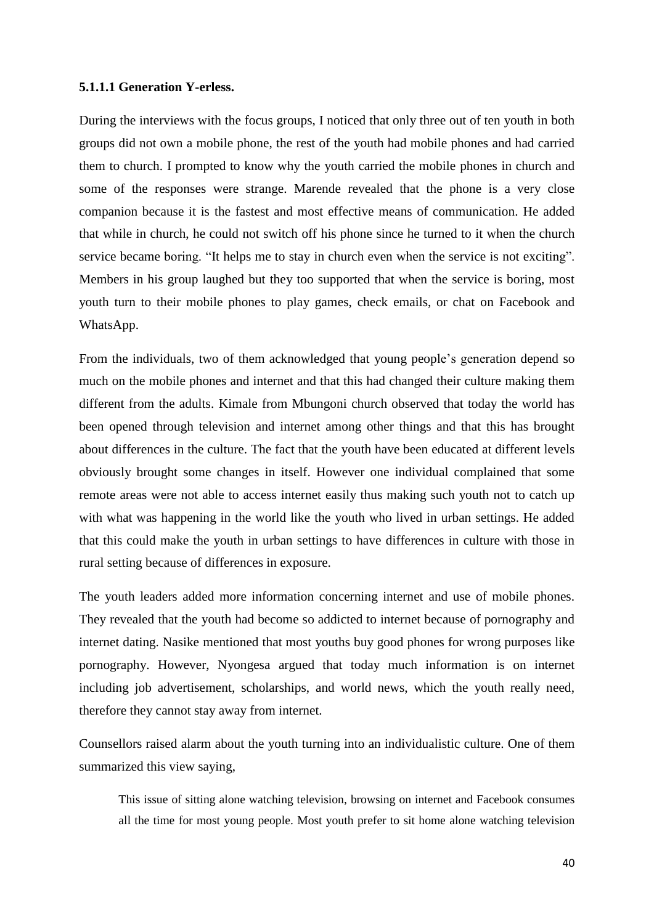#### **5.1.1.1 Generation Y-erless.**

During the interviews with the focus groups, I noticed that only three out of ten youth in both groups did not own a mobile phone, the rest of the youth had mobile phones and had carried them to church. I prompted to know why the youth carried the mobile phones in church and some of the responses were strange. Marende revealed that the phone is a very close companion because it is the fastest and most effective means of communication. He added that while in church, he could not switch off his phone since he turned to it when the church service became boring. "It helps me to stay in church even when the service is not exciting". Members in his group laughed but they too supported that when the service is boring, most youth turn to their mobile phones to play games, check emails, or chat on Facebook and WhatsApp.

From the individuals, two of them acknowledged that young people's generation depend so much on the mobile phones and internet and that this had changed their culture making them different from the adults. Kimale from Mbungoni church observed that today the world has been opened through television and internet among other things and that this has brought about differences in the culture. The fact that the youth have been educated at different levels obviously brought some changes in itself. However one individual complained that some remote areas were not able to access internet easily thus making such youth not to catch up with what was happening in the world like the youth who lived in urban settings. He added that this could make the youth in urban settings to have differences in culture with those in rural setting because of differences in exposure.

The youth leaders added more information concerning internet and use of mobile phones. They revealed that the youth had become so addicted to internet because of pornography and internet dating. Nasike mentioned that most youths buy good phones for wrong purposes like pornography. However, Nyongesa argued that today much information is on internet including job advertisement, scholarships, and world news, which the youth really need, therefore they cannot stay away from internet.

Counsellors raised alarm about the youth turning into an individualistic culture. One of them summarized this view saying,

This issue of sitting alone watching television, browsing on internet and Facebook consumes all the time for most young people. Most youth prefer to sit home alone watching television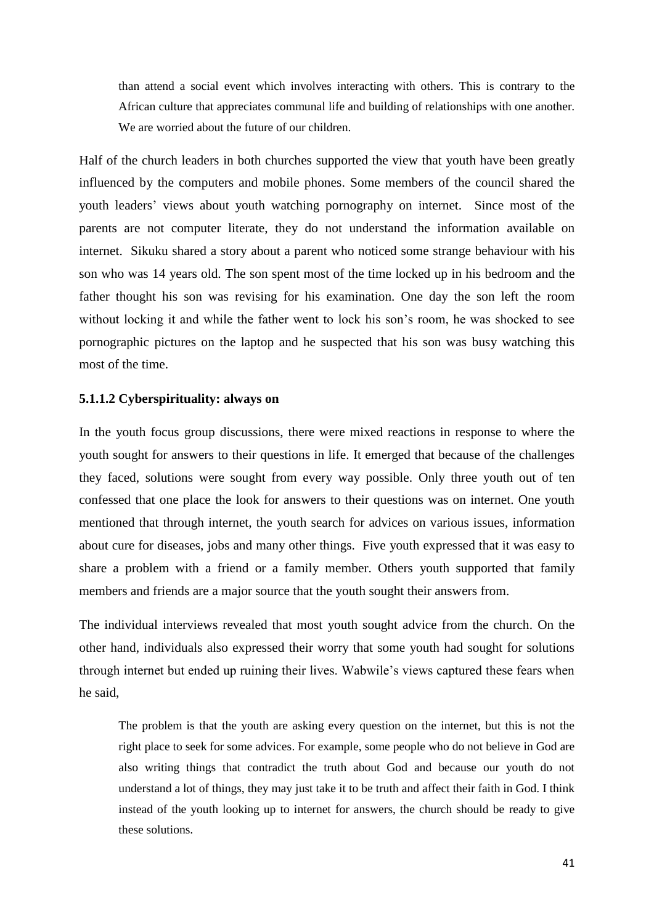than attend a social event which involves interacting with others. This is contrary to the African culture that appreciates communal life and building of relationships with one another. We are worried about the future of our children.

Half of the church leaders in both churches supported the view that youth have been greatly influenced by the computers and mobile phones. Some members of the council shared the youth leaders' views about youth watching pornography on internet. Since most of the parents are not computer literate, they do not understand the information available on internet. Sikuku shared a story about a parent who noticed some strange behaviour with his son who was 14 years old. The son spent most of the time locked up in his bedroom and the father thought his son was revising for his examination. One day the son left the room without locking it and while the father went to lock his son's room, he was shocked to see pornographic pictures on the laptop and he suspected that his son was busy watching this most of the time.

### **5.1.1.2 Cyberspirituality: always on**

In the youth focus group discussions, there were mixed reactions in response to where the youth sought for answers to their questions in life. It emerged that because of the challenges they faced, solutions were sought from every way possible. Only three youth out of ten confessed that one place the look for answers to their questions was on internet. One youth mentioned that through internet, the youth search for advices on various issues, information about cure for diseases, jobs and many other things. Five youth expressed that it was easy to share a problem with a friend or a family member. Others youth supported that family members and friends are a major source that the youth sought their answers from.

The individual interviews revealed that most youth sought advice from the church. On the other hand, individuals also expressed their worry that some youth had sought for solutions through internet but ended up ruining their lives. Wabwile's views captured these fears when he said,

The problem is that the youth are asking every question on the internet, but this is not the right place to seek for some advices. For example, some people who do not believe in God are also writing things that contradict the truth about God and because our youth do not understand a lot of things, they may just take it to be truth and affect their faith in God. I think instead of the youth looking up to internet for answers, the church should be ready to give these solutions.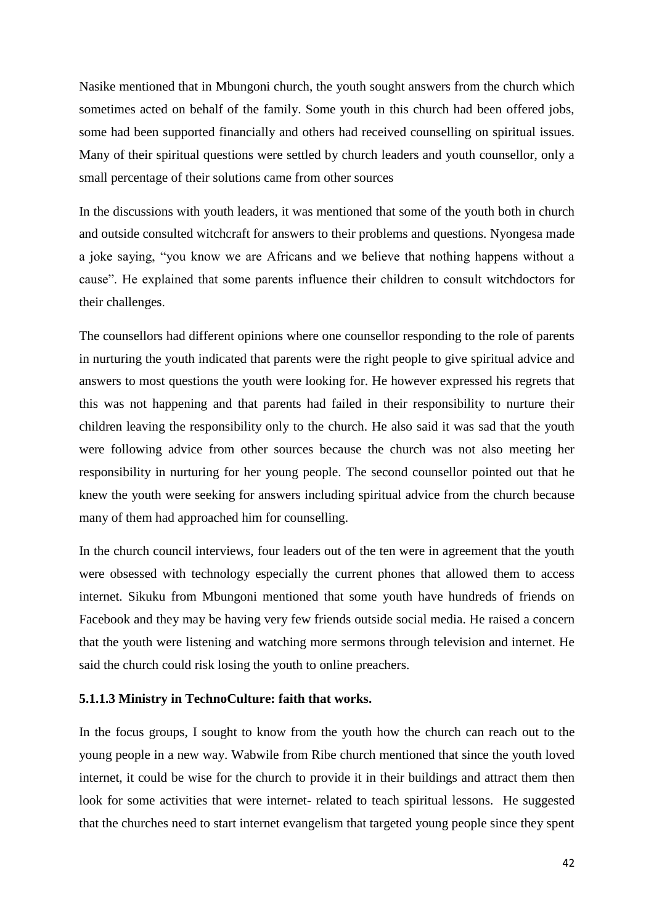Nasike mentioned that in Mbungoni church, the youth sought answers from the church which sometimes acted on behalf of the family. Some youth in this church had been offered jobs, some had been supported financially and others had received counselling on spiritual issues. Many of their spiritual questions were settled by church leaders and youth counsellor, only a small percentage of their solutions came from other sources

In the discussions with youth leaders, it was mentioned that some of the youth both in church and outside consulted witchcraft for answers to their problems and questions. Nyongesa made a joke saying, "you know we are Africans and we believe that nothing happens without a cause". He explained that some parents influence their children to consult witchdoctors for their challenges.

The counsellors had different opinions where one counsellor responding to the role of parents in nurturing the youth indicated that parents were the right people to give spiritual advice and answers to most questions the youth were looking for. He however expressed his regrets that this was not happening and that parents had failed in their responsibility to nurture their children leaving the responsibility only to the church. He also said it was sad that the youth were following advice from other sources because the church was not also meeting her responsibility in nurturing for her young people. The second counsellor pointed out that he knew the youth were seeking for answers including spiritual advice from the church because many of them had approached him for counselling.

In the church council interviews, four leaders out of the ten were in agreement that the youth were obsessed with technology especially the current phones that allowed them to access internet. Sikuku from Mbungoni mentioned that some youth have hundreds of friends on Facebook and they may be having very few friends outside social media. He raised a concern that the youth were listening and watching more sermons through television and internet. He said the church could risk losing the youth to online preachers.

### **5.1.1.3 Ministry in TechnoCulture: faith that works.**

In the focus groups, I sought to know from the youth how the church can reach out to the young people in a new way. Wabwile from Ribe church mentioned that since the youth loved internet, it could be wise for the church to provide it in their buildings and attract them then look for some activities that were internet- related to teach spiritual lessons. He suggested that the churches need to start internet evangelism that targeted young people since they spent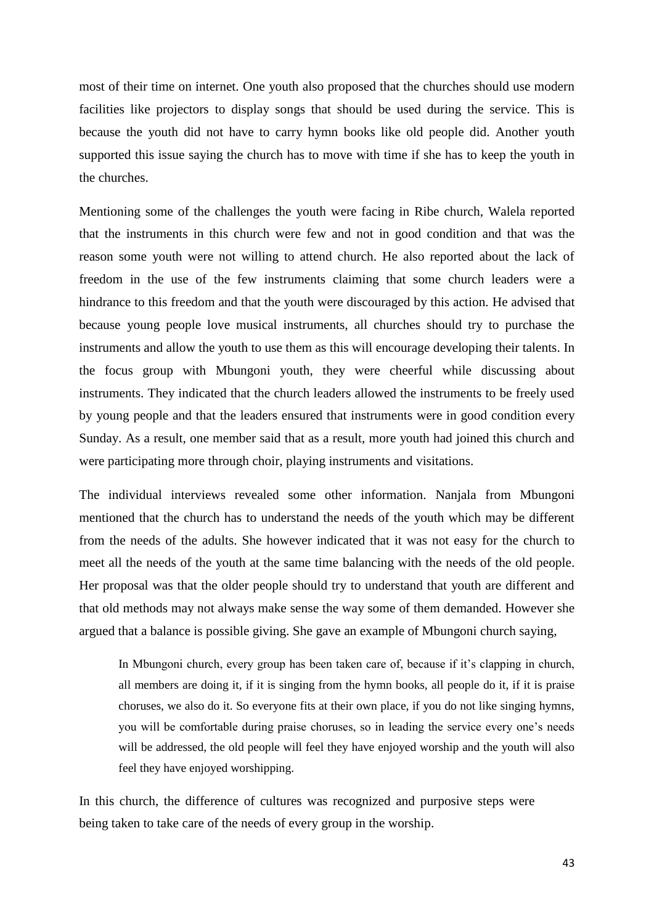most of their time on internet. One youth also proposed that the churches should use modern facilities like projectors to display songs that should be used during the service. This is because the youth did not have to carry hymn books like old people did. Another youth supported this issue saying the church has to move with time if she has to keep the youth in the churches.

Mentioning some of the challenges the youth were facing in Ribe church, Walela reported that the instruments in this church were few and not in good condition and that was the reason some youth were not willing to attend church. He also reported about the lack of freedom in the use of the few instruments claiming that some church leaders were a hindrance to this freedom and that the youth were discouraged by this action. He advised that because young people love musical instruments, all churches should try to purchase the instruments and allow the youth to use them as this will encourage developing their talents. In the focus group with Mbungoni youth, they were cheerful while discussing about instruments. They indicated that the church leaders allowed the instruments to be freely used by young people and that the leaders ensured that instruments were in good condition every Sunday. As a result, one member said that as a result, more youth had joined this church and were participating more through choir, playing instruments and visitations.

The individual interviews revealed some other information. Nanjala from Mbungoni mentioned that the church has to understand the needs of the youth which may be different from the needs of the adults. She however indicated that it was not easy for the church to meet all the needs of the youth at the same time balancing with the needs of the old people. Her proposal was that the older people should try to understand that youth are different and that old methods may not always make sense the way some of them demanded. However she argued that a balance is possible giving. She gave an example of Mbungoni church saying,

In Mbungoni church, every group has been taken care of, because if it's clapping in church, all members are doing it, if it is singing from the hymn books, all people do it, if it is praise choruses, we also do it. So everyone fits at their own place, if you do not like singing hymns, you will be comfortable during praise choruses, so in leading the service every one's needs will be addressed, the old people will feel they have enjoyed worship and the youth will also feel they have enjoyed worshipping.

In this church, the difference of cultures was recognized and purposive steps were being taken to take care of the needs of every group in the worship.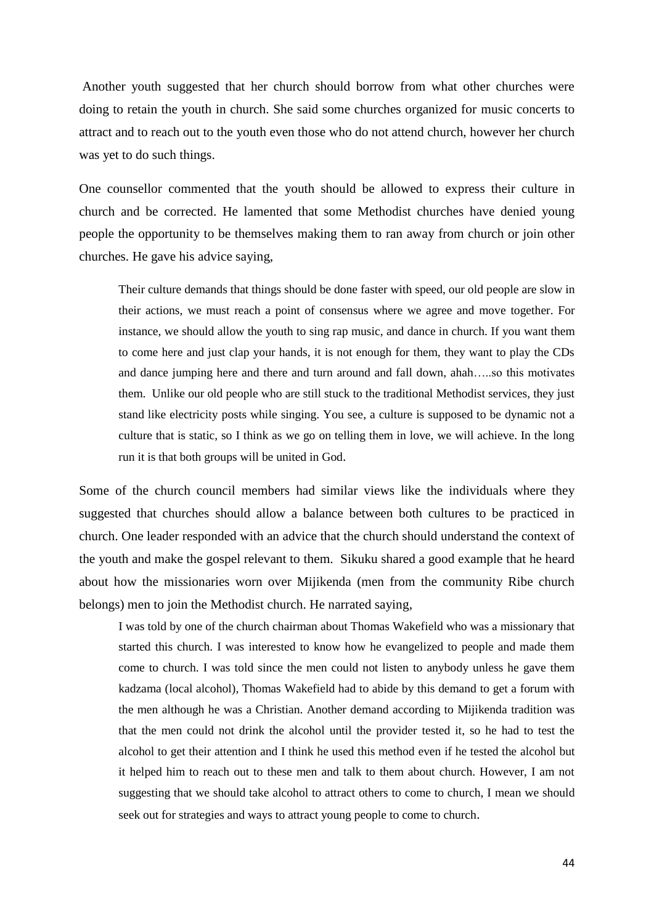Another youth suggested that her church should borrow from what other churches were doing to retain the youth in church. She said some churches organized for music concerts to attract and to reach out to the youth even those who do not attend church, however her church was yet to do such things.

One counsellor commented that the youth should be allowed to express their culture in church and be corrected. He lamented that some Methodist churches have denied young people the opportunity to be themselves making them to ran away from church or join other churches. He gave his advice saying,

Their culture demands that things should be done faster with speed, our old people are slow in their actions, we must reach a point of consensus where we agree and move together. For instance, we should allow the youth to sing rap music, and dance in church. If you want them to come here and just clap your hands, it is not enough for them, they want to play the CDs and dance jumping here and there and turn around and fall down, ahah…..so this motivates them. Unlike our old people who are still stuck to the traditional Methodist services, they just stand like electricity posts while singing. You see, a culture is supposed to be dynamic not a culture that is static, so I think as we go on telling them in love, we will achieve. In the long run it is that both groups will be united in God.

Some of the church council members had similar views like the individuals where they suggested that churches should allow a balance between both cultures to be practiced in church. One leader responded with an advice that the church should understand the context of the youth and make the gospel relevant to them. Sikuku shared a good example that he heard about how the missionaries worn over Mijikenda (men from the community Ribe church belongs) men to join the Methodist church. He narrated saying,

I was told by one of the church chairman about Thomas Wakefield who was a missionary that started this church. I was interested to know how he evangelized to people and made them come to church. I was told since the men could not listen to anybody unless he gave them kadzama (local alcohol), Thomas Wakefield had to abide by this demand to get a forum with the men although he was a Christian. Another demand according to Mijikenda tradition was that the men could not drink the alcohol until the provider tested it, so he had to test the alcohol to get their attention and I think he used this method even if he tested the alcohol but it helped him to reach out to these men and talk to them about church. However, I am not suggesting that we should take alcohol to attract others to come to church, I mean we should seek out for strategies and ways to attract young people to come to church.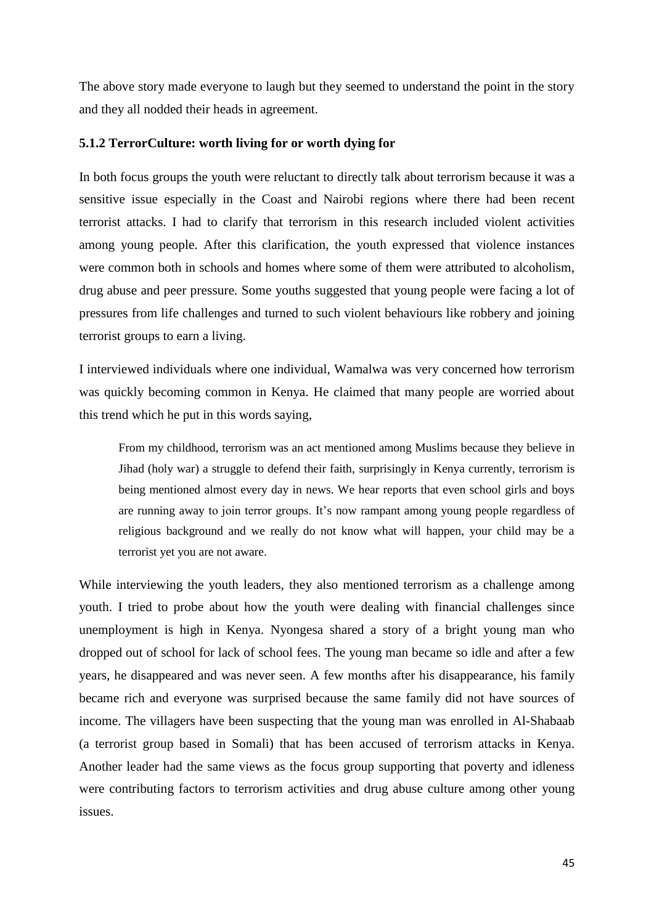The above story made everyone to laugh but they seemed to understand the point in the story and they all nodded their heads in agreement.

#### **5.1.2 TerrorCulture: worth living for or worth dying for**

In both focus groups the youth were reluctant to directly talk about terrorism because it was a sensitive issue especially in the Coast and Nairobi regions where there had been recent terrorist attacks. I had to clarify that terrorism in this research included violent activities among young people. After this clarification, the youth expressed that violence instances were common both in schools and homes where some of them were attributed to alcoholism, drug abuse and peer pressure. Some youths suggested that young people were facing a lot of pressures from life challenges and turned to such violent behaviours like robbery and joining terrorist groups to earn a living.

I interviewed individuals where one individual, Wamalwa was very concerned how terrorism was quickly becoming common in Kenya. He claimed that many people are worried about this trend which he put in this words saying,

From my childhood, terrorism was an act mentioned among Muslims because they believe in Jihad (holy war) a struggle to defend their faith, surprisingly in Kenya currently, terrorism is being mentioned almost every day in news. We hear reports that even school girls and boys are running away to join terror groups. It's now rampant among young people regardless of religious background and we really do not know what will happen, your child may be a terrorist yet you are not aware.

While interviewing the youth leaders, they also mentioned terrorism as a challenge among youth. I tried to probe about how the youth were dealing with financial challenges since unemployment is high in Kenya. Nyongesa shared a story of a bright young man who dropped out of school for lack of school fees. The young man became so idle and after a few years, he disappeared and was never seen. A few months after his disappearance, his family became rich and everyone was surprised because the same family did not have sources of income. The villagers have been suspecting that the young man was enrolled in Al-Shabaab (a terrorist group based in Somali) that has been accused of terrorism attacks in Kenya. Another leader had the same views as the focus group supporting that poverty and idleness were contributing factors to terrorism activities and drug abuse culture among other young issues.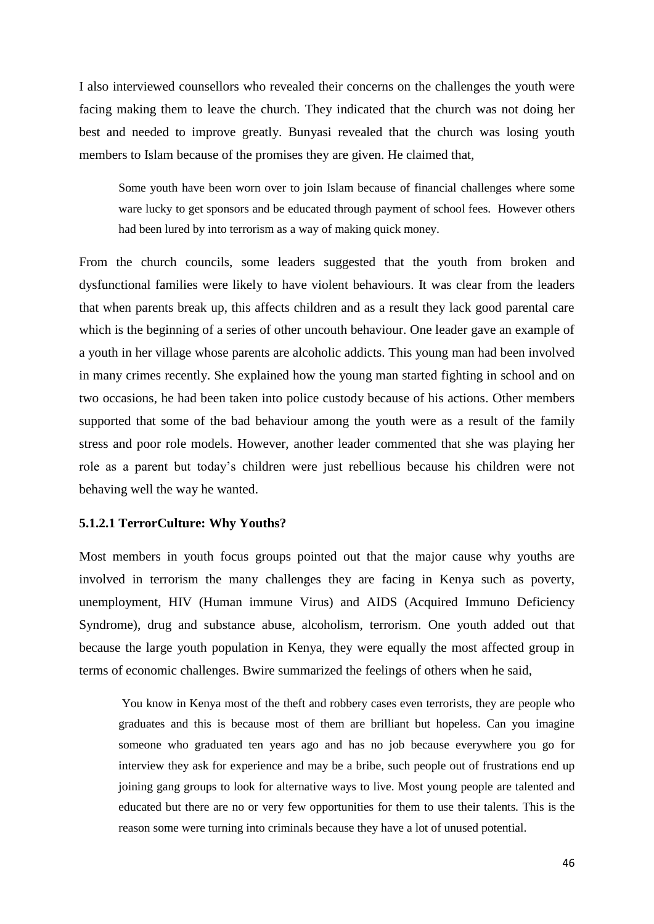I also interviewed counsellors who revealed their concerns on the challenges the youth were facing making them to leave the church. They indicated that the church was not doing her best and needed to improve greatly. Bunyasi revealed that the church was losing youth members to Islam because of the promises they are given. He claimed that,

Some youth have been worn over to join Islam because of financial challenges where some ware lucky to get sponsors and be educated through payment of school fees. However others had been lured by into terrorism as a way of making quick money.

From the church councils, some leaders suggested that the youth from broken and dysfunctional families were likely to have violent behaviours. It was clear from the leaders that when parents break up, this affects children and as a result they lack good parental care which is the beginning of a series of other uncouth behaviour. One leader gave an example of a youth in her village whose parents are alcoholic addicts. This young man had been involved in many crimes recently. She explained how the young man started fighting in school and on two occasions, he had been taken into police custody because of his actions. Other members supported that some of the bad behaviour among the youth were as a result of the family stress and poor role models. However, another leader commented that she was playing her role as a parent but today's children were just rebellious because his children were not behaving well the way he wanted.

#### **5.1.2.1 TerrorCulture: Why Youths?**

Most members in youth focus groups pointed out that the major cause why youths are involved in terrorism the many challenges they are facing in Kenya such as poverty, unemployment, HIV (Human immune Virus) and AIDS (Acquired Immuno Deficiency Syndrome), drug and substance abuse, alcoholism, terrorism. One youth added out that because the large youth population in Kenya, they were equally the most affected group in terms of economic challenges. Bwire summarized the feelings of others when he said,

You know in Kenya most of the theft and robbery cases even terrorists, they are people who graduates and this is because most of them are brilliant but hopeless. Can you imagine someone who graduated ten years ago and has no job because everywhere you go for interview they ask for experience and may be a bribe, such people out of frustrations end up joining gang groups to look for alternative ways to live. Most young people are talented and educated but there are no or very few opportunities for them to use their talents. This is the reason some were turning into criminals because they have a lot of unused potential.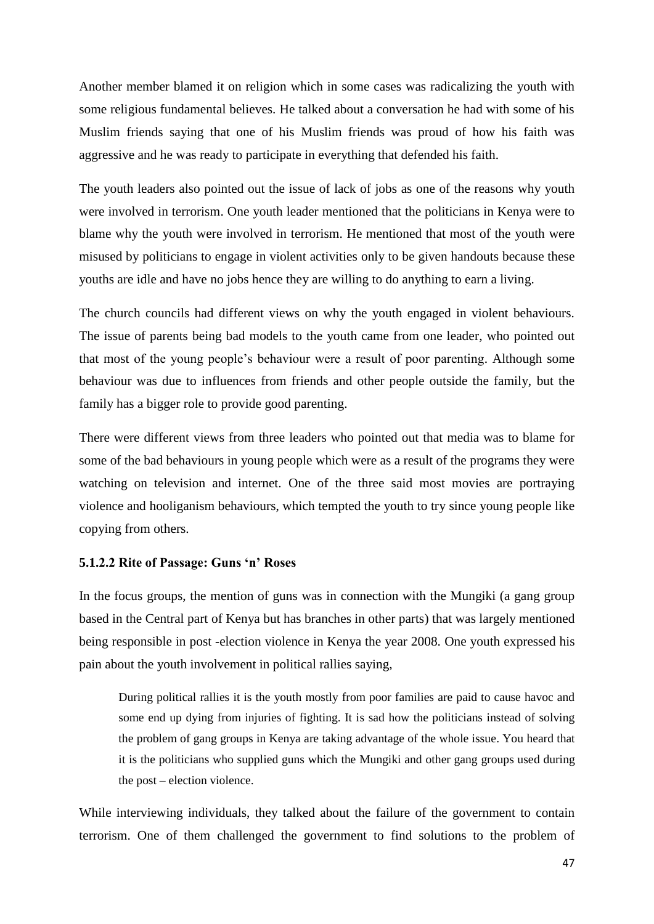Another member blamed it on religion which in some cases was radicalizing the youth with some religious fundamental believes. He talked about a conversation he had with some of his Muslim friends saying that one of his Muslim friends was proud of how his faith was aggressive and he was ready to participate in everything that defended his faith.

The youth leaders also pointed out the issue of lack of jobs as one of the reasons why youth were involved in terrorism. One youth leader mentioned that the politicians in Kenya were to blame why the youth were involved in terrorism. He mentioned that most of the youth were misused by politicians to engage in violent activities only to be given handouts because these youths are idle and have no jobs hence they are willing to do anything to earn a living.

The church councils had different views on why the youth engaged in violent behaviours. The issue of parents being bad models to the youth came from one leader, who pointed out that most of the young people's behaviour were a result of poor parenting. Although some behaviour was due to influences from friends and other people outside the family, but the family has a bigger role to provide good parenting.

There were different views from three leaders who pointed out that media was to blame for some of the bad behaviours in young people which were as a result of the programs they were watching on television and internet. One of the three said most movies are portraying violence and hooliganism behaviours, which tempted the youth to try since young people like copying from others.

#### **5.1.2.2 Rite of Passage: Guns 'n' Roses**

In the focus groups, the mention of guns was in connection with the Mungiki (a gang group based in the Central part of Kenya but has branches in other parts) that was largely mentioned being responsible in post -election violence in Kenya the year 2008. One youth expressed his pain about the youth involvement in political rallies saying,

During political rallies it is the youth mostly from poor families are paid to cause havoc and some end up dying from injuries of fighting. It is sad how the politicians instead of solving the problem of gang groups in Kenya are taking advantage of the whole issue. You heard that it is the politicians who supplied guns which the Mungiki and other gang groups used during the post – election violence.

While interviewing individuals, they talked about the failure of the government to contain terrorism. One of them challenged the government to find solutions to the problem of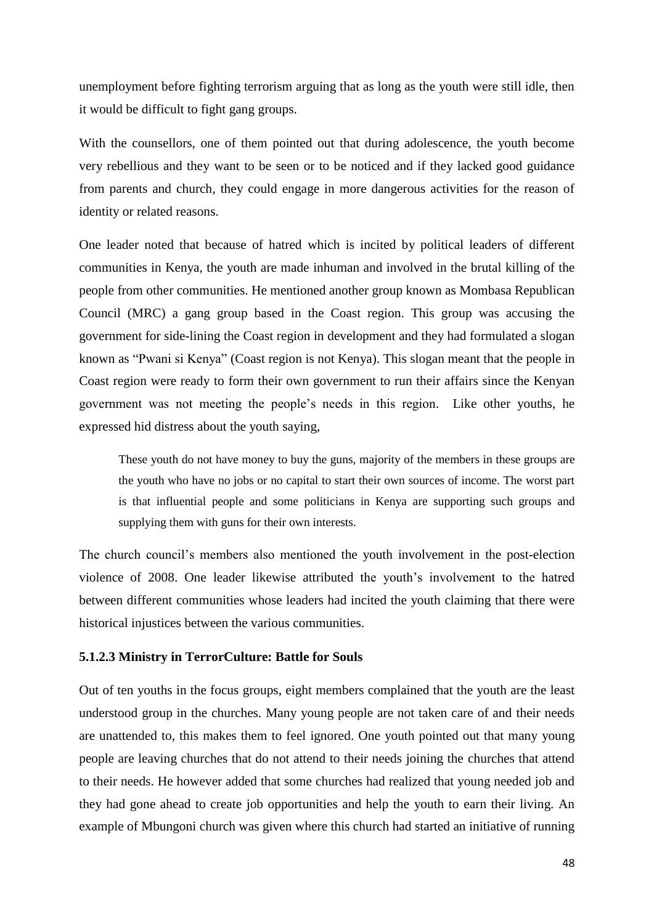unemployment before fighting terrorism arguing that as long as the youth were still idle, then it would be difficult to fight gang groups.

With the counsellors, one of them pointed out that during adolescence, the youth become very rebellious and they want to be seen or to be noticed and if they lacked good guidance from parents and church, they could engage in more dangerous activities for the reason of identity or related reasons.

One leader noted that because of hatred which is incited by political leaders of different communities in Kenya, the youth are made inhuman and involved in the brutal killing of the people from other communities. He mentioned another group known as Mombasa Republican Council (MRC) a gang group based in the Coast region. This group was accusing the government for side-lining the Coast region in development and they had formulated a slogan known as "Pwani si Kenya" (Coast region is not Kenya). This slogan meant that the people in Coast region were ready to form their own government to run their affairs since the Kenyan government was not meeting the people's needs in this region. Like other youths, he expressed hid distress about the youth saying,

These youth do not have money to buy the guns, majority of the members in these groups are the youth who have no jobs or no capital to start their own sources of income. The worst part is that influential people and some politicians in Kenya are supporting such groups and supplying them with guns for their own interests.

The church council's members also mentioned the youth involvement in the post-election violence of 2008. One leader likewise attributed the youth's involvement to the hatred between different communities whose leaders had incited the youth claiming that there were historical injustices between the various communities.

#### **5.1.2.3 Ministry in TerrorCulture: Battle for Souls**

Out of ten youths in the focus groups, eight members complained that the youth are the least understood group in the churches. Many young people are not taken care of and their needs are unattended to, this makes them to feel ignored. One youth pointed out that many young people are leaving churches that do not attend to their needs joining the churches that attend to their needs. He however added that some churches had realized that young needed job and they had gone ahead to create job opportunities and help the youth to earn their living. An example of Mbungoni church was given where this church had started an initiative of running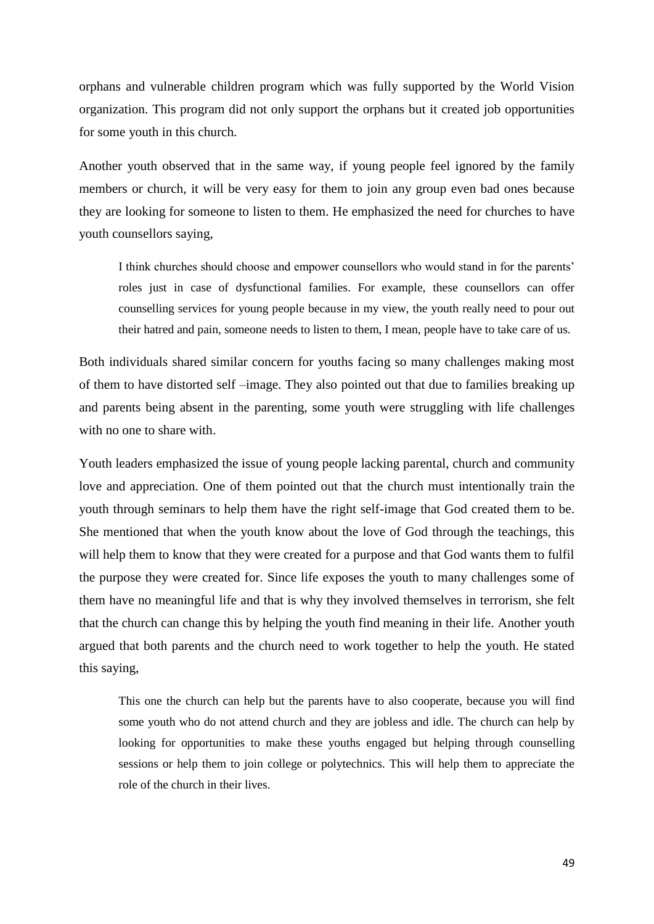orphans and vulnerable children program which was fully supported by the World Vision organization. This program did not only support the orphans but it created job opportunities for some youth in this church.

Another youth observed that in the same way, if young people feel ignored by the family members or church, it will be very easy for them to join any group even bad ones because they are looking for someone to listen to them. He emphasized the need for churches to have youth counsellors saying,

I think churches should choose and empower counsellors who would stand in for the parents' roles just in case of dysfunctional families. For example, these counsellors can offer counselling services for young people because in my view, the youth really need to pour out their hatred and pain, someone needs to listen to them, I mean, people have to take care of us.

Both individuals shared similar concern for youths facing so many challenges making most of them to have distorted self –image. They also pointed out that due to families breaking up and parents being absent in the parenting, some youth were struggling with life challenges with no one to share with.

Youth leaders emphasized the issue of young people lacking parental, church and community love and appreciation. One of them pointed out that the church must intentionally train the youth through seminars to help them have the right self-image that God created them to be. She mentioned that when the youth know about the love of God through the teachings, this will help them to know that they were created for a purpose and that God wants them to fulfil the purpose they were created for. Since life exposes the youth to many challenges some of them have no meaningful life and that is why they involved themselves in terrorism, she felt that the church can change this by helping the youth find meaning in their life. Another youth argued that both parents and the church need to work together to help the youth. He stated this saying,

This one the church can help but the parents have to also cooperate, because you will find some youth who do not attend church and they are jobless and idle. The church can help by looking for opportunities to make these youths engaged but helping through counselling sessions or help them to join college or polytechnics. This will help them to appreciate the role of the church in their lives.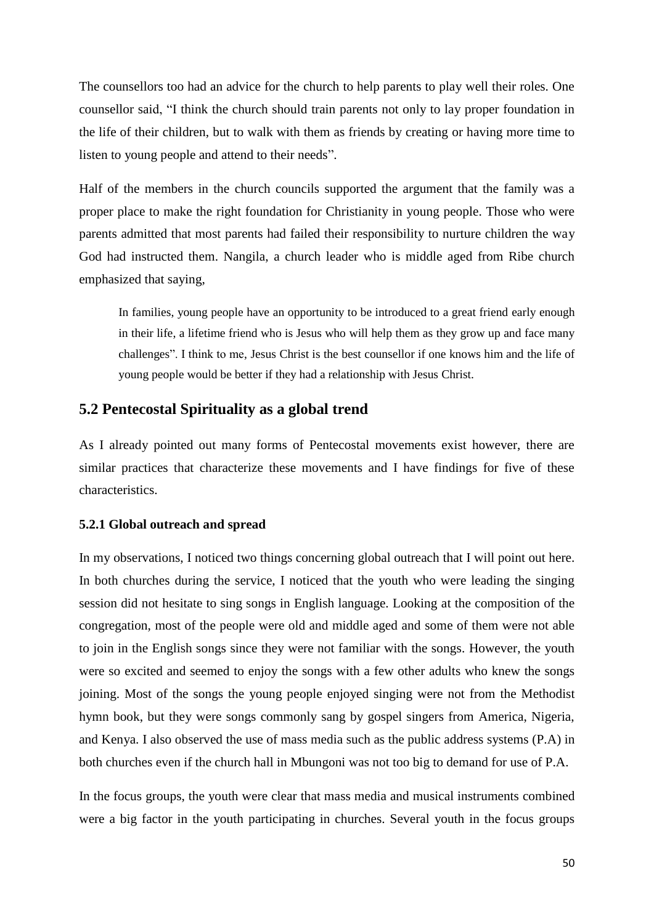The counsellors too had an advice for the church to help parents to play well their roles. One counsellor said, "I think the church should train parents not only to lay proper foundation in the life of their children, but to walk with them as friends by creating or having more time to listen to young people and attend to their needs".

Half of the members in the church councils supported the argument that the family was a proper place to make the right foundation for Christianity in young people. Those who were parents admitted that most parents had failed their responsibility to nurture children the way God had instructed them. Nangila, a church leader who is middle aged from Ribe church emphasized that saying,

In families, young people have an opportunity to be introduced to a great friend early enough in their life, a lifetime friend who is Jesus who will help them as they grow up and face many challenges". I think to me, Jesus Christ is the best counsellor if one knows him and the life of young people would be better if they had a relationship with Jesus Christ.

### **5.2 Pentecostal Spirituality as a global trend**

As I already pointed out many forms of Pentecostal movements exist however, there are similar practices that characterize these movements and I have findings for five of these characteristics.

### **5.2.1 Global outreach and spread**

In my observations, I noticed two things concerning global outreach that I will point out here. In both churches during the service, I noticed that the youth who were leading the singing session did not hesitate to sing songs in English language. Looking at the composition of the congregation, most of the people were old and middle aged and some of them were not able to join in the English songs since they were not familiar with the songs. However, the youth were so excited and seemed to enjoy the songs with a few other adults who knew the songs joining. Most of the songs the young people enjoyed singing were not from the Methodist hymn book, but they were songs commonly sang by gospel singers from America, Nigeria, and Kenya. I also observed the use of mass media such as the public address systems (P.A) in both churches even if the church hall in Mbungoni was not too big to demand for use of P.A.

In the focus groups, the youth were clear that mass media and musical instruments combined were a big factor in the youth participating in churches. Several youth in the focus groups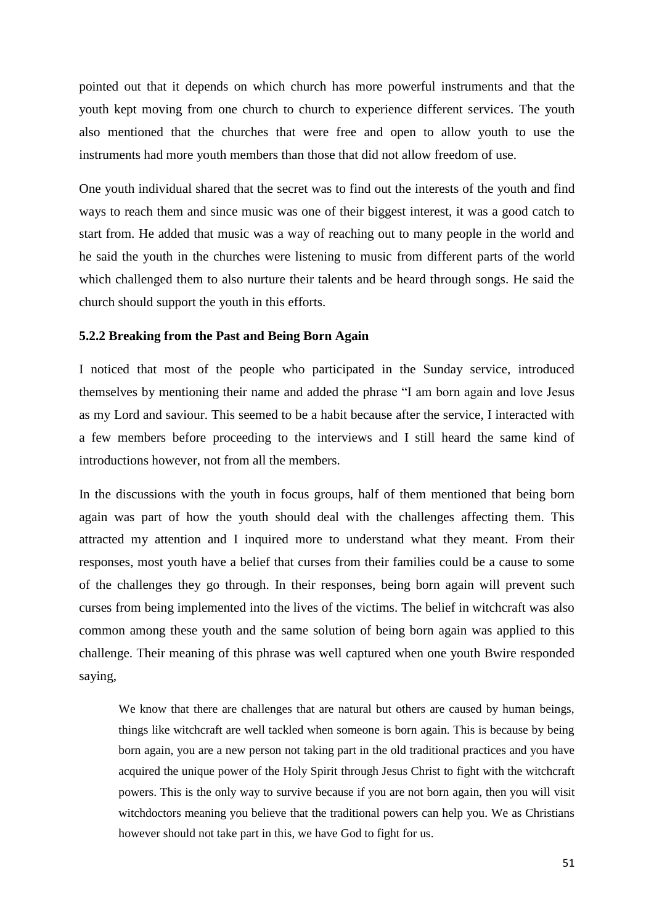pointed out that it depends on which church has more powerful instruments and that the youth kept moving from one church to church to experience different services. The youth also mentioned that the churches that were free and open to allow youth to use the instruments had more youth members than those that did not allow freedom of use.

One youth individual shared that the secret was to find out the interests of the youth and find ways to reach them and since music was one of their biggest interest, it was a good catch to start from. He added that music was a way of reaching out to many people in the world and he said the youth in the churches were listening to music from different parts of the world which challenged them to also nurture their talents and be heard through songs. He said the church should support the youth in this efforts.

#### **5.2.2 Breaking from the Past and Being Born Again**

I noticed that most of the people who participated in the Sunday service, introduced themselves by mentioning their name and added the phrase "I am born again and love Jesus as my Lord and saviour. This seemed to be a habit because after the service, I interacted with a few members before proceeding to the interviews and I still heard the same kind of introductions however, not from all the members.

In the discussions with the youth in focus groups, half of them mentioned that being born again was part of how the youth should deal with the challenges affecting them. This attracted my attention and I inquired more to understand what they meant. From their responses, most youth have a belief that curses from their families could be a cause to some of the challenges they go through. In their responses, being born again will prevent such curses from being implemented into the lives of the victims. The belief in witchcraft was also common among these youth and the same solution of being born again was applied to this challenge. Their meaning of this phrase was well captured when one youth Bwire responded saying,

We know that there are challenges that are natural but others are caused by human beings, things like witchcraft are well tackled when someone is born again. This is because by being born again, you are a new person not taking part in the old traditional practices and you have acquired the unique power of the Holy Spirit through Jesus Christ to fight with the witchcraft powers. This is the only way to survive because if you are not born again, then you will visit witchdoctors meaning you believe that the traditional powers can help you. We as Christians however should not take part in this, we have God to fight for us.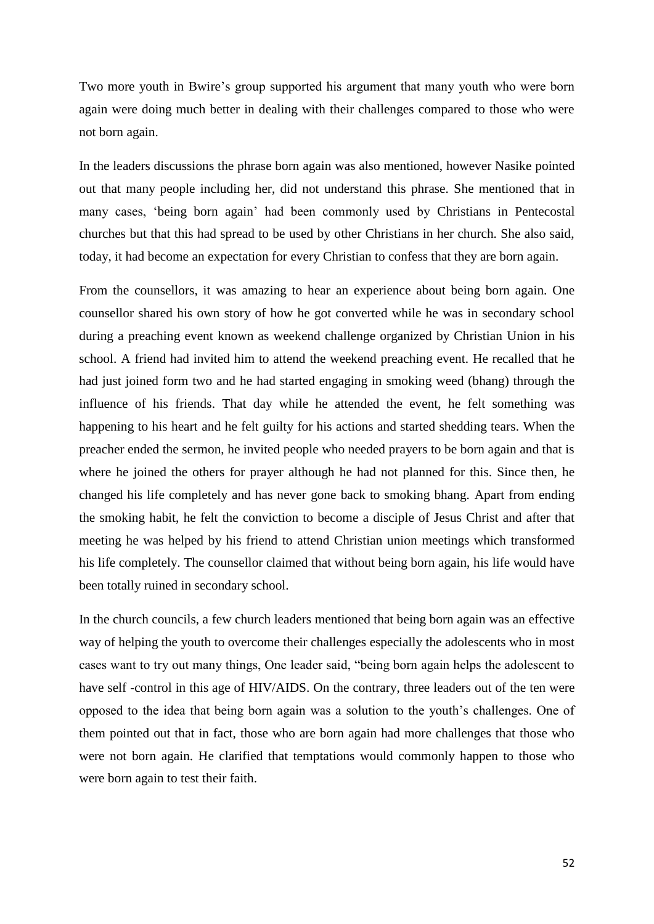Two more youth in Bwire's group supported his argument that many youth who were born again were doing much better in dealing with their challenges compared to those who were not born again.

In the leaders discussions the phrase born again was also mentioned, however Nasike pointed out that many people including her, did not understand this phrase. She mentioned that in many cases, 'being born again' had been commonly used by Christians in Pentecostal churches but that this had spread to be used by other Christians in her church. She also said, today, it had become an expectation for every Christian to confess that they are born again.

From the counsellors, it was amazing to hear an experience about being born again. One counsellor shared his own story of how he got converted while he was in secondary school during a preaching event known as weekend challenge organized by Christian Union in his school. A friend had invited him to attend the weekend preaching event. He recalled that he had just joined form two and he had started engaging in smoking weed (bhang) through the influence of his friends. That day while he attended the event, he felt something was happening to his heart and he felt guilty for his actions and started shedding tears. When the preacher ended the sermon, he invited people who needed prayers to be born again and that is where he joined the others for prayer although he had not planned for this. Since then, he changed his life completely and has never gone back to smoking bhang. Apart from ending the smoking habit, he felt the conviction to become a disciple of Jesus Christ and after that meeting he was helped by his friend to attend Christian union meetings which transformed his life completely. The counsellor claimed that without being born again, his life would have been totally ruined in secondary school.

In the church councils, a few church leaders mentioned that being born again was an effective way of helping the youth to overcome their challenges especially the adolescents who in most cases want to try out many things, One leader said, "being born again helps the adolescent to have self -control in this age of HIV/AIDS. On the contrary, three leaders out of the ten were opposed to the idea that being born again was a solution to the youth's challenges. One of them pointed out that in fact, those who are born again had more challenges that those who were not born again. He clarified that temptations would commonly happen to those who were born again to test their faith.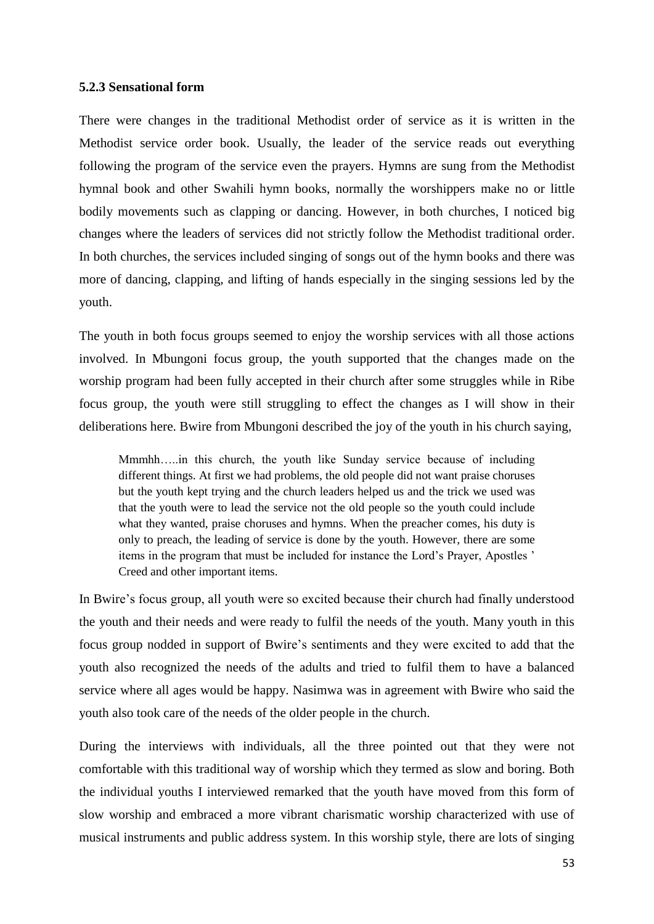### **5.2.3 Sensational form**

There were changes in the traditional Methodist order of service as it is written in the Methodist service order book. Usually, the leader of the service reads out everything following the program of the service even the prayers. Hymns are sung from the Methodist hymnal book and other Swahili hymn books, normally the worshippers make no or little bodily movements such as clapping or dancing. However, in both churches, I noticed big changes where the leaders of services did not strictly follow the Methodist traditional order. In both churches, the services included singing of songs out of the hymn books and there was more of dancing, clapping, and lifting of hands especially in the singing sessions led by the youth.

The youth in both focus groups seemed to enjoy the worship services with all those actions involved. In Mbungoni focus group, the youth supported that the changes made on the worship program had been fully accepted in their church after some struggles while in Ribe focus group, the youth were still struggling to effect the changes as I will show in their deliberations here. Bwire from Mbungoni described the joy of the youth in his church saying,

Mmmhh…..in this church, the youth like Sunday service because of including different things. At first we had problems, the old people did not want praise choruses but the youth kept trying and the church leaders helped us and the trick we used was that the youth were to lead the service not the old people so the youth could include what they wanted, praise choruses and hymns. When the preacher comes, his duty is only to preach, the leading of service is done by the youth. However, there are some items in the program that must be included for instance the Lord's Prayer, Apostles ' Creed and other important items.

In Bwire's focus group, all youth were so excited because their church had finally understood the youth and their needs and were ready to fulfil the needs of the youth. Many youth in this focus group nodded in support of Bwire's sentiments and they were excited to add that the youth also recognized the needs of the adults and tried to fulfil them to have a balanced service where all ages would be happy. Nasimwa was in agreement with Bwire who said the youth also took care of the needs of the older people in the church.

During the interviews with individuals, all the three pointed out that they were not comfortable with this traditional way of worship which they termed as slow and boring. Both the individual youths I interviewed remarked that the youth have moved from this form of slow worship and embraced a more vibrant charismatic worship characterized with use of musical instruments and public address system. In this worship style, there are lots of singing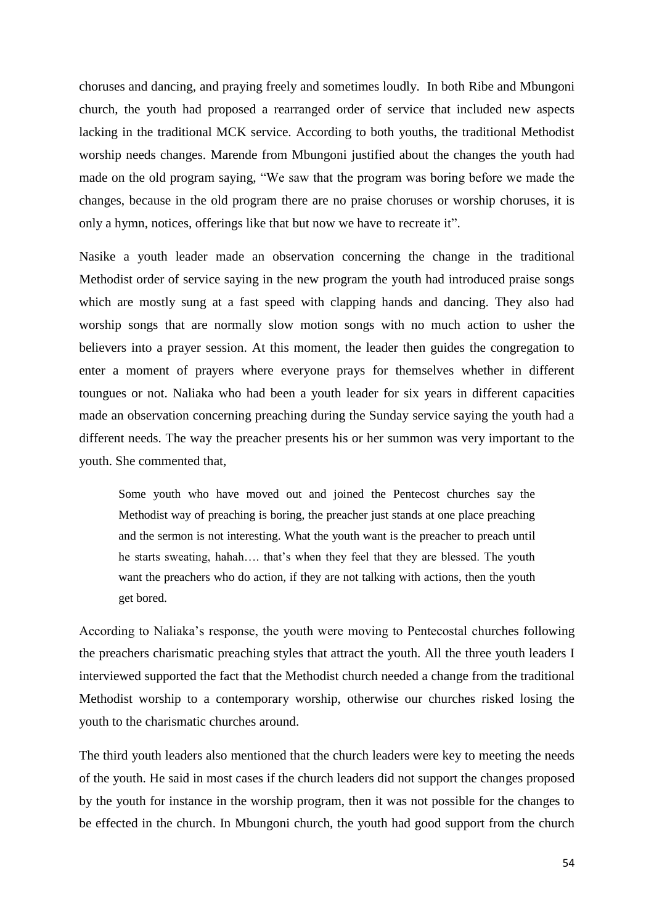choruses and dancing, and praying freely and sometimes loudly. In both Ribe and Mbungoni church, the youth had proposed a rearranged order of service that included new aspects lacking in the traditional MCK service. According to both youths, the traditional Methodist worship needs changes. Marende from Mbungoni justified about the changes the youth had made on the old program saying, "We saw that the program was boring before we made the changes, because in the old program there are no praise choruses or worship choruses, it is only a hymn, notices, offerings like that but now we have to recreate it".

Nasike a youth leader made an observation concerning the change in the traditional Methodist order of service saying in the new program the youth had introduced praise songs which are mostly sung at a fast speed with clapping hands and dancing. They also had worship songs that are normally slow motion songs with no much action to usher the believers into a prayer session. At this moment, the leader then guides the congregation to enter a moment of prayers where everyone prays for themselves whether in different toungues or not. Naliaka who had been a youth leader for six years in different capacities made an observation concerning preaching during the Sunday service saying the youth had a different needs. The way the preacher presents his or her summon was very important to the youth. She commented that,

Some youth who have moved out and joined the Pentecost churches say the Methodist way of preaching is boring, the preacher just stands at one place preaching and the sermon is not interesting. What the youth want is the preacher to preach until he starts sweating, hahah…. that's when they feel that they are blessed. The youth want the preachers who do action, if they are not talking with actions, then the youth get bored.

According to Naliaka's response, the youth were moving to Pentecostal churches following the preachers charismatic preaching styles that attract the youth. All the three youth leaders I interviewed supported the fact that the Methodist church needed a change from the traditional Methodist worship to a contemporary worship, otherwise our churches risked losing the youth to the charismatic churches around.

The third youth leaders also mentioned that the church leaders were key to meeting the needs of the youth. He said in most cases if the church leaders did not support the changes proposed by the youth for instance in the worship program, then it was not possible for the changes to be effected in the church. In Mbungoni church, the youth had good support from the church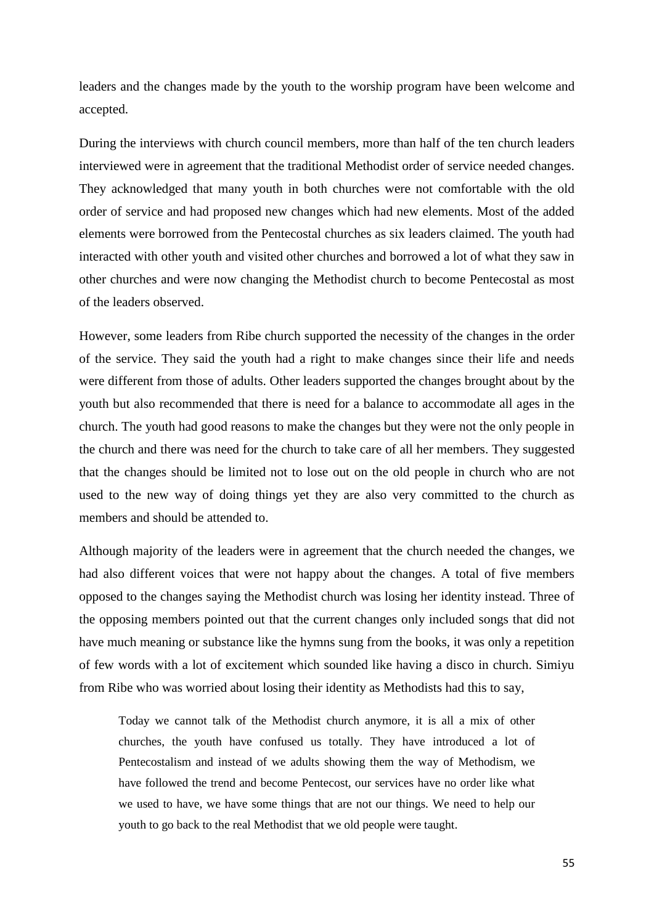leaders and the changes made by the youth to the worship program have been welcome and accepted.

During the interviews with church council members, more than half of the ten church leaders interviewed were in agreement that the traditional Methodist order of service needed changes. They acknowledged that many youth in both churches were not comfortable with the old order of service and had proposed new changes which had new elements. Most of the added elements were borrowed from the Pentecostal churches as six leaders claimed. The youth had interacted with other youth and visited other churches and borrowed a lot of what they saw in other churches and were now changing the Methodist church to become Pentecostal as most of the leaders observed.

However, some leaders from Ribe church supported the necessity of the changes in the order of the service. They said the youth had a right to make changes since their life and needs were different from those of adults. Other leaders supported the changes brought about by the youth but also recommended that there is need for a balance to accommodate all ages in the church. The youth had good reasons to make the changes but they were not the only people in the church and there was need for the church to take care of all her members. They suggested that the changes should be limited not to lose out on the old people in church who are not used to the new way of doing things yet they are also very committed to the church as members and should be attended to.

Although majority of the leaders were in agreement that the church needed the changes, we had also different voices that were not happy about the changes. A total of five members opposed to the changes saying the Methodist church was losing her identity instead. Three of the opposing members pointed out that the current changes only included songs that did not have much meaning or substance like the hymns sung from the books, it was only a repetition of few words with a lot of excitement which sounded like having a disco in church. Simiyu from Ribe who was worried about losing their identity as Methodists had this to say,

Today we cannot talk of the Methodist church anymore, it is all a mix of other churches, the youth have confused us totally. They have introduced a lot of Pentecostalism and instead of we adults showing them the way of Methodism, we have followed the trend and become Pentecost, our services have no order like what we used to have, we have some things that are not our things. We need to help our youth to go back to the real Methodist that we old people were taught.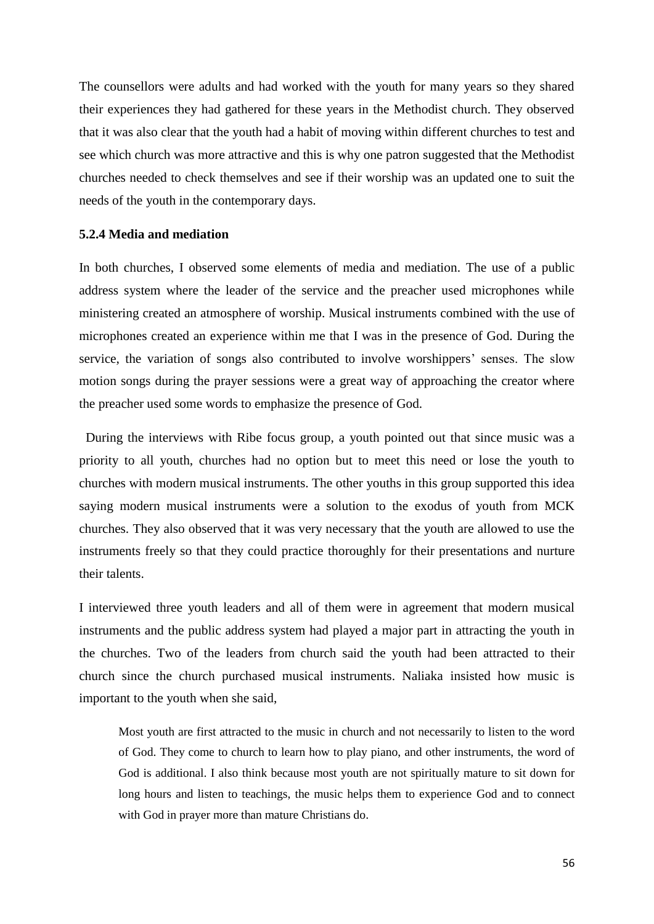The counsellors were adults and had worked with the youth for many years so they shared their experiences they had gathered for these years in the Methodist church. They observed that it was also clear that the youth had a habit of moving within different churches to test and see which church was more attractive and this is why one patron suggested that the Methodist churches needed to check themselves and see if their worship was an updated one to suit the needs of the youth in the contemporary days.

### **5.2.4 Media and mediation**

In both churches, I observed some elements of media and mediation. The use of a public address system where the leader of the service and the preacher used microphones while ministering created an atmosphere of worship. Musical instruments combined with the use of microphones created an experience within me that I was in the presence of God. During the service, the variation of songs also contributed to involve worshippers' senses. The slow motion songs during the prayer sessions were a great way of approaching the creator where the preacher used some words to emphasize the presence of God.

 During the interviews with Ribe focus group, a youth pointed out that since music was a priority to all youth, churches had no option but to meet this need or lose the youth to churches with modern musical instruments. The other youths in this group supported this idea saying modern musical instruments were a solution to the exodus of youth from MCK churches. They also observed that it was very necessary that the youth are allowed to use the instruments freely so that they could practice thoroughly for their presentations and nurture their talents.

I interviewed three youth leaders and all of them were in agreement that modern musical instruments and the public address system had played a major part in attracting the youth in the churches. Two of the leaders from church said the youth had been attracted to their church since the church purchased musical instruments. Naliaka insisted how music is important to the youth when she said,

Most youth are first attracted to the music in church and not necessarily to listen to the word of God. They come to church to learn how to play piano, and other instruments, the word of God is additional. I also think because most youth are not spiritually mature to sit down for long hours and listen to teachings, the music helps them to experience God and to connect with God in prayer more than mature Christians do.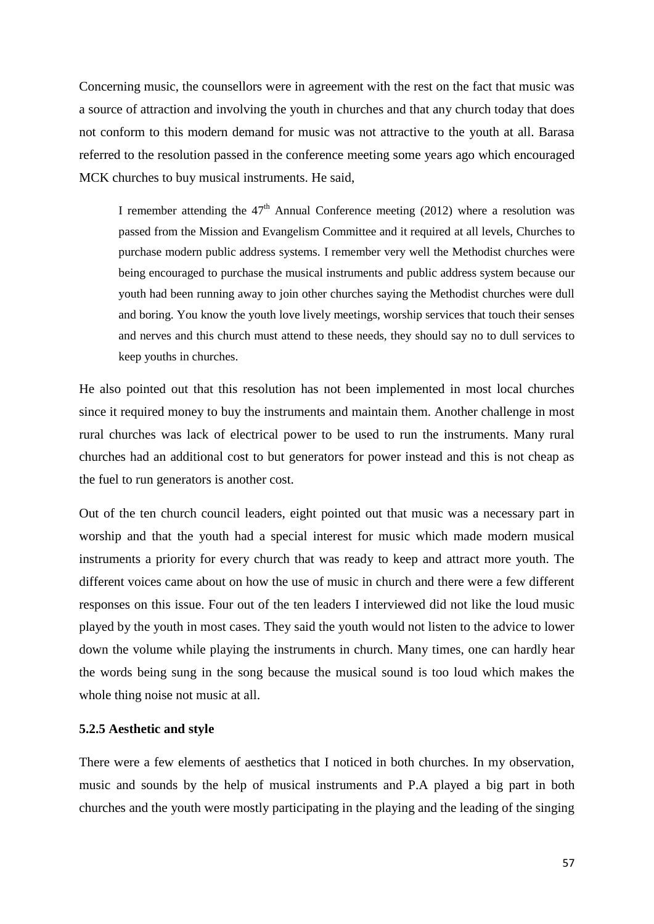Concerning music, the counsellors were in agreement with the rest on the fact that music was a source of attraction and involving the youth in churches and that any church today that does not conform to this modern demand for music was not attractive to the youth at all. Barasa referred to the resolution passed in the conference meeting some years ago which encouraged MCK churches to buy musical instruments. He said,

I remember attending the  $47<sup>th</sup>$  Annual Conference meeting (2012) where a resolution was passed from the Mission and Evangelism Committee and it required at all levels, Churches to purchase modern public address systems. I remember very well the Methodist churches were being encouraged to purchase the musical instruments and public address system because our youth had been running away to join other churches saying the Methodist churches were dull and boring. You know the youth love lively meetings, worship services that touch their senses and nerves and this church must attend to these needs, they should say no to dull services to keep youths in churches.

He also pointed out that this resolution has not been implemented in most local churches since it required money to buy the instruments and maintain them. Another challenge in most rural churches was lack of electrical power to be used to run the instruments. Many rural churches had an additional cost to but generators for power instead and this is not cheap as the fuel to run generators is another cost.

Out of the ten church council leaders, eight pointed out that music was a necessary part in worship and that the youth had a special interest for music which made modern musical instruments a priority for every church that was ready to keep and attract more youth. The different voices came about on how the use of music in church and there were a few different responses on this issue. Four out of the ten leaders I interviewed did not like the loud music played by the youth in most cases. They said the youth would not listen to the advice to lower down the volume while playing the instruments in church. Many times, one can hardly hear the words being sung in the song because the musical sound is too loud which makes the whole thing noise not music at all.

#### **5.2.5 Aesthetic and style**

There were a few elements of aesthetics that I noticed in both churches. In my observation, music and sounds by the help of musical instruments and P.A played a big part in both churches and the youth were mostly participating in the playing and the leading of the singing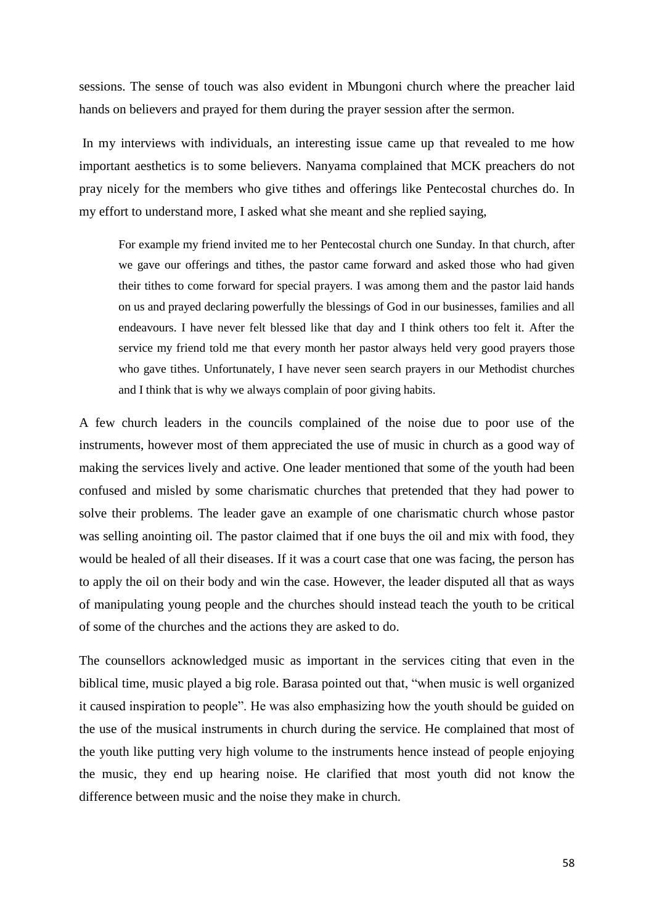sessions. The sense of touch was also evident in Mbungoni church where the preacher laid hands on believers and prayed for them during the prayer session after the sermon.

In my interviews with individuals, an interesting issue came up that revealed to me how important aesthetics is to some believers. Nanyama complained that MCK preachers do not pray nicely for the members who give tithes and offerings like Pentecostal churches do. In my effort to understand more, I asked what she meant and she replied saying,

For example my friend invited me to her Pentecostal church one Sunday. In that church, after we gave our offerings and tithes, the pastor came forward and asked those who had given their tithes to come forward for special prayers. I was among them and the pastor laid hands on us and prayed declaring powerfully the blessings of God in our businesses, families and all endeavours. I have never felt blessed like that day and I think others too felt it. After the service my friend told me that every month her pastor always held very good prayers those who gave tithes. Unfortunately, I have never seen search prayers in our Methodist churches and I think that is why we always complain of poor giving habits.

A few church leaders in the councils complained of the noise due to poor use of the instruments, however most of them appreciated the use of music in church as a good way of making the services lively and active. One leader mentioned that some of the youth had been confused and misled by some charismatic churches that pretended that they had power to solve their problems. The leader gave an example of one charismatic church whose pastor was selling anointing oil. The pastor claimed that if one buys the oil and mix with food, they would be healed of all their diseases. If it was a court case that one was facing, the person has to apply the oil on their body and win the case. However, the leader disputed all that as ways of manipulating young people and the churches should instead teach the youth to be critical of some of the churches and the actions they are asked to do.

The counsellors acknowledged music as important in the services citing that even in the biblical time, music played a big role. Barasa pointed out that, "when music is well organized it caused inspiration to people". He was also emphasizing how the youth should be guided on the use of the musical instruments in church during the service. He complained that most of the youth like putting very high volume to the instruments hence instead of people enjoying the music, they end up hearing noise. He clarified that most youth did not know the difference between music and the noise they make in church.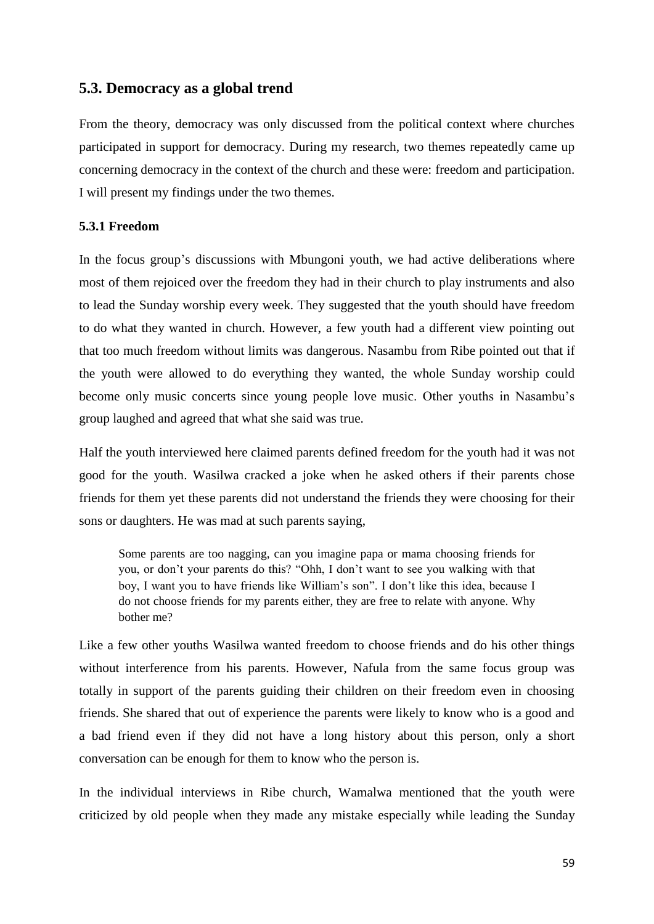# **5.3. Democracy as a global trend**

From the theory, democracy was only discussed from the political context where churches participated in support for democracy. During my research, two themes repeatedly came up concerning democracy in the context of the church and these were: freedom and participation. I will present my findings under the two themes.

### **5.3.1 Freedom**

In the focus group's discussions with Mbungoni youth, we had active deliberations where most of them rejoiced over the freedom they had in their church to play instruments and also to lead the Sunday worship every week. They suggested that the youth should have freedom to do what they wanted in church. However, a few youth had a different view pointing out that too much freedom without limits was dangerous. Nasambu from Ribe pointed out that if the youth were allowed to do everything they wanted, the whole Sunday worship could become only music concerts since young people love music. Other youths in Nasambu's group laughed and agreed that what she said was true.

Half the youth interviewed here claimed parents defined freedom for the youth had it was not good for the youth. Wasilwa cracked a joke when he asked others if their parents chose friends for them yet these parents did not understand the friends they were choosing for their sons or daughters. He was mad at such parents saying,

Some parents are too nagging, can you imagine papa or mama choosing friends for you, or don't your parents do this? "Ohh, I don't want to see you walking with that boy, I want you to have friends like William's son". I don't like this idea, because I do not choose friends for my parents either, they are free to relate with anyone. Why bother me?

Like a few other youths Wasilwa wanted freedom to choose friends and do his other things without interference from his parents. However, Nafula from the same focus group was totally in support of the parents guiding their children on their freedom even in choosing friends. She shared that out of experience the parents were likely to know who is a good and a bad friend even if they did not have a long history about this person, only a short conversation can be enough for them to know who the person is.

In the individual interviews in Ribe church, Wamalwa mentioned that the youth were criticized by old people when they made any mistake especially while leading the Sunday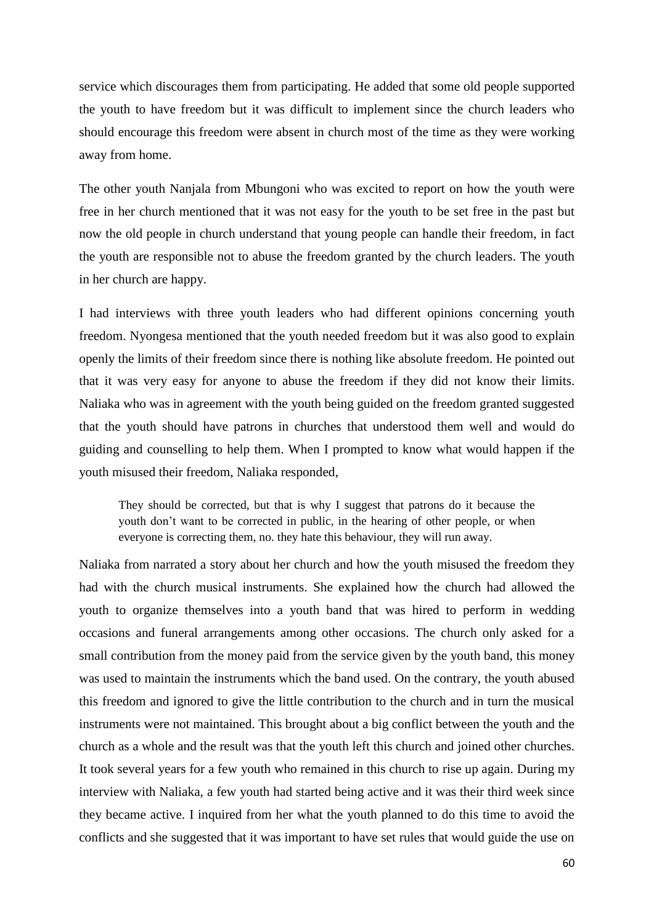service which discourages them from participating. He added that some old people supported the youth to have freedom but it was difficult to implement since the church leaders who should encourage this freedom were absent in church most of the time as they were working away from home.

The other youth Nanjala from Mbungoni who was excited to report on how the youth were free in her church mentioned that it was not easy for the youth to be set free in the past but now the old people in church understand that young people can handle their freedom, in fact the youth are responsible not to abuse the freedom granted by the church leaders. The youth in her church are happy.

I had interviews with three youth leaders who had different opinions concerning youth freedom. Nyongesa mentioned that the youth needed freedom but it was also good to explain openly the limits of their freedom since there is nothing like absolute freedom. He pointed out that it was very easy for anyone to abuse the freedom if they did not know their limits. Naliaka who was in agreement with the youth being guided on the freedom granted suggested that the youth should have patrons in churches that understood them well and would do guiding and counselling to help them. When I prompted to know what would happen if the youth misused their freedom, Naliaka responded,

They should be corrected, but that is why I suggest that patrons do it because the youth don't want to be corrected in public, in the hearing of other people, or when everyone is correcting them, no. they hate this behaviour, they will run away.

Naliaka from narrated a story about her church and how the youth misused the freedom they had with the church musical instruments. She explained how the church had allowed the youth to organize themselves into a youth band that was hired to perform in wedding occasions and funeral arrangements among other occasions. The church only asked for a small contribution from the money paid from the service given by the youth band, this money was used to maintain the instruments which the band used. On the contrary, the youth abused this freedom and ignored to give the little contribution to the church and in turn the musical instruments were not maintained. This brought about a big conflict between the youth and the church as a whole and the result was that the youth left this church and joined other churches. It took several years for a few youth who remained in this church to rise up again. During my interview with Naliaka, a few youth had started being active and it was their third week since they became active. I inquired from her what the youth planned to do this time to avoid the conflicts and she suggested that it was important to have set rules that would guide the use on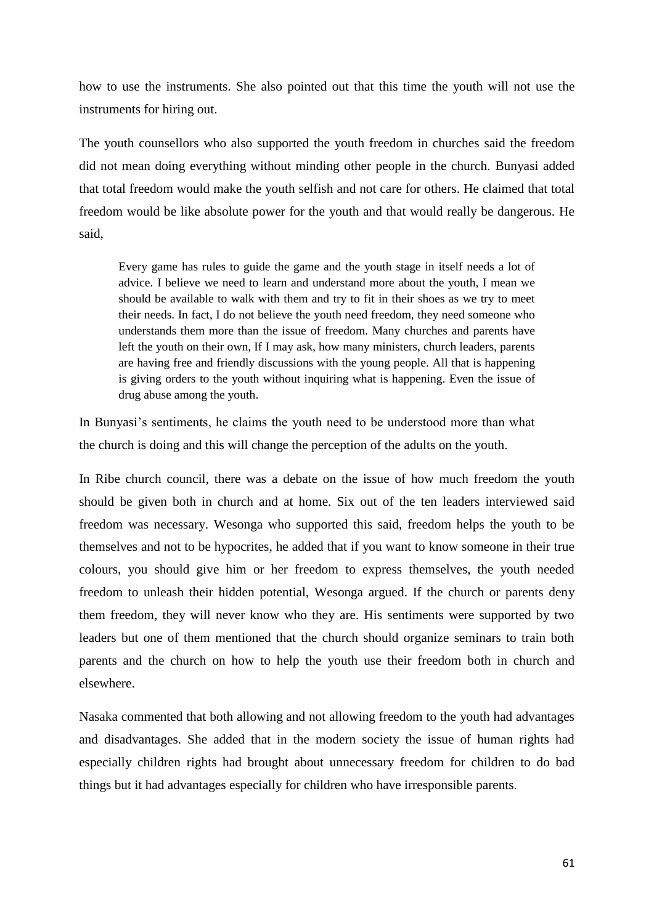how to use the instruments. She also pointed out that this time the youth will not use the instruments for hiring out.

The youth counsellors who also supported the youth freedom in churches said the freedom did not mean doing everything without minding other people in the church. Bunyasi added that total freedom would make the youth selfish and not care for others. He claimed that total freedom would be like absolute power for the youth and that would really be dangerous. He said,

Every game has rules to guide the game and the youth stage in itself needs a lot of advice. I believe we need to learn and understand more about the youth, I mean we should be available to walk with them and try to fit in their shoes as we try to meet their needs. In fact, I do not believe the youth need freedom, they need someone who understands them more than the issue of freedom. Many churches and parents have left the youth on their own, If I may ask, how many ministers, church leaders, parents are having free and friendly discussions with the young people. All that is happening is giving orders to the youth without inquiring what is happening. Even the issue of drug abuse among the youth.

In Bunyasi's sentiments, he claims the youth need to be understood more than what the church is doing and this will change the perception of the adults on the youth.

In Ribe church council, there was a debate on the issue of how much freedom the youth should be given both in church and at home. Six out of the ten leaders interviewed said freedom was necessary. Wesonga who supported this said, freedom helps the youth to be themselves and not to be hypocrites, he added that if you want to know someone in their true colours, you should give him or her freedom to express themselves, the youth needed freedom to unleash their hidden potential, Wesonga argued. If the church or parents deny them freedom, they will never know who they are. His sentiments were supported by two leaders but one of them mentioned that the church should organize seminars to train both parents and the church on how to help the youth use their freedom both in church and elsewhere.

Nasaka commented that both allowing and not allowing freedom to the youth had advantages and disadvantages. She added that in the modern society the issue of human rights had especially children rights had brought about unnecessary freedom for children to do bad things but it had advantages especially for children who have irresponsible parents.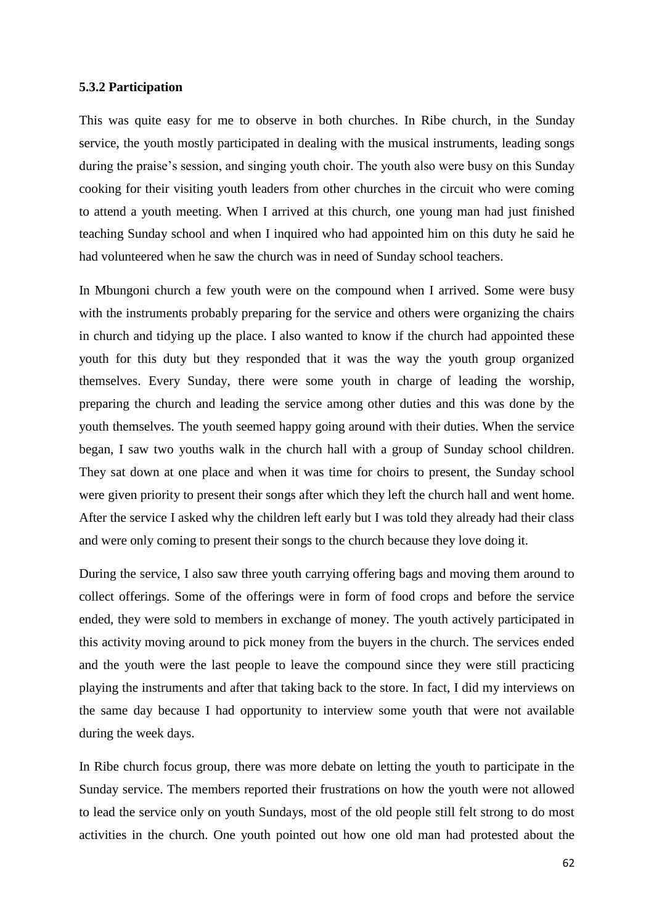#### **5.3.2 Participation**

This was quite easy for me to observe in both churches. In Ribe church, in the Sunday service, the youth mostly participated in dealing with the musical instruments, leading songs during the praise's session, and singing youth choir. The youth also were busy on this Sunday cooking for their visiting youth leaders from other churches in the circuit who were coming to attend a youth meeting. When I arrived at this church, one young man had just finished teaching Sunday school and when I inquired who had appointed him on this duty he said he had volunteered when he saw the church was in need of Sunday school teachers.

In Mbungoni church a few youth were on the compound when I arrived. Some were busy with the instruments probably preparing for the service and others were organizing the chairs in church and tidying up the place. I also wanted to know if the church had appointed these youth for this duty but they responded that it was the way the youth group organized themselves. Every Sunday, there were some youth in charge of leading the worship, preparing the church and leading the service among other duties and this was done by the youth themselves. The youth seemed happy going around with their duties. When the service began, I saw two youths walk in the church hall with a group of Sunday school children. They sat down at one place and when it was time for choirs to present, the Sunday school were given priority to present their songs after which they left the church hall and went home. After the service I asked why the children left early but I was told they already had their class and were only coming to present their songs to the church because they love doing it.

During the service, I also saw three youth carrying offering bags and moving them around to collect offerings. Some of the offerings were in form of food crops and before the service ended, they were sold to members in exchange of money. The youth actively participated in this activity moving around to pick money from the buyers in the church. The services ended and the youth were the last people to leave the compound since they were still practicing playing the instruments and after that taking back to the store. In fact, I did my interviews on the same day because I had opportunity to interview some youth that were not available during the week days.

In Ribe church focus group, there was more debate on letting the youth to participate in the Sunday service. The members reported their frustrations on how the youth were not allowed to lead the service only on youth Sundays, most of the old people still felt strong to do most activities in the church. One youth pointed out how one old man had protested about the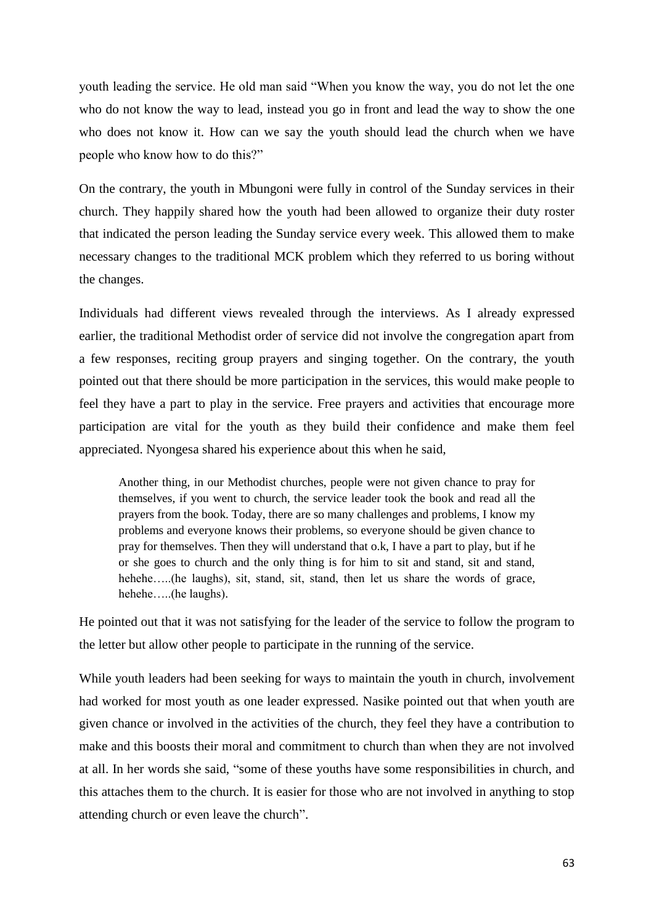youth leading the service. He old man said "When you know the way, you do not let the one who do not know the way to lead, instead you go in front and lead the way to show the one who does not know it. How can we say the youth should lead the church when we have people who know how to do this?"

On the contrary, the youth in Mbungoni were fully in control of the Sunday services in their church. They happily shared how the youth had been allowed to organize their duty roster that indicated the person leading the Sunday service every week. This allowed them to make necessary changes to the traditional MCK problem which they referred to us boring without the changes.

Individuals had different views revealed through the interviews. As I already expressed earlier, the traditional Methodist order of service did not involve the congregation apart from a few responses, reciting group prayers and singing together. On the contrary, the youth pointed out that there should be more participation in the services, this would make people to feel they have a part to play in the service. Free prayers and activities that encourage more participation are vital for the youth as they build their confidence and make them feel appreciated. Nyongesa shared his experience about this when he said,

Another thing, in our Methodist churches, people were not given chance to pray for themselves, if you went to church, the service leader took the book and read all the prayers from the book. Today, there are so many challenges and problems, I know my problems and everyone knows their problems, so everyone should be given chance to pray for themselves. Then they will understand that o.k, I have a part to play, but if he or she goes to church and the only thing is for him to sit and stand, sit and stand, hehehe.....(he laughs), sit, stand, sit, stand, then let us share the words of grace, hehehe…..(he laughs).

He pointed out that it was not satisfying for the leader of the service to follow the program to the letter but allow other people to participate in the running of the service.

While youth leaders had been seeking for ways to maintain the youth in church, involvement had worked for most youth as one leader expressed. Nasike pointed out that when youth are given chance or involved in the activities of the church, they feel they have a contribution to make and this boosts their moral and commitment to church than when they are not involved at all. In her words she said, "some of these youths have some responsibilities in church, and this attaches them to the church. It is easier for those who are not involved in anything to stop attending church or even leave the church".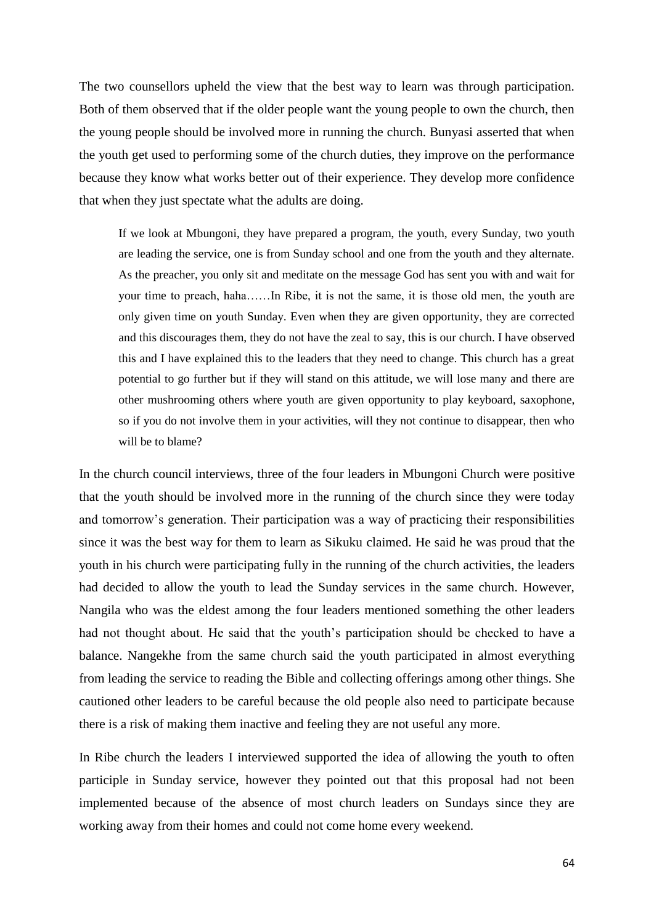The two counsellors upheld the view that the best way to learn was through participation. Both of them observed that if the older people want the young people to own the church, then the young people should be involved more in running the church. Bunyasi asserted that when the youth get used to performing some of the church duties, they improve on the performance because they know what works better out of their experience. They develop more confidence that when they just spectate what the adults are doing.

If we look at Mbungoni, they have prepared a program, the youth, every Sunday, two youth are leading the service, one is from Sunday school and one from the youth and they alternate. As the preacher, you only sit and meditate on the message God has sent you with and wait for your time to preach, haha……In Ribe, it is not the same, it is those old men, the youth are only given time on youth Sunday. Even when they are given opportunity, they are corrected and this discourages them, they do not have the zeal to say, this is our church. I have observed this and I have explained this to the leaders that they need to change. This church has a great potential to go further but if they will stand on this attitude, we will lose many and there are other mushrooming others where youth are given opportunity to play keyboard, saxophone, so if you do not involve them in your activities, will they not continue to disappear, then who will be to blame?

In the church council interviews, three of the four leaders in Mbungoni Church were positive that the youth should be involved more in the running of the church since they were today and tomorrow's generation. Their participation was a way of practicing their responsibilities since it was the best way for them to learn as Sikuku claimed. He said he was proud that the youth in his church were participating fully in the running of the church activities, the leaders had decided to allow the youth to lead the Sunday services in the same church. However, Nangila who was the eldest among the four leaders mentioned something the other leaders had not thought about. He said that the youth's participation should be checked to have a balance. Nangekhe from the same church said the youth participated in almost everything from leading the service to reading the Bible and collecting offerings among other things. She cautioned other leaders to be careful because the old people also need to participate because there is a risk of making them inactive and feeling they are not useful any more.

In Ribe church the leaders I interviewed supported the idea of allowing the youth to often participle in Sunday service, however they pointed out that this proposal had not been implemented because of the absence of most church leaders on Sundays since they are working away from their homes and could not come home every weekend.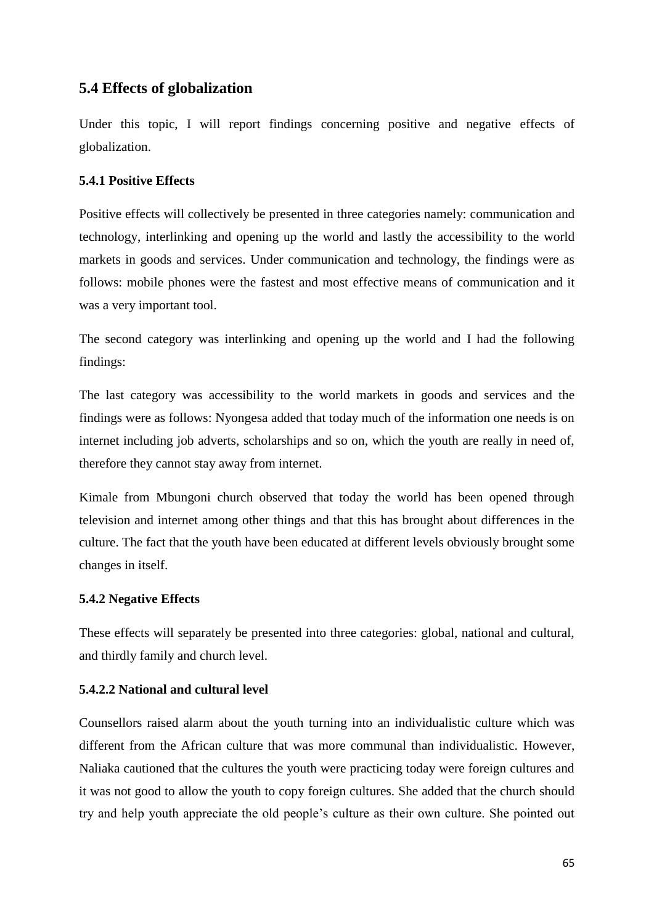# **5.4 Effects of globalization**

Under this topic, I will report findings concerning positive and negative effects of globalization.

# **5.4.1 Positive Effects**

Positive effects will collectively be presented in three categories namely: communication and technology, interlinking and opening up the world and lastly the accessibility to the world markets in goods and services. Under communication and technology, the findings were as follows: mobile phones were the fastest and most effective means of communication and it was a very important tool.

The second category was interlinking and opening up the world and I had the following findings:

The last category was accessibility to the world markets in goods and services and the findings were as follows: Nyongesa added that today much of the information one needs is on internet including job adverts, scholarships and so on, which the youth are really in need of, therefore they cannot stay away from internet.

Kimale from Mbungoni church observed that today the world has been opened through television and internet among other things and that this has brought about differences in the culture. The fact that the youth have been educated at different levels obviously brought some changes in itself.

# **5.4.2 Negative Effects**

These effects will separately be presented into three categories: global, national and cultural, and thirdly family and church level.

# **5.4.2.2 National and cultural level**

Counsellors raised alarm about the youth turning into an individualistic culture which was different from the African culture that was more communal than individualistic. However, Naliaka cautioned that the cultures the youth were practicing today were foreign cultures and it was not good to allow the youth to copy foreign cultures. She added that the church should try and help youth appreciate the old people's culture as their own culture. She pointed out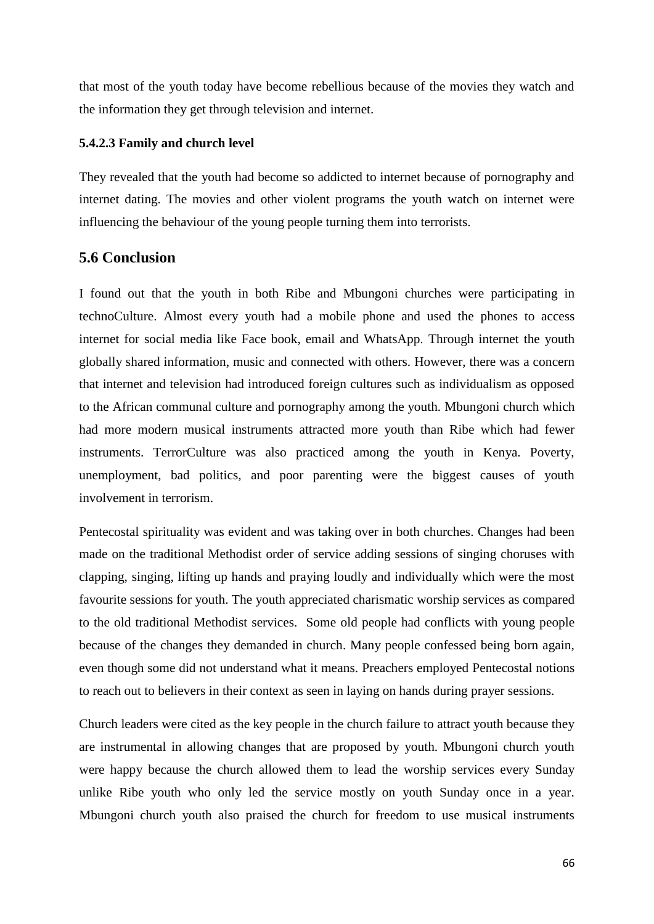that most of the youth today have become rebellious because of the movies they watch and the information they get through television and internet.

#### **5.4.2.3 Family and church level**

They revealed that the youth had become so addicted to internet because of pornography and internet dating. The movies and other violent programs the youth watch on internet were influencing the behaviour of the young people turning them into terrorists.

## **5.6 Conclusion**

I found out that the youth in both Ribe and Mbungoni churches were participating in technoCulture. Almost every youth had a mobile phone and used the phones to access internet for social media like Face book, email and WhatsApp. Through internet the youth globally shared information, music and connected with others. However, there was a concern that internet and television had introduced foreign cultures such as individualism as opposed to the African communal culture and pornography among the youth. Mbungoni church which had more modern musical instruments attracted more youth than Ribe which had fewer instruments. TerrorCulture was also practiced among the youth in Kenya. Poverty, unemployment, bad politics, and poor parenting were the biggest causes of youth involvement in terrorism.

Pentecostal spirituality was evident and was taking over in both churches. Changes had been made on the traditional Methodist order of service adding sessions of singing choruses with clapping, singing, lifting up hands and praying loudly and individually which were the most favourite sessions for youth. The youth appreciated charismatic worship services as compared to the old traditional Methodist services. Some old people had conflicts with young people because of the changes they demanded in church. Many people confessed being born again, even though some did not understand what it means. Preachers employed Pentecostal notions to reach out to believers in their context as seen in laying on hands during prayer sessions.

Church leaders were cited as the key people in the church failure to attract youth because they are instrumental in allowing changes that are proposed by youth. Mbungoni church youth were happy because the church allowed them to lead the worship services every Sunday unlike Ribe youth who only led the service mostly on youth Sunday once in a year. Mbungoni church youth also praised the church for freedom to use musical instruments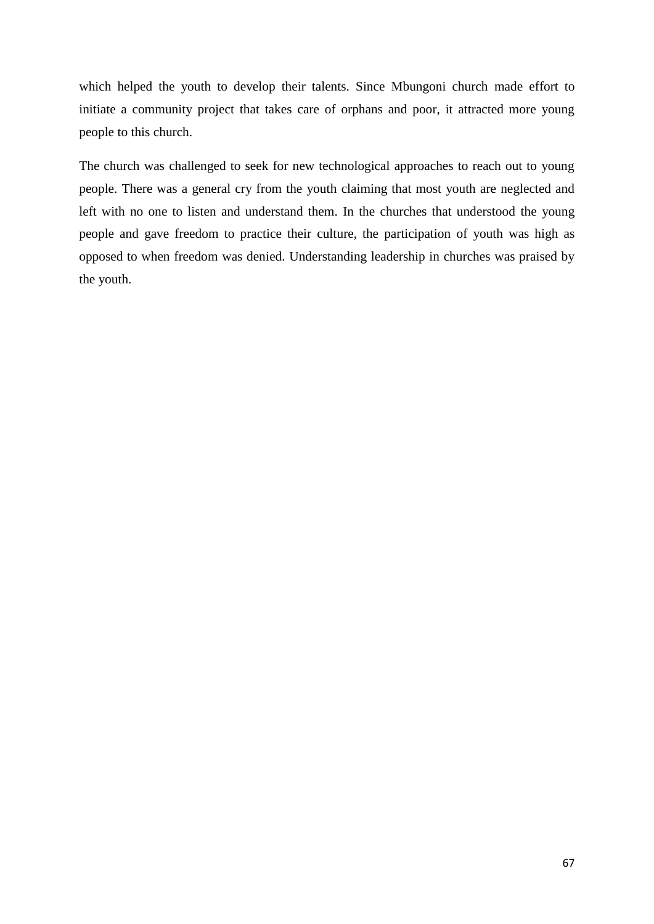which helped the youth to develop their talents. Since Mbungoni church made effort to initiate a community project that takes care of orphans and poor, it attracted more young people to this church.

The church was challenged to seek for new technological approaches to reach out to young people. There was a general cry from the youth claiming that most youth are neglected and left with no one to listen and understand them. In the churches that understood the young people and gave freedom to practice their culture, the participation of youth was high as opposed to when freedom was denied. Understanding leadership in churches was praised by the youth.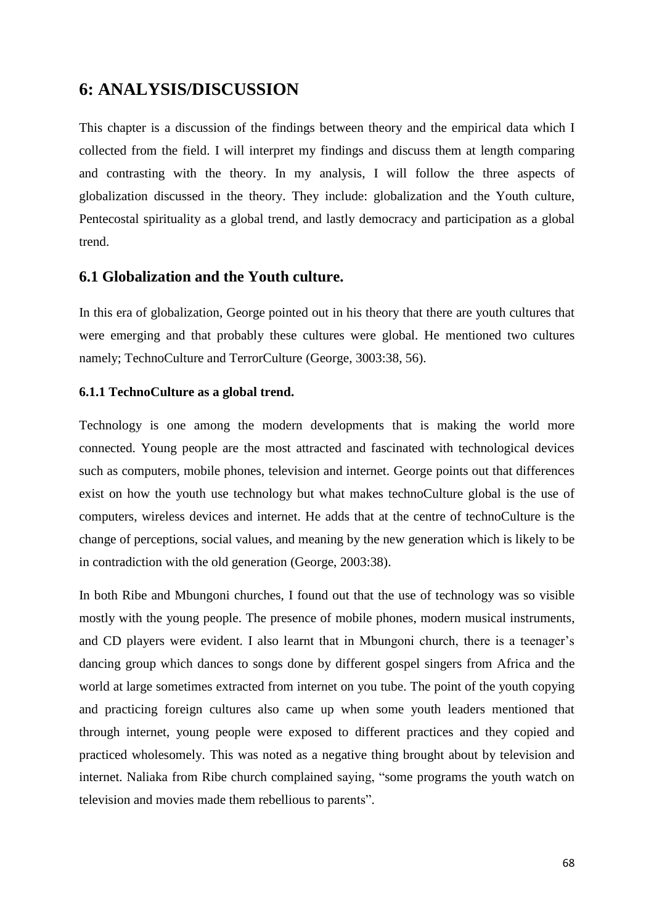# **6: ANALYSIS/DISCUSSION**

This chapter is a discussion of the findings between theory and the empirical data which I collected from the field. I will interpret my findings and discuss them at length comparing and contrasting with the theory. In my analysis, I will follow the three aspects of globalization discussed in the theory. They include: globalization and the Youth culture, Pentecostal spirituality as a global trend, and lastly democracy and participation as a global trend.

## **6.1 Globalization and the Youth culture.**

In this era of globalization, George pointed out in his theory that there are youth cultures that were emerging and that probably these cultures were global. He mentioned two cultures namely; TechnoCulture and TerrorCulture (George, 3003:38, 56).

## **6.1.1 TechnoCulture as a global trend.**

Technology is one among the modern developments that is making the world more connected. Young people are the most attracted and fascinated with technological devices such as computers, mobile phones, television and internet. George points out that differences exist on how the youth use technology but what makes technoCulture global is the use of computers, wireless devices and internet. He adds that at the centre of technoCulture is the change of perceptions, social values, and meaning by the new generation which is likely to be in contradiction with the old generation (George, 2003:38).

In both Ribe and Mbungoni churches, I found out that the use of technology was so visible mostly with the young people. The presence of mobile phones, modern musical instruments, and CD players were evident. I also learnt that in Mbungoni church, there is a teenager's dancing group which dances to songs done by different gospel singers from Africa and the world at large sometimes extracted from internet on you tube. The point of the youth copying and practicing foreign cultures also came up when some youth leaders mentioned that through internet, young people were exposed to different practices and they copied and practiced wholesomely. This was noted as a negative thing brought about by television and internet. Naliaka from Ribe church complained saying, "some programs the youth watch on television and movies made them rebellious to parents".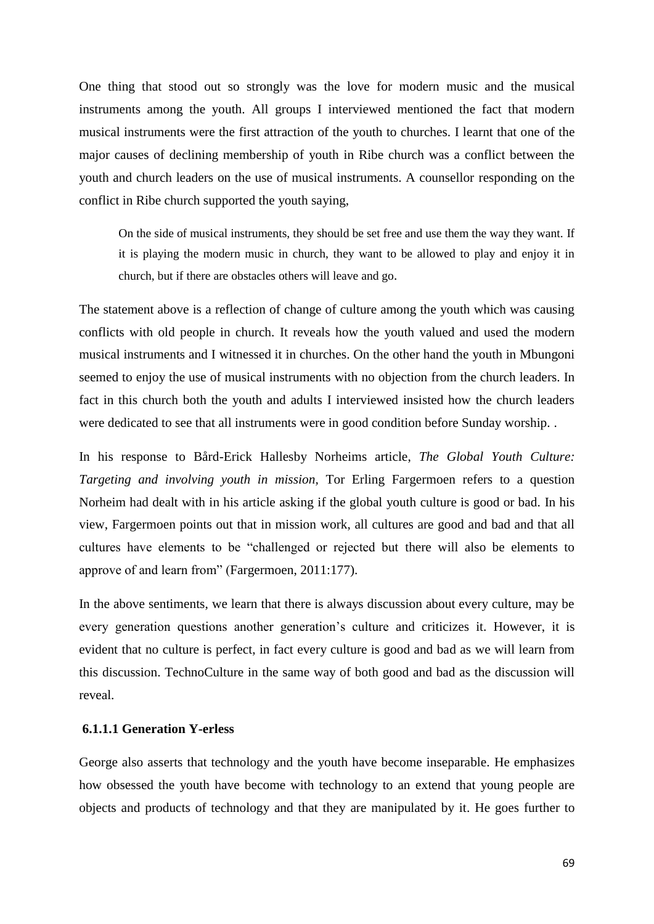One thing that stood out so strongly was the love for modern music and the musical instruments among the youth. All groups I interviewed mentioned the fact that modern musical instruments were the first attraction of the youth to churches. I learnt that one of the major causes of declining membership of youth in Ribe church was a conflict between the youth and church leaders on the use of musical instruments. A counsellor responding on the conflict in Ribe church supported the youth saying,

On the side of musical instruments, they should be set free and use them the way they want. If it is playing the modern music in church, they want to be allowed to play and enjoy it in church, but if there are obstacles others will leave and go.

The statement above is a reflection of change of culture among the youth which was causing conflicts with old people in church. It reveals how the youth valued and used the modern musical instruments and I witnessed it in churches. On the other hand the youth in Mbungoni seemed to enjoy the use of musical instruments with no objection from the church leaders. In fact in this church both the youth and adults I interviewed insisted how the church leaders were dedicated to see that all instruments were in good condition before Sunday worship. .

In his response to Bård-Erick Hallesby Norheims article, *The Global Youth Culture: Targeting and involving youth in mission,* Tor Erling Fargermoen refers to a question Norheim had dealt with in his article asking if the global youth culture is good or bad. In his view, Fargermoen points out that in mission work, all cultures are good and bad and that all cultures have elements to be "challenged or rejected but there will also be elements to approve of and learn from" (Fargermoen, 2011:177).

In the above sentiments, we learn that there is always discussion about every culture, may be every generation questions another generation's culture and criticizes it. However, it is evident that no culture is perfect, in fact every culture is good and bad as we will learn from this discussion. TechnoCulture in the same way of both good and bad as the discussion will reveal.

## **6.1.1.1 Generation Y-erless**

George also asserts that technology and the youth have become inseparable. He emphasizes how obsessed the youth have become with technology to an extend that young people are objects and products of technology and that they are manipulated by it. He goes further to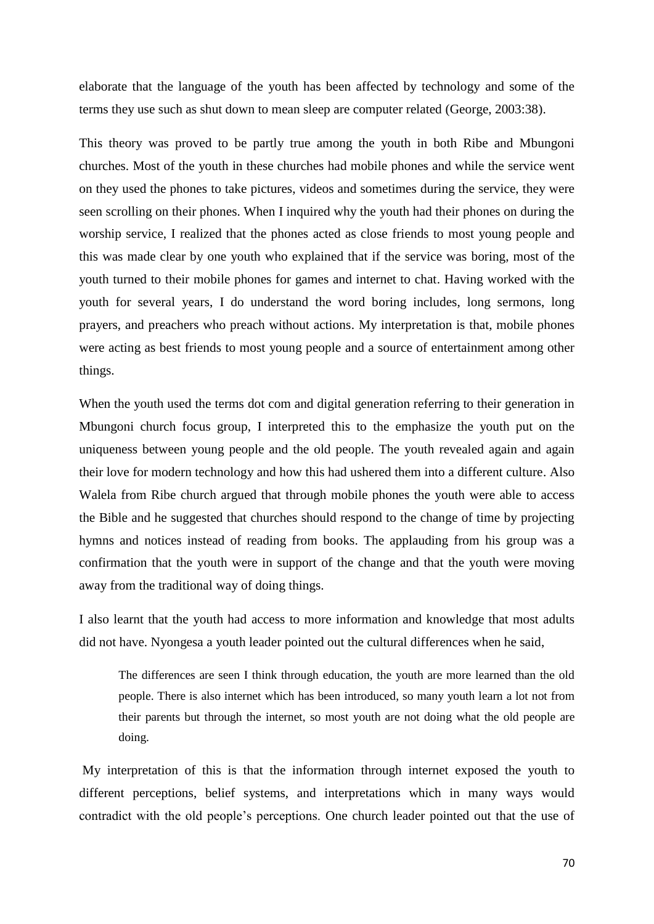elaborate that the language of the youth has been affected by technology and some of the terms they use such as shut down to mean sleep are computer related (George, 2003:38).

This theory was proved to be partly true among the youth in both Ribe and Mbungoni churches. Most of the youth in these churches had mobile phones and while the service went on they used the phones to take pictures, videos and sometimes during the service, they were seen scrolling on their phones. When I inquired why the youth had their phones on during the worship service, I realized that the phones acted as close friends to most young people and this was made clear by one youth who explained that if the service was boring, most of the youth turned to their mobile phones for games and internet to chat. Having worked with the youth for several years, I do understand the word boring includes, long sermons, long prayers, and preachers who preach without actions. My interpretation is that, mobile phones were acting as best friends to most young people and a source of entertainment among other things.

When the youth used the terms dot com and digital generation referring to their generation in Mbungoni church focus group, I interpreted this to the emphasize the youth put on the uniqueness between young people and the old people. The youth revealed again and again their love for modern technology and how this had ushered them into a different culture. Also Walela from Ribe church argued that through mobile phones the youth were able to access the Bible and he suggested that churches should respond to the change of time by projecting hymns and notices instead of reading from books. The applauding from his group was a confirmation that the youth were in support of the change and that the youth were moving away from the traditional way of doing things.

I also learnt that the youth had access to more information and knowledge that most adults did not have. Nyongesa a youth leader pointed out the cultural differences when he said,

The differences are seen I think through education, the youth are more learned than the old people. There is also internet which has been introduced, so many youth learn a lot not from their parents but through the internet, so most youth are not doing what the old people are doing.

My interpretation of this is that the information through internet exposed the youth to different perceptions, belief systems, and interpretations which in many ways would contradict with the old people's perceptions. One church leader pointed out that the use of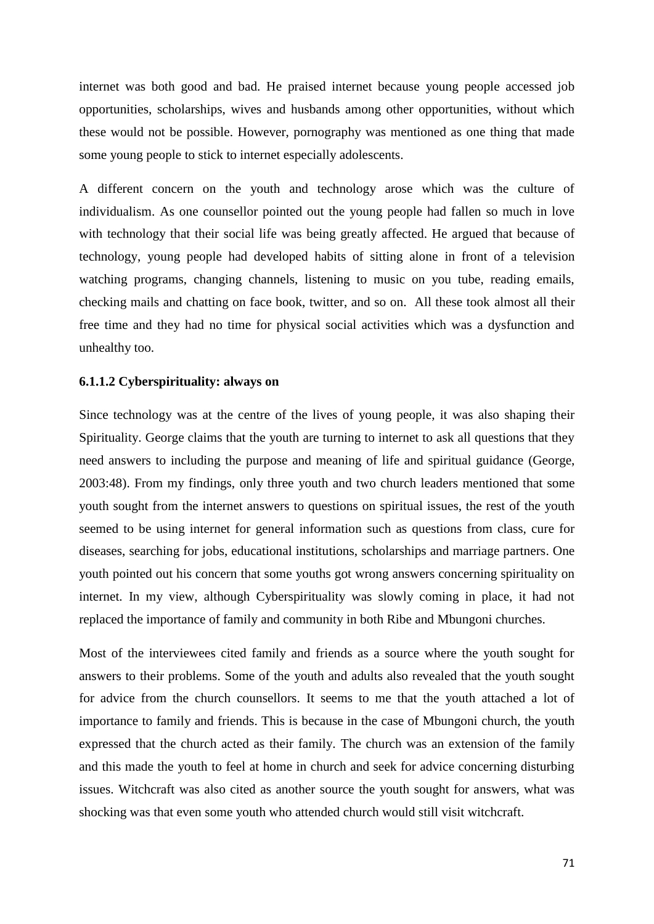internet was both good and bad. He praised internet because young people accessed job opportunities, scholarships, wives and husbands among other opportunities, without which these would not be possible. However, pornography was mentioned as one thing that made some young people to stick to internet especially adolescents.

A different concern on the youth and technology arose which was the culture of individualism. As one counsellor pointed out the young people had fallen so much in love with technology that their social life was being greatly affected. He argued that because of technology, young people had developed habits of sitting alone in front of a television watching programs, changing channels, listening to music on you tube, reading emails, checking mails and chatting on face book, twitter, and so on. All these took almost all their free time and they had no time for physical social activities which was a dysfunction and unhealthy too.

#### **6.1.1.2 Cyberspirituality: always on**

Since technology was at the centre of the lives of young people, it was also shaping their Spirituality. George claims that the youth are turning to internet to ask all questions that they need answers to including the purpose and meaning of life and spiritual guidance (George, 2003:48). From my findings, only three youth and two church leaders mentioned that some youth sought from the internet answers to questions on spiritual issues, the rest of the youth seemed to be using internet for general information such as questions from class, cure for diseases, searching for jobs, educational institutions, scholarships and marriage partners. One youth pointed out his concern that some youths got wrong answers concerning spirituality on internet. In my view, although Cyberspirituality was slowly coming in place, it had not replaced the importance of family and community in both Ribe and Mbungoni churches.

Most of the interviewees cited family and friends as a source where the youth sought for answers to their problems. Some of the youth and adults also revealed that the youth sought for advice from the church counsellors. It seems to me that the youth attached a lot of importance to family and friends. This is because in the case of Mbungoni church, the youth expressed that the church acted as their family. The church was an extension of the family and this made the youth to feel at home in church and seek for advice concerning disturbing issues. Witchcraft was also cited as another source the youth sought for answers, what was shocking was that even some youth who attended church would still visit witchcraft.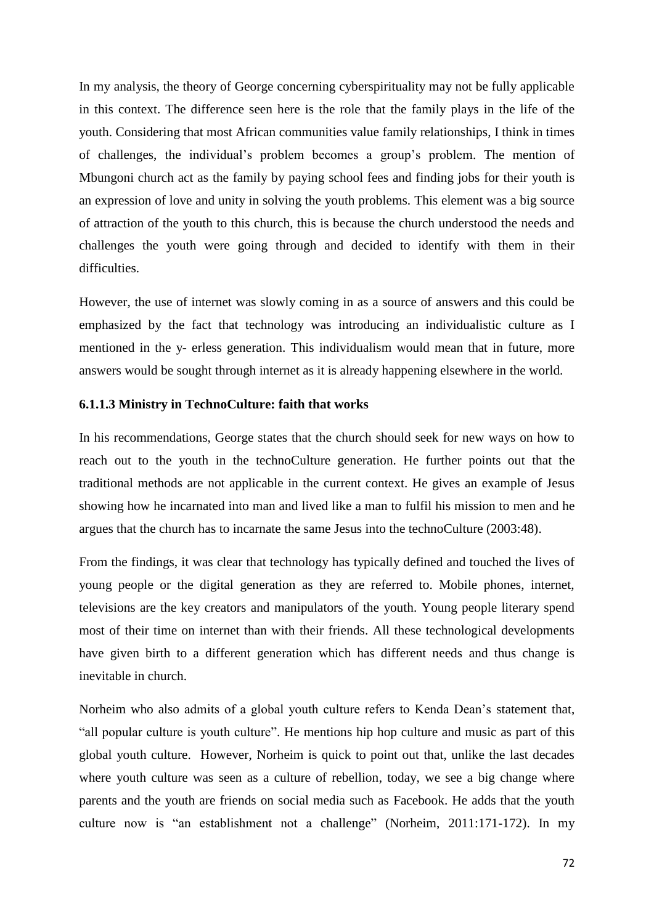In my analysis, the theory of George concerning cyberspirituality may not be fully applicable in this context. The difference seen here is the role that the family plays in the life of the youth. Considering that most African communities value family relationships, I think in times of challenges, the individual's problem becomes a group's problem. The mention of Mbungoni church act as the family by paying school fees and finding jobs for their youth is an expression of love and unity in solving the youth problems. This element was a big source of attraction of the youth to this church, this is because the church understood the needs and challenges the youth were going through and decided to identify with them in their difficulties.

However, the use of internet was slowly coming in as a source of answers and this could be emphasized by the fact that technology was introducing an individualistic culture as I mentioned in the y- erless generation. This individualism would mean that in future, more answers would be sought through internet as it is already happening elsewhere in the world.

#### **6.1.1.3 Ministry in TechnoCulture: faith that works**

In his recommendations, George states that the church should seek for new ways on how to reach out to the youth in the technoCulture generation. He further points out that the traditional methods are not applicable in the current context. He gives an example of Jesus showing how he incarnated into man and lived like a man to fulfil his mission to men and he argues that the church has to incarnate the same Jesus into the technoCulture (2003:48).

From the findings, it was clear that technology has typically defined and touched the lives of young people or the digital generation as they are referred to. Mobile phones, internet, televisions are the key creators and manipulators of the youth. Young people literary spend most of their time on internet than with their friends. All these technological developments have given birth to a different generation which has different needs and thus change is inevitable in church.

Norheim who also admits of a global youth culture refers to Kenda Dean's statement that, "all popular culture is youth culture". He mentions hip hop culture and music as part of this global youth culture. However, Norheim is quick to point out that, unlike the last decades where youth culture was seen as a culture of rebellion, today, we see a big change where parents and the youth are friends on social media such as Facebook. He adds that the youth culture now is "an establishment not a challenge" (Norheim, 2011:171-172). In my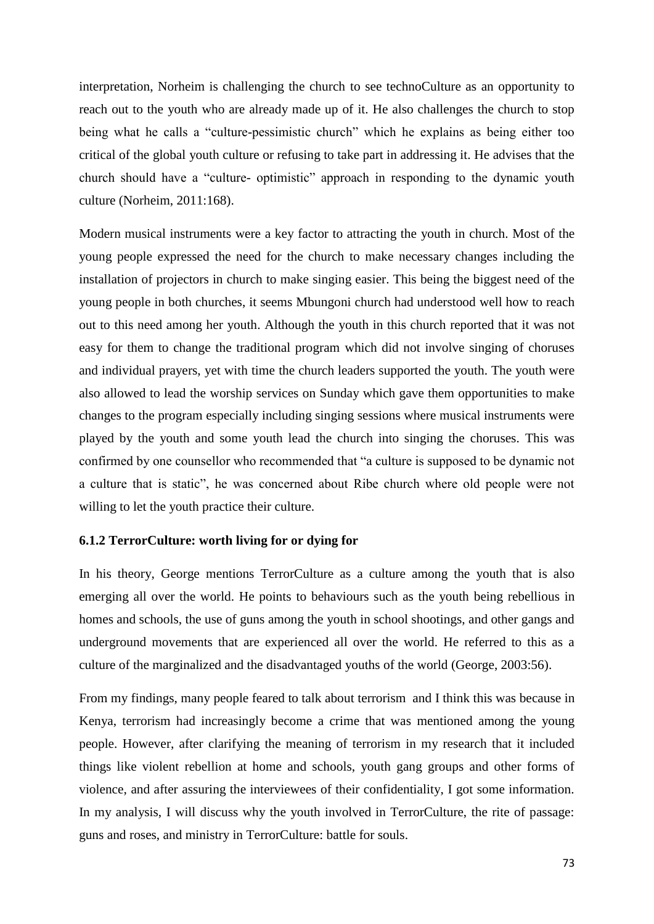interpretation, Norheim is challenging the church to see technoCulture as an opportunity to reach out to the youth who are already made up of it. He also challenges the church to stop being what he calls a "culture-pessimistic church" which he explains as being either too critical of the global youth culture or refusing to take part in addressing it. He advises that the church should have a "culture- optimistic" approach in responding to the dynamic youth culture (Norheim, 2011:168).

Modern musical instruments were a key factor to attracting the youth in church. Most of the young people expressed the need for the church to make necessary changes including the installation of projectors in church to make singing easier. This being the biggest need of the young people in both churches, it seems Mbungoni church had understood well how to reach out to this need among her youth. Although the youth in this church reported that it was not easy for them to change the traditional program which did not involve singing of choruses and individual prayers, yet with time the church leaders supported the youth. The youth were also allowed to lead the worship services on Sunday which gave them opportunities to make changes to the program especially including singing sessions where musical instruments were played by the youth and some youth lead the church into singing the choruses. This was confirmed by one counsellor who recommended that "a culture is supposed to be dynamic not a culture that is static", he was concerned about Ribe church where old people were not willing to let the youth practice their culture.

#### **6.1.2 TerrorCulture: worth living for or dying for**

In his theory, George mentions TerrorCulture as a culture among the youth that is also emerging all over the world. He points to behaviours such as the youth being rebellious in homes and schools, the use of guns among the youth in school shootings, and other gangs and underground movements that are experienced all over the world. He referred to this as a culture of the marginalized and the disadvantaged youths of the world (George, 2003:56).

From my findings, many people feared to talk about terrorism and I think this was because in Kenya, terrorism had increasingly become a crime that was mentioned among the young people. However, after clarifying the meaning of terrorism in my research that it included things like violent rebellion at home and schools, youth gang groups and other forms of violence, and after assuring the interviewees of their confidentiality, I got some information. In my analysis, I will discuss why the youth involved in TerrorCulture, the rite of passage: guns and roses, and ministry in TerrorCulture: battle for souls.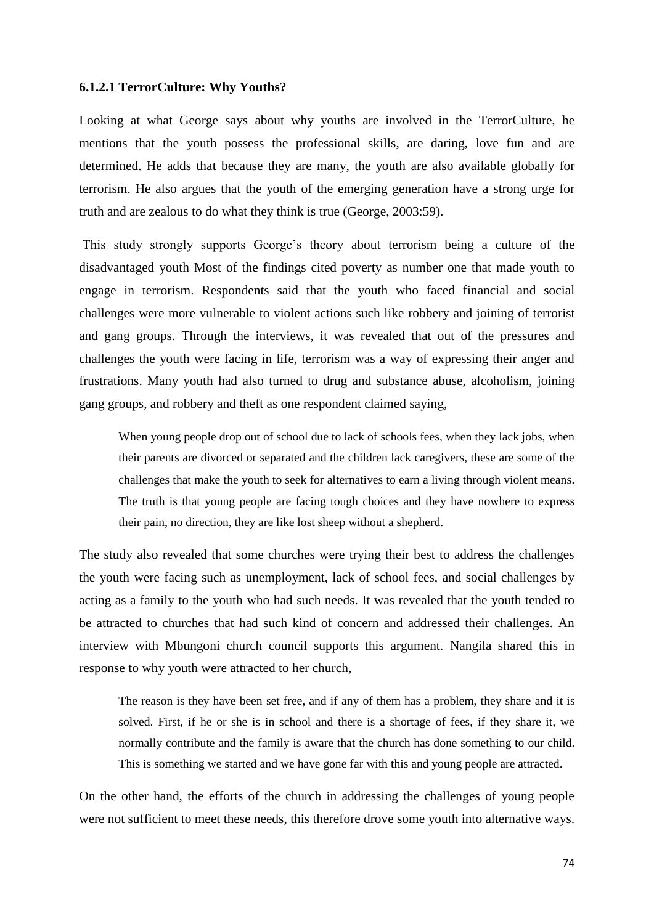#### **6.1.2.1 TerrorCulture: Why Youths?**

Looking at what George says about why youths are involved in the TerrorCulture, he mentions that the youth possess the professional skills, are daring, love fun and are determined. He adds that because they are many, the youth are also available globally for terrorism. He also argues that the youth of the emerging generation have a strong urge for truth and are zealous to do what they think is true (George, 2003:59).

This study strongly supports George's theory about terrorism being a culture of the disadvantaged youth Most of the findings cited poverty as number one that made youth to engage in terrorism. Respondents said that the youth who faced financial and social challenges were more vulnerable to violent actions such like robbery and joining of terrorist and gang groups. Through the interviews, it was revealed that out of the pressures and challenges the youth were facing in life, terrorism was a way of expressing their anger and frustrations. Many youth had also turned to drug and substance abuse, alcoholism, joining gang groups, and robbery and theft as one respondent claimed saying,

When young people drop out of school due to lack of schools fees, when they lack jobs, when their parents are divorced or separated and the children lack caregivers, these are some of the challenges that make the youth to seek for alternatives to earn a living through violent means. The truth is that young people are facing tough choices and they have nowhere to express their pain, no direction, they are like lost sheep without a shepherd.

The study also revealed that some churches were trying their best to address the challenges the youth were facing such as unemployment, lack of school fees, and social challenges by acting as a family to the youth who had such needs. It was revealed that the youth tended to be attracted to churches that had such kind of concern and addressed their challenges. An interview with Mbungoni church council supports this argument. Nangila shared this in response to why youth were attracted to her church,

The reason is they have been set free, and if any of them has a problem, they share and it is solved. First, if he or she is in school and there is a shortage of fees, if they share it, we normally contribute and the family is aware that the church has done something to our child. This is something we started and we have gone far with this and young people are attracted.

On the other hand, the efforts of the church in addressing the challenges of young people were not sufficient to meet these needs, this therefore drove some youth into alternative ways.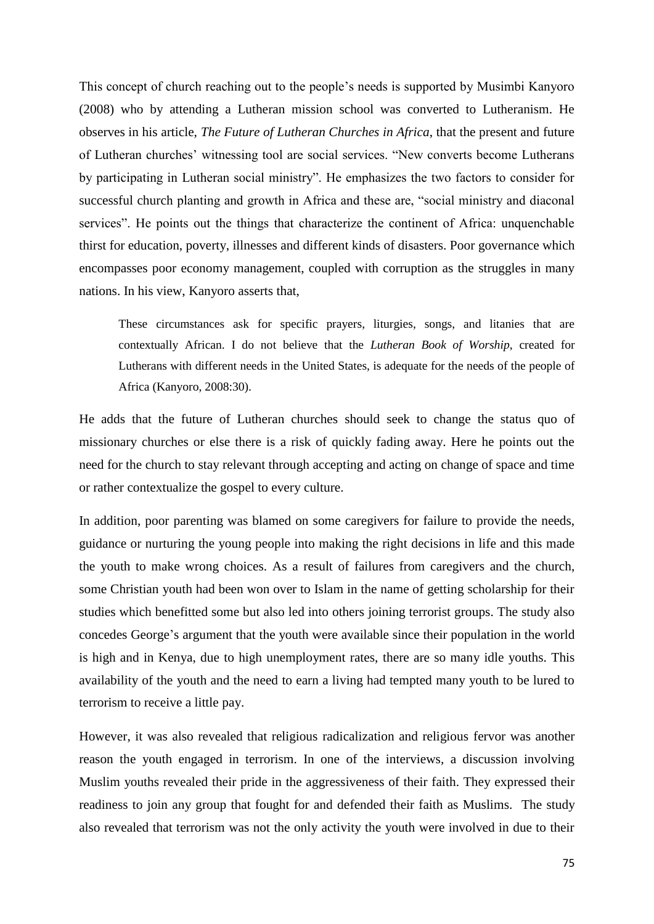This concept of church reaching out to the people's needs is supported by Musimbi Kanyoro (2008) who by attending a Lutheran mission school was converted to Lutheranism. He observes in his article, *The Future of Lutheran Churches in Africa*, that the present and future of Lutheran churches' witnessing tool are social services. "New converts become Lutherans by participating in Lutheran social ministry". He emphasizes the two factors to consider for successful church planting and growth in Africa and these are, "social ministry and diaconal services". He points out the things that characterize the continent of Africa: unquenchable thirst for education, poverty, illnesses and different kinds of disasters. Poor governance which encompasses poor economy management, coupled with corruption as the struggles in many nations. In his view, Kanyoro asserts that,

These circumstances ask for specific prayers, liturgies, songs, and litanies that are contextually African. I do not believe that the *Lutheran Book of Worship*, created for Lutherans with different needs in the United States, is adequate for the needs of the people of Africa (Kanyoro, 2008:30).

He adds that the future of Lutheran churches should seek to change the status quo of missionary churches or else there is a risk of quickly fading away. Here he points out the need for the church to stay relevant through accepting and acting on change of space and time or rather contextualize the gospel to every culture.

In addition, poor parenting was blamed on some caregivers for failure to provide the needs, guidance or nurturing the young people into making the right decisions in life and this made the youth to make wrong choices. As a result of failures from caregivers and the church, some Christian youth had been won over to Islam in the name of getting scholarship for their studies which benefitted some but also led into others joining terrorist groups. The study also concedes George's argument that the youth were available since their population in the world is high and in Kenya, due to high unemployment rates, there are so many idle youths. This availability of the youth and the need to earn a living had tempted many youth to be lured to terrorism to receive a little pay.

However, it was also revealed that religious radicalization and religious fervor was another reason the youth engaged in terrorism. In one of the interviews, a discussion involving Muslim youths revealed their pride in the aggressiveness of their faith. They expressed their readiness to join any group that fought for and defended their faith as Muslims. The study also revealed that terrorism was not the only activity the youth were involved in due to their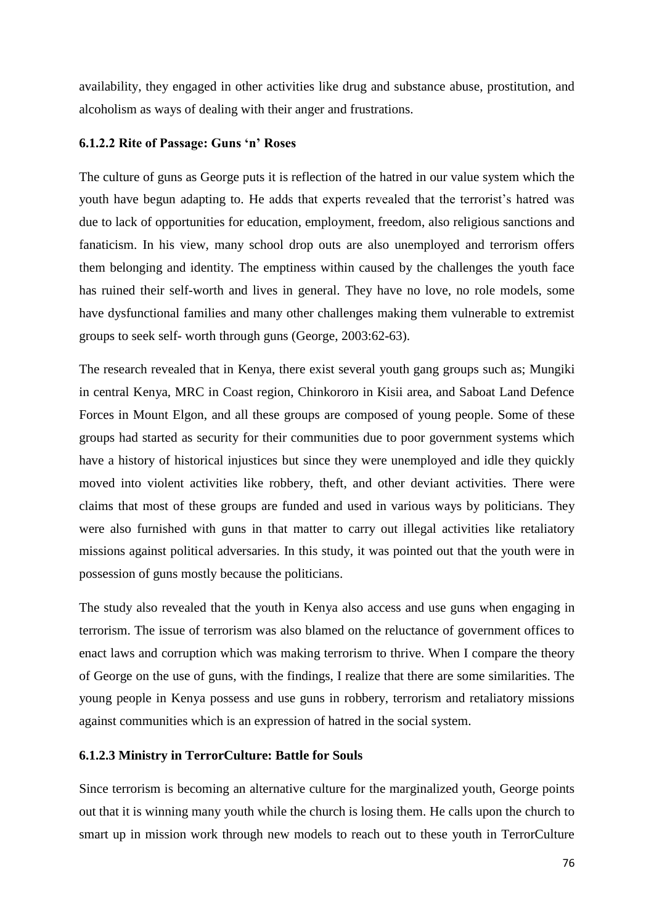availability, they engaged in other activities like drug and substance abuse, prostitution, and alcoholism as ways of dealing with their anger and frustrations.

#### **6.1.2.2 Rite of Passage: Guns 'n' Roses**

The culture of guns as George puts it is reflection of the hatred in our value system which the youth have begun adapting to. He adds that experts revealed that the terrorist's hatred was due to lack of opportunities for education, employment, freedom, also religious sanctions and fanaticism. In his view, many school drop outs are also unemployed and terrorism offers them belonging and identity. The emptiness within caused by the challenges the youth face has ruined their self-worth and lives in general. They have no love, no role models, some have dysfunctional families and many other challenges making them vulnerable to extremist groups to seek self- worth through guns (George, 2003:62-63).

The research revealed that in Kenya, there exist several youth gang groups such as; Mungiki in central Kenya, MRC in Coast region, Chinkororo in Kisii area, and Saboat Land Defence Forces in Mount Elgon, and all these groups are composed of young people. Some of these groups had started as security for their communities due to poor government systems which have a history of historical injustices but since they were unemployed and idle they quickly moved into violent activities like robbery, theft, and other deviant activities. There were claims that most of these groups are funded and used in various ways by politicians. They were also furnished with guns in that matter to carry out illegal activities like retaliatory missions against political adversaries. In this study, it was pointed out that the youth were in possession of guns mostly because the politicians.

The study also revealed that the youth in Kenya also access and use guns when engaging in terrorism. The issue of terrorism was also blamed on the reluctance of government offices to enact laws and corruption which was making terrorism to thrive. When I compare the theory of George on the use of guns, with the findings, I realize that there are some similarities. The young people in Kenya possess and use guns in robbery, terrorism and retaliatory missions against communities which is an expression of hatred in the social system.

#### **6.1.2.3 Ministry in TerrorCulture: Battle for Souls**

Since terrorism is becoming an alternative culture for the marginalized youth, George points out that it is winning many youth while the church is losing them. He calls upon the church to smart up in mission work through new models to reach out to these youth in TerrorCulture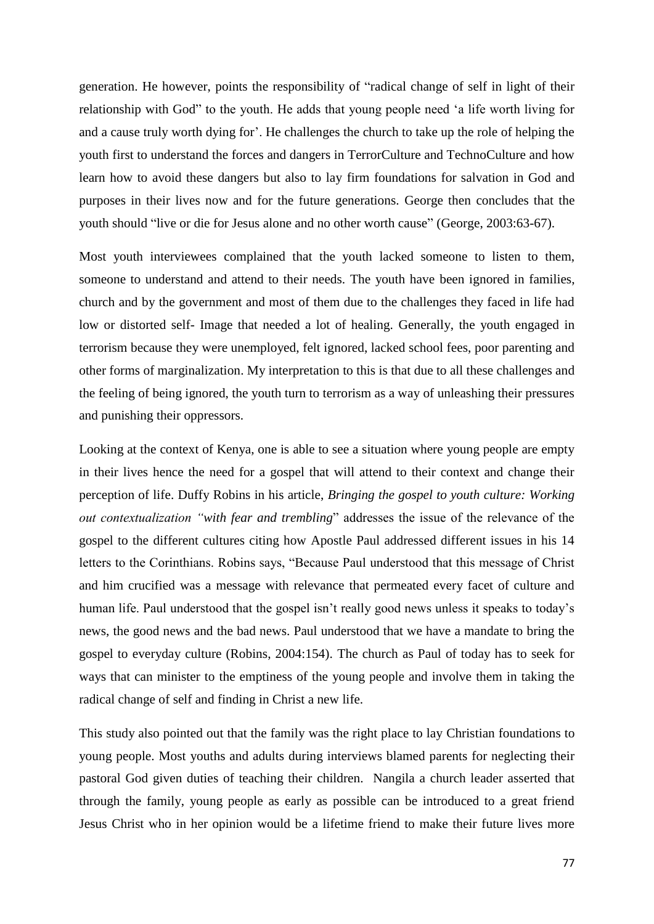generation. He however, points the responsibility of "radical change of self in light of their relationship with God" to the youth. He adds that young people need 'a life worth living for and a cause truly worth dying for'. He challenges the church to take up the role of helping the youth first to understand the forces and dangers in TerrorCulture and TechnoCulture and how learn how to avoid these dangers but also to lay firm foundations for salvation in God and purposes in their lives now and for the future generations. George then concludes that the youth should "live or die for Jesus alone and no other worth cause" (George, 2003:63-67).

Most youth interviewees complained that the youth lacked someone to listen to them, someone to understand and attend to their needs. The youth have been ignored in families, church and by the government and most of them due to the challenges they faced in life had low or distorted self- Image that needed a lot of healing. Generally, the youth engaged in terrorism because they were unemployed, felt ignored, lacked school fees, poor parenting and other forms of marginalization. My interpretation to this is that due to all these challenges and the feeling of being ignored, the youth turn to terrorism as a way of unleashing their pressures and punishing their oppressors.

Looking at the context of Kenya, one is able to see a situation where young people are empty in their lives hence the need for a gospel that will attend to their context and change their perception of life. Duffy Robins in his article, *Bringing the gospel to youth culture: Working out contextualization "with fear and trembling*" addresses the issue of the relevance of the gospel to the different cultures citing how Apostle Paul addressed different issues in his 14 letters to the Corinthians. Robins says, "Because Paul understood that this message of Christ and him crucified was a message with relevance that permeated every facet of culture and human life. Paul understood that the gospel isn't really good news unless it speaks to today's news, the good news and the bad news. Paul understood that we have a mandate to bring the gospel to everyday culture (Robins, 2004:154). The church as Paul of today has to seek for ways that can minister to the emptiness of the young people and involve them in taking the radical change of self and finding in Christ a new life.

This study also pointed out that the family was the right place to lay Christian foundations to young people. Most youths and adults during interviews blamed parents for neglecting their pastoral God given duties of teaching their children. Nangila a church leader asserted that through the family, young people as early as possible can be introduced to a great friend Jesus Christ who in her opinion would be a lifetime friend to make their future lives more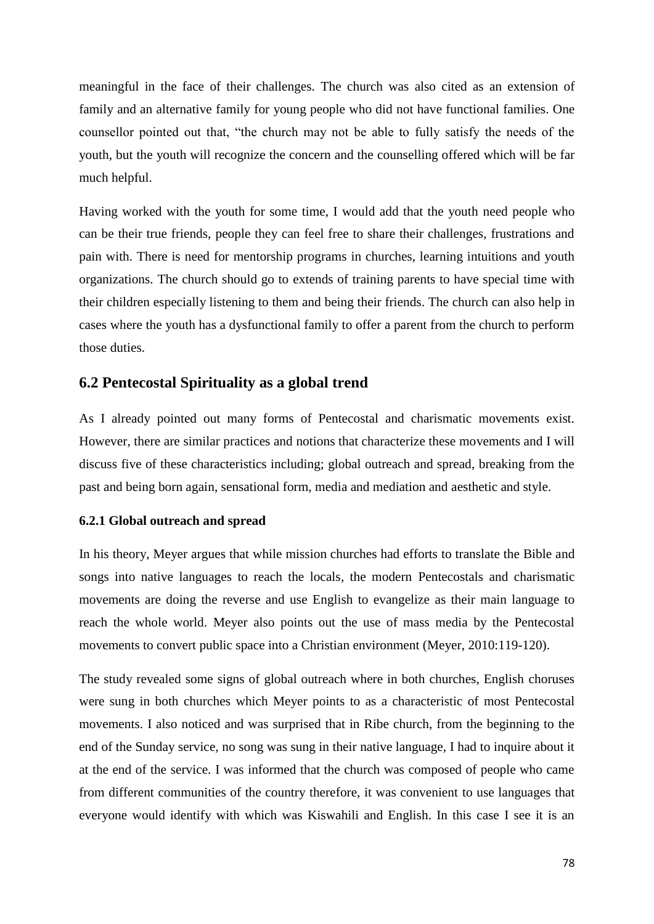meaningful in the face of their challenges. The church was also cited as an extension of family and an alternative family for young people who did not have functional families. One counsellor pointed out that, "the church may not be able to fully satisfy the needs of the youth, but the youth will recognize the concern and the counselling offered which will be far much helpful.

Having worked with the youth for some time, I would add that the youth need people who can be their true friends, people they can feel free to share their challenges, frustrations and pain with. There is need for mentorship programs in churches, learning intuitions and youth organizations. The church should go to extends of training parents to have special time with their children especially listening to them and being their friends. The church can also help in cases where the youth has a dysfunctional family to offer a parent from the church to perform those duties.

## **6.2 Pentecostal Spirituality as a global trend**

As I already pointed out many forms of Pentecostal and charismatic movements exist. However, there are similar practices and notions that characterize these movements and I will discuss five of these characteristics including; global outreach and spread, breaking from the past and being born again, sensational form, media and mediation and aesthetic and style.

#### **6.2.1 Global outreach and spread**

In his theory, Meyer argues that while mission churches had efforts to translate the Bible and songs into native languages to reach the locals, the modern Pentecostals and charismatic movements are doing the reverse and use English to evangelize as their main language to reach the whole world. Meyer also points out the use of mass media by the Pentecostal movements to convert public space into a Christian environment (Meyer, 2010:119-120).

The study revealed some signs of global outreach where in both churches, English choruses were sung in both churches which Meyer points to as a characteristic of most Pentecostal movements. I also noticed and was surprised that in Ribe church, from the beginning to the end of the Sunday service, no song was sung in their native language, I had to inquire about it at the end of the service. I was informed that the church was composed of people who came from different communities of the country therefore, it was convenient to use languages that everyone would identify with which was Kiswahili and English. In this case I see it is an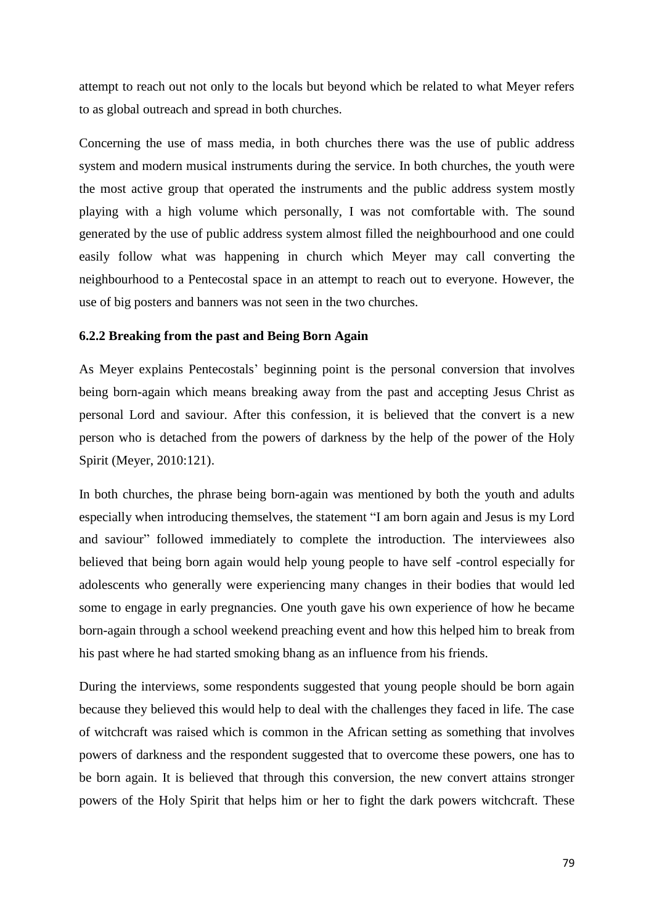attempt to reach out not only to the locals but beyond which be related to what Meyer refers to as global outreach and spread in both churches.

Concerning the use of mass media, in both churches there was the use of public address system and modern musical instruments during the service. In both churches, the youth were the most active group that operated the instruments and the public address system mostly playing with a high volume which personally, I was not comfortable with. The sound generated by the use of public address system almost filled the neighbourhood and one could easily follow what was happening in church which Meyer may call converting the neighbourhood to a Pentecostal space in an attempt to reach out to everyone. However, the use of big posters and banners was not seen in the two churches.

#### **6.2.2 Breaking from the past and Being Born Again**

As Meyer explains Pentecostals' beginning point is the personal conversion that involves being born-again which means breaking away from the past and accepting Jesus Christ as personal Lord and saviour. After this confession, it is believed that the convert is a new person who is detached from the powers of darkness by the help of the power of the Holy Spirit (Meyer, 2010:121).

In both churches, the phrase being born-again was mentioned by both the youth and adults especially when introducing themselves, the statement "I am born again and Jesus is my Lord and saviour" followed immediately to complete the introduction. The interviewees also believed that being born again would help young people to have self -control especially for adolescents who generally were experiencing many changes in their bodies that would led some to engage in early pregnancies. One youth gave his own experience of how he became born-again through a school weekend preaching event and how this helped him to break from his past where he had started smoking bhang as an influence from his friends.

During the interviews, some respondents suggested that young people should be born again because they believed this would help to deal with the challenges they faced in life. The case of witchcraft was raised which is common in the African setting as something that involves powers of darkness and the respondent suggested that to overcome these powers, one has to be born again. It is believed that through this conversion, the new convert attains stronger powers of the Holy Spirit that helps him or her to fight the dark powers witchcraft. These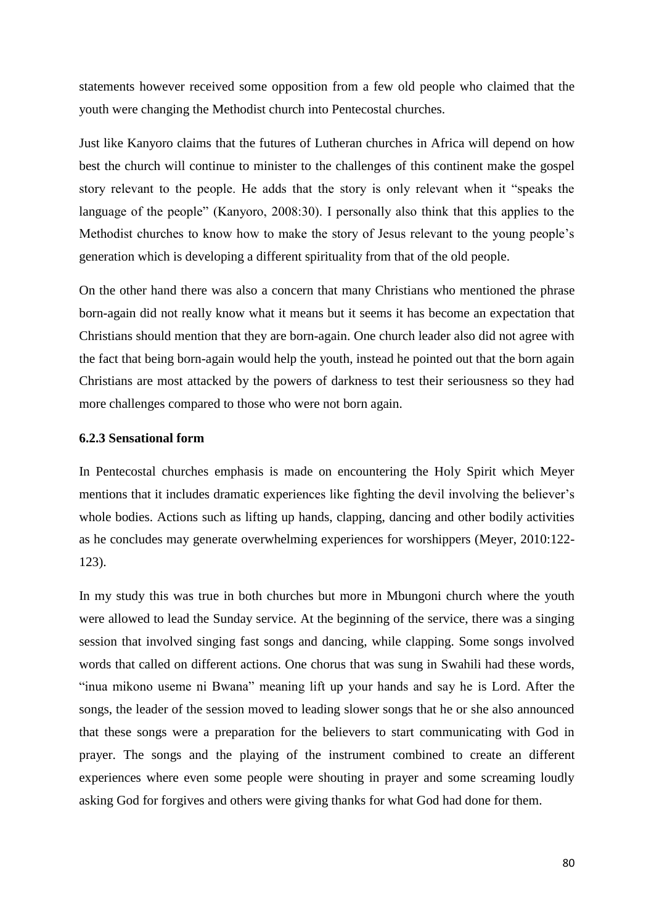statements however received some opposition from a few old people who claimed that the youth were changing the Methodist church into Pentecostal churches.

Just like Kanyoro claims that the futures of Lutheran churches in Africa will depend on how best the church will continue to minister to the challenges of this continent make the gospel story relevant to the people. He adds that the story is only relevant when it "speaks the language of the people" (Kanyoro, 2008:30). I personally also think that this applies to the Methodist churches to know how to make the story of Jesus relevant to the young people's generation which is developing a different spirituality from that of the old people.

On the other hand there was also a concern that many Christians who mentioned the phrase born-again did not really know what it means but it seems it has become an expectation that Christians should mention that they are born-again. One church leader also did not agree with the fact that being born-again would help the youth, instead he pointed out that the born again Christians are most attacked by the powers of darkness to test their seriousness so they had more challenges compared to those who were not born again.

#### **6.2.3 Sensational form**

In Pentecostal churches emphasis is made on encountering the Holy Spirit which Meyer mentions that it includes dramatic experiences like fighting the devil involving the believer's whole bodies. Actions such as lifting up hands, clapping, dancing and other bodily activities as he concludes may generate overwhelming experiences for worshippers (Meyer, 2010:122- 123).

In my study this was true in both churches but more in Mbungoni church where the youth were allowed to lead the Sunday service. At the beginning of the service, there was a singing session that involved singing fast songs and dancing, while clapping. Some songs involved words that called on different actions. One chorus that was sung in Swahili had these words, "inua mikono useme ni Bwana" meaning lift up your hands and say he is Lord. After the songs, the leader of the session moved to leading slower songs that he or she also announced that these songs were a preparation for the believers to start communicating with God in prayer. The songs and the playing of the instrument combined to create an different experiences where even some people were shouting in prayer and some screaming loudly asking God for forgives and others were giving thanks for what God had done for them.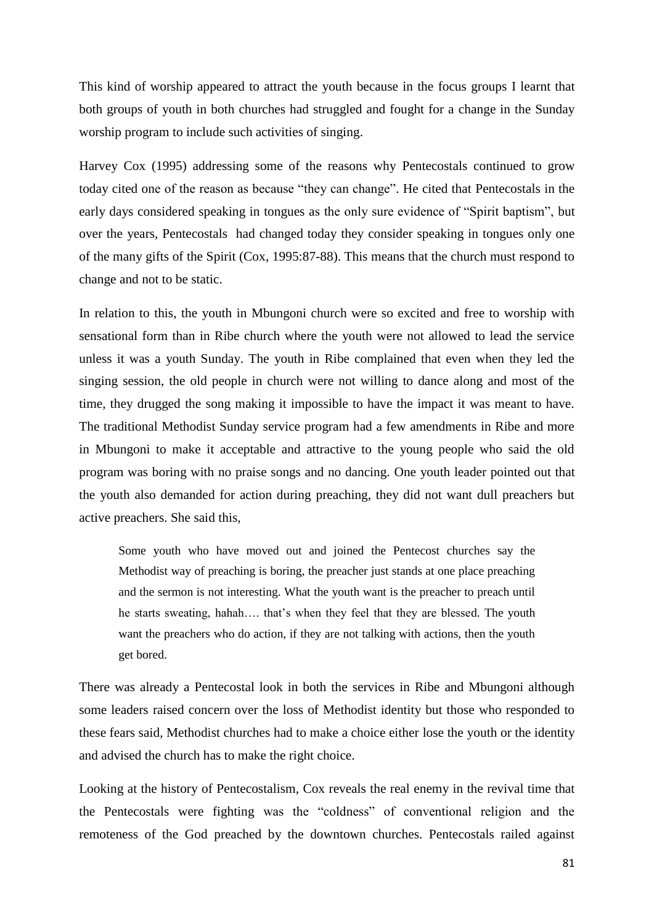This kind of worship appeared to attract the youth because in the focus groups I learnt that both groups of youth in both churches had struggled and fought for a change in the Sunday worship program to include such activities of singing.

Harvey Cox (1995) addressing some of the reasons why Pentecostals continued to grow today cited one of the reason as because "they can change". He cited that Pentecostals in the early days considered speaking in tongues as the only sure evidence of "Spirit baptism", but over the years, Pentecostals had changed today they consider speaking in tongues only one of the many gifts of the Spirit (Cox, 1995:87-88). This means that the church must respond to change and not to be static.

In relation to this, the youth in Mbungoni church were so excited and free to worship with sensational form than in Ribe church where the youth were not allowed to lead the service unless it was a youth Sunday. The youth in Ribe complained that even when they led the singing session, the old people in church were not willing to dance along and most of the time, they drugged the song making it impossible to have the impact it was meant to have. The traditional Methodist Sunday service program had a few amendments in Ribe and more in Mbungoni to make it acceptable and attractive to the young people who said the old program was boring with no praise songs and no dancing. One youth leader pointed out that the youth also demanded for action during preaching, they did not want dull preachers but active preachers. She said this,

Some youth who have moved out and joined the Pentecost churches say the Methodist way of preaching is boring, the preacher just stands at one place preaching and the sermon is not interesting. What the youth want is the preacher to preach until he starts sweating, hahah…. that's when they feel that they are blessed. The youth want the preachers who do action, if they are not talking with actions, then the youth get bored.

There was already a Pentecostal look in both the services in Ribe and Mbungoni although some leaders raised concern over the loss of Methodist identity but those who responded to these fears said, Methodist churches had to make a choice either lose the youth or the identity and advised the church has to make the right choice.

Looking at the history of Pentecostalism, Cox reveals the real enemy in the revival time that the Pentecostals were fighting was the "coldness" of conventional religion and the remoteness of the God preached by the downtown churches. Pentecostals railed against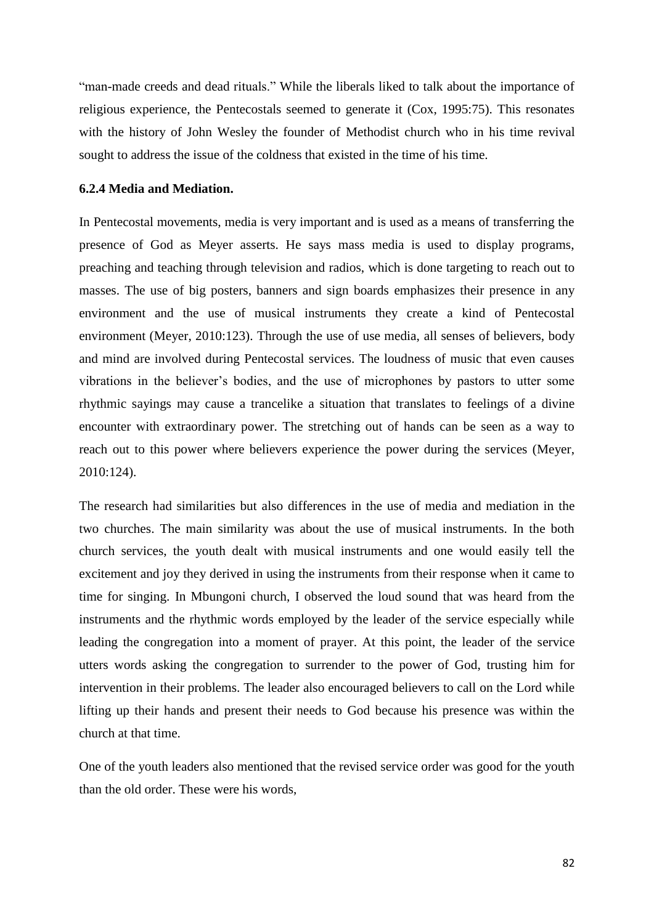"man-made creeds and dead rituals." While the liberals liked to talk about the importance of religious experience, the Pentecostals seemed to generate it (Cox, 1995:75). This resonates with the history of John Wesley the founder of Methodist church who in his time revival sought to address the issue of the coldness that existed in the time of his time.

#### **6.2.4 Media and Mediation.**

In Pentecostal movements, media is very important and is used as a means of transferring the presence of God as Meyer asserts. He says mass media is used to display programs, preaching and teaching through television and radios, which is done targeting to reach out to masses. The use of big posters, banners and sign boards emphasizes their presence in any environment and the use of musical instruments they create a kind of Pentecostal environment (Meyer, 2010:123). Through the use of use media, all senses of believers, body and mind are involved during Pentecostal services. The loudness of music that even causes vibrations in the believer's bodies, and the use of microphones by pastors to utter some rhythmic sayings may cause a trancelike a situation that translates to feelings of a divine encounter with extraordinary power. The stretching out of hands can be seen as a way to reach out to this power where believers experience the power during the services (Meyer, 2010:124).

The research had similarities but also differences in the use of media and mediation in the two churches. The main similarity was about the use of musical instruments. In the both church services, the youth dealt with musical instruments and one would easily tell the excitement and joy they derived in using the instruments from their response when it came to time for singing. In Mbungoni church, I observed the loud sound that was heard from the instruments and the rhythmic words employed by the leader of the service especially while leading the congregation into a moment of prayer. At this point, the leader of the service utters words asking the congregation to surrender to the power of God, trusting him for intervention in their problems. The leader also encouraged believers to call on the Lord while lifting up their hands and present their needs to God because his presence was within the church at that time.

One of the youth leaders also mentioned that the revised service order was good for the youth than the old order. These were his words,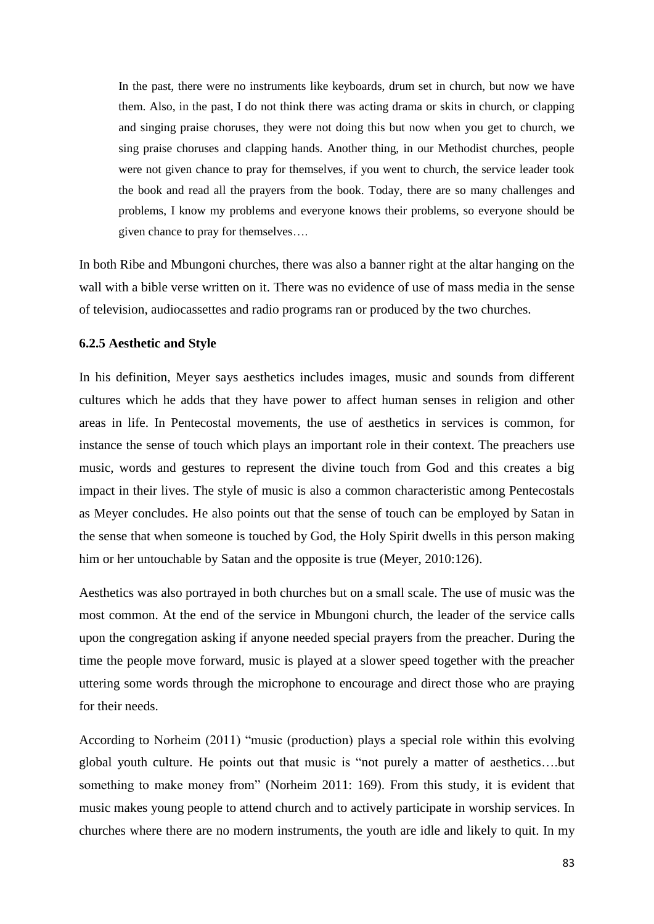In the past, there were no instruments like keyboards, drum set in church, but now we have them. Also, in the past, I do not think there was acting drama or skits in church, or clapping and singing praise choruses, they were not doing this but now when you get to church, we sing praise choruses and clapping hands. Another thing, in our Methodist churches, people were not given chance to pray for themselves, if you went to church, the service leader took the book and read all the prayers from the book. Today, there are so many challenges and problems, I know my problems and everyone knows their problems, so everyone should be given chance to pray for themselves….

In both Ribe and Mbungoni churches, there was also a banner right at the altar hanging on the wall with a bible verse written on it. There was no evidence of use of mass media in the sense of television, audiocassettes and radio programs ran or produced by the two churches.

## **6.2.5 Aesthetic and Style**

In his definition, Meyer says aesthetics includes images, music and sounds from different cultures which he adds that they have power to affect human senses in religion and other areas in life. In Pentecostal movements, the use of aesthetics in services is common, for instance the sense of touch which plays an important role in their context. The preachers use music, words and gestures to represent the divine touch from God and this creates a big impact in their lives. The style of music is also a common characteristic among Pentecostals as Meyer concludes. He also points out that the sense of touch can be employed by Satan in the sense that when someone is touched by God, the Holy Spirit dwells in this person making him or her untouchable by Satan and the opposite is true (Meyer, 2010:126).

Aesthetics was also portrayed in both churches but on a small scale. The use of music was the most common. At the end of the service in Mbungoni church, the leader of the service calls upon the congregation asking if anyone needed special prayers from the preacher. During the time the people move forward, music is played at a slower speed together with the preacher uttering some words through the microphone to encourage and direct those who are praying for their needs.

According to Norheim (2011) "music (production) plays a special role within this evolving global youth culture. He points out that music is "not purely a matter of aesthetics….but something to make money from" (Norheim 2011: 169). From this study, it is evident that music makes young people to attend church and to actively participate in worship services. In churches where there are no modern instruments, the youth are idle and likely to quit. In my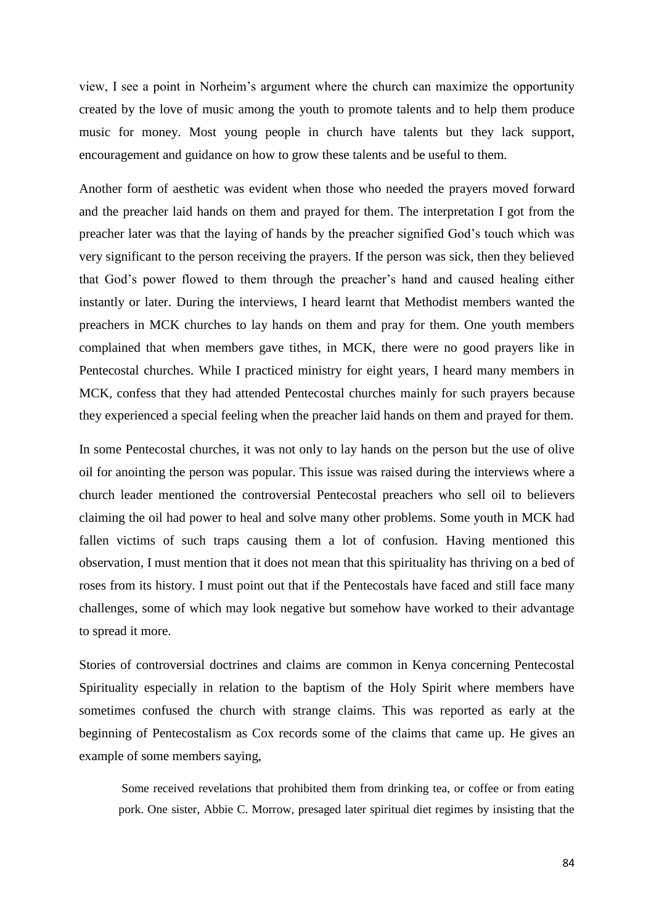view, I see a point in Norheim's argument where the church can maximize the opportunity created by the love of music among the youth to promote talents and to help them produce music for money. Most young people in church have talents but they lack support, encouragement and guidance on how to grow these talents and be useful to them.

Another form of aesthetic was evident when those who needed the prayers moved forward and the preacher laid hands on them and prayed for them. The interpretation I got from the preacher later was that the laying of hands by the preacher signified God's touch which was very significant to the person receiving the prayers. If the person was sick, then they believed that God's power flowed to them through the preacher's hand and caused healing either instantly or later. During the interviews, I heard learnt that Methodist members wanted the preachers in MCK churches to lay hands on them and pray for them. One youth members complained that when members gave tithes, in MCK, there were no good prayers like in Pentecostal churches. While I practiced ministry for eight years, I heard many members in MCK, confess that they had attended Pentecostal churches mainly for such prayers because they experienced a special feeling when the preacher laid hands on them and prayed for them.

In some Pentecostal churches, it was not only to lay hands on the person but the use of olive oil for anointing the person was popular. This issue was raised during the interviews where a church leader mentioned the controversial Pentecostal preachers who sell oil to believers claiming the oil had power to heal and solve many other problems. Some youth in MCK had fallen victims of such traps causing them a lot of confusion. Having mentioned this observation, I must mention that it does not mean that this spirituality has thriving on a bed of roses from its history. I must point out that if the Pentecostals have faced and still face many challenges, some of which may look negative but somehow have worked to their advantage to spread it more.

Stories of controversial doctrines and claims are common in Kenya concerning Pentecostal Spirituality especially in relation to the baptism of the Holy Spirit where members have sometimes confused the church with strange claims. This was reported as early at the beginning of Pentecostalism as Cox records some of the claims that came up. He gives an example of some members saying,

Some received revelations that prohibited them from drinking tea, or coffee or from eating pork. One sister, Abbie C. Morrow, presaged later spiritual diet regimes by insisting that the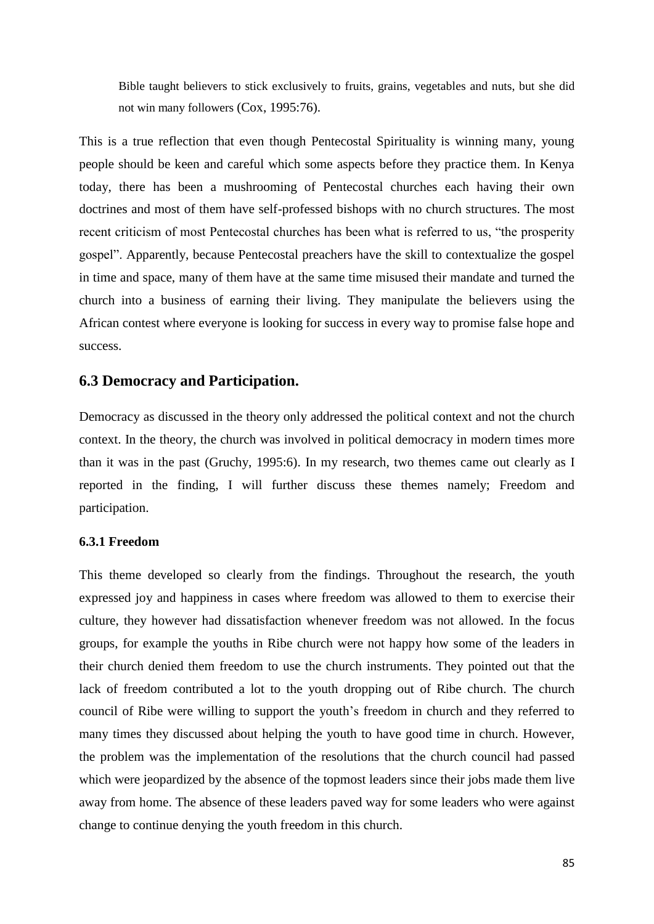Bible taught believers to stick exclusively to fruits, grains, vegetables and nuts, but she did not win many followers (Cox, 1995:76).

This is a true reflection that even though Pentecostal Spirituality is winning many, young people should be keen and careful which some aspects before they practice them. In Kenya today, there has been a mushrooming of Pentecostal churches each having their own doctrines and most of them have self-professed bishops with no church structures. The most recent criticism of most Pentecostal churches has been what is referred to us, "the prosperity gospel". Apparently, because Pentecostal preachers have the skill to contextualize the gospel in time and space, many of them have at the same time misused their mandate and turned the church into a business of earning their living. They manipulate the believers using the African contest where everyone is looking for success in every way to promise false hope and success.

## **6.3 Democracy and Participation.**

Democracy as discussed in the theory only addressed the political context and not the church context. In the theory, the church was involved in political democracy in modern times more than it was in the past (Gruchy, 1995:6). In my research, two themes came out clearly as I reported in the finding, I will further discuss these themes namely; Freedom and participation.

#### **6.3.1 Freedom**

This theme developed so clearly from the findings. Throughout the research, the youth expressed joy and happiness in cases where freedom was allowed to them to exercise their culture, they however had dissatisfaction whenever freedom was not allowed. In the focus groups, for example the youths in Ribe church were not happy how some of the leaders in their church denied them freedom to use the church instruments. They pointed out that the lack of freedom contributed a lot to the youth dropping out of Ribe church. The church council of Ribe were willing to support the youth's freedom in church and they referred to many times they discussed about helping the youth to have good time in church. However, the problem was the implementation of the resolutions that the church council had passed which were jeopardized by the absence of the topmost leaders since their jobs made them live away from home. The absence of these leaders paved way for some leaders who were against change to continue denying the youth freedom in this church.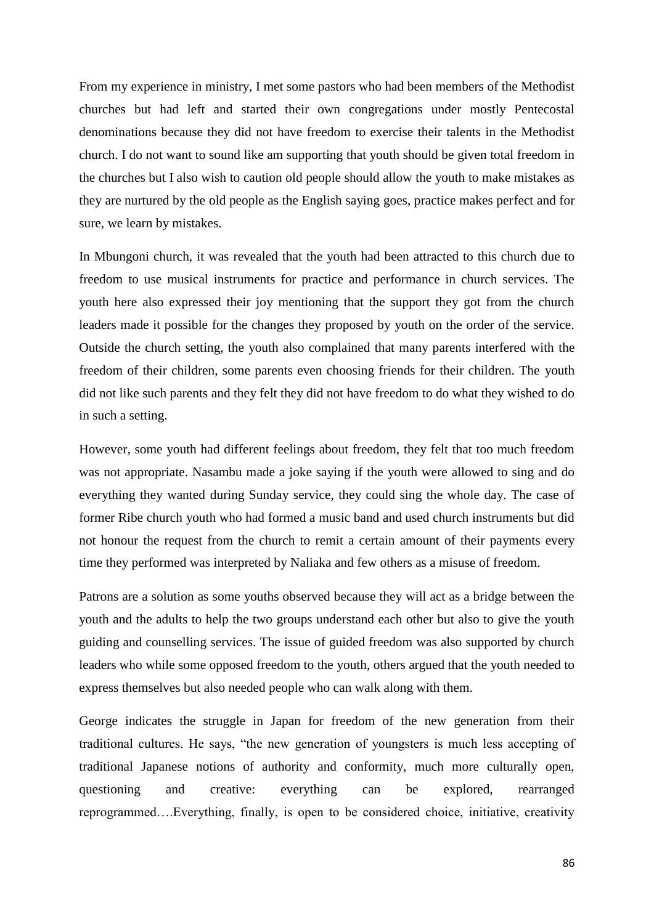From my experience in ministry, I met some pastors who had been members of the Methodist churches but had left and started their own congregations under mostly Pentecostal denominations because they did not have freedom to exercise their talents in the Methodist church. I do not want to sound like am supporting that youth should be given total freedom in the churches but I also wish to caution old people should allow the youth to make mistakes as they are nurtured by the old people as the English saying goes, practice makes perfect and for sure, we learn by mistakes.

In Mbungoni church, it was revealed that the youth had been attracted to this church due to freedom to use musical instruments for practice and performance in church services. The youth here also expressed their joy mentioning that the support they got from the church leaders made it possible for the changes they proposed by youth on the order of the service. Outside the church setting, the youth also complained that many parents interfered with the freedom of their children, some parents even choosing friends for their children. The youth did not like such parents and they felt they did not have freedom to do what they wished to do in such a setting.

However, some youth had different feelings about freedom, they felt that too much freedom was not appropriate. Nasambu made a joke saying if the youth were allowed to sing and do everything they wanted during Sunday service, they could sing the whole day. The case of former Ribe church youth who had formed a music band and used church instruments but did not honour the request from the church to remit a certain amount of their payments every time they performed was interpreted by Naliaka and few others as a misuse of freedom.

Patrons are a solution as some youths observed because they will act as a bridge between the youth and the adults to help the two groups understand each other but also to give the youth guiding and counselling services. The issue of guided freedom was also supported by church leaders who while some opposed freedom to the youth, others argued that the youth needed to express themselves but also needed people who can walk along with them.

George indicates the struggle in Japan for freedom of the new generation from their traditional cultures. He says, "the new generation of youngsters is much less accepting of traditional Japanese notions of authority and conformity, much more culturally open, questioning and creative: everything can be explored, rearranged reprogrammed….Everything, finally, is open to be considered choice, initiative, creativity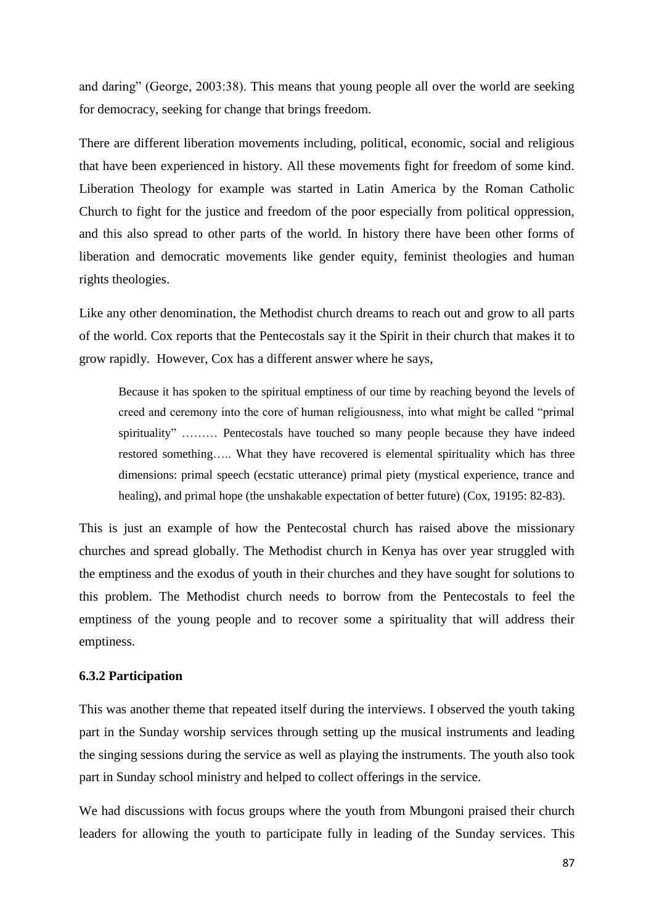and daring" (George, 2003:38). This means that young people all over the world are seeking for democracy, seeking for change that brings freedom.

There are different liberation movements including, political, economic, social and religious that have been experienced in history. All these movements fight for freedom of some kind. Liberation Theology for example was started in Latin America by the Roman Catholic Church to fight for the justice and freedom of the poor especially from political oppression, and this also spread to other parts of the world. In history there have been other forms of liberation and democratic movements like gender equity, feminist theologies and human rights theologies.

Like any other denomination, the Methodist church dreams to reach out and grow to all parts of the world. Cox reports that the Pentecostals say it the Spirit in their church that makes it to grow rapidly. However, Cox has a different answer where he says,

Because it has spoken to the spiritual emptiness of our time by reaching beyond the levels of creed and ceremony into the core of human religiousness, into what might be called "primal spirituality" ……… Pentecostals have touched so many people because they have indeed restored something….. What they have recovered is elemental spirituality which has three dimensions: primal speech (ecstatic utterance) primal piety (mystical experience, trance and healing), and primal hope (the unshakable expectation of better future) (Cox, 19195: 82-83).

This is just an example of how the Pentecostal church has raised above the missionary churches and spread globally. The Methodist church in Kenya has over year struggled with the emptiness and the exodus of youth in their churches and they have sought for solutions to this problem. The Methodist church needs to borrow from the Pentecostals to feel the emptiness of the young people and to recover some a spirituality that will address their emptiness.

#### **6.3.2 Participation**

This was another theme that repeated itself during the interviews. I observed the youth taking part in the Sunday worship services through setting up the musical instruments and leading the singing sessions during the service as well as playing the instruments. The youth also took part in Sunday school ministry and helped to collect offerings in the service.

We had discussions with focus groups where the youth from Mbungoni praised their church leaders for allowing the youth to participate fully in leading of the Sunday services. This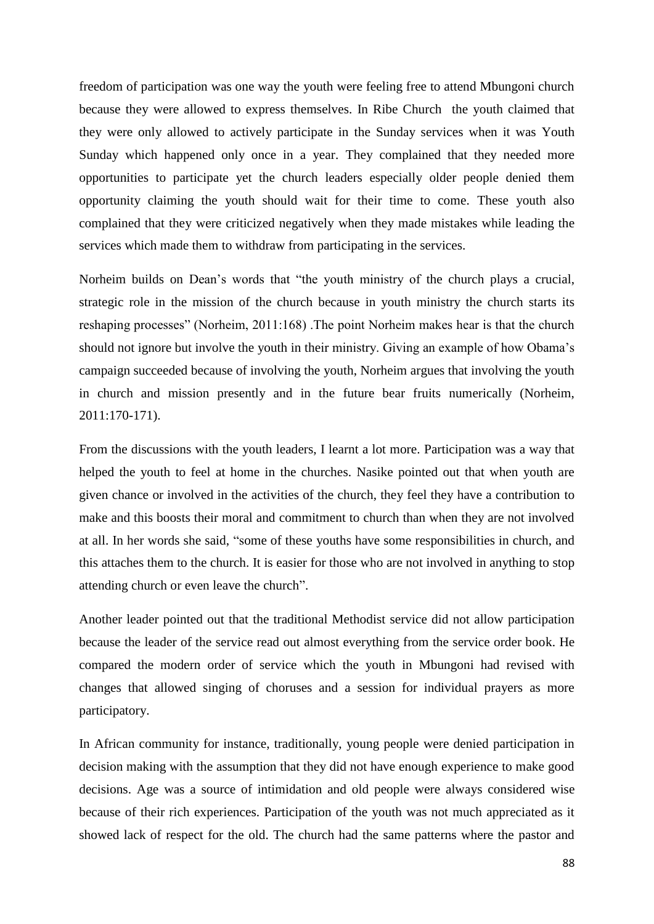freedom of participation was one way the youth were feeling free to attend Mbungoni church because they were allowed to express themselves. In Ribe Church the youth claimed that they were only allowed to actively participate in the Sunday services when it was Youth Sunday which happened only once in a year. They complained that they needed more opportunities to participate yet the church leaders especially older people denied them opportunity claiming the youth should wait for their time to come. These youth also complained that they were criticized negatively when they made mistakes while leading the services which made them to withdraw from participating in the services.

Norheim builds on Dean's words that "the youth ministry of the church plays a crucial, strategic role in the mission of the church because in youth ministry the church starts its reshaping processes" (Norheim, 2011:168) .The point Norheim makes hear is that the church should not ignore but involve the youth in their ministry. Giving an example of how Obama's campaign succeeded because of involving the youth, Norheim argues that involving the youth in church and mission presently and in the future bear fruits numerically (Norheim, 2011:170-171).

From the discussions with the youth leaders, I learnt a lot more. Participation was a way that helped the youth to feel at home in the churches. Nasike pointed out that when youth are given chance or involved in the activities of the church, they feel they have a contribution to make and this boosts their moral and commitment to church than when they are not involved at all. In her words she said, "some of these youths have some responsibilities in church, and this attaches them to the church. It is easier for those who are not involved in anything to stop attending church or even leave the church".

Another leader pointed out that the traditional Methodist service did not allow participation because the leader of the service read out almost everything from the service order book. He compared the modern order of service which the youth in Mbungoni had revised with changes that allowed singing of choruses and a session for individual prayers as more participatory.

In African community for instance, traditionally, young people were denied participation in decision making with the assumption that they did not have enough experience to make good decisions. Age was a source of intimidation and old people were always considered wise because of their rich experiences. Participation of the youth was not much appreciated as it showed lack of respect for the old. The church had the same patterns where the pastor and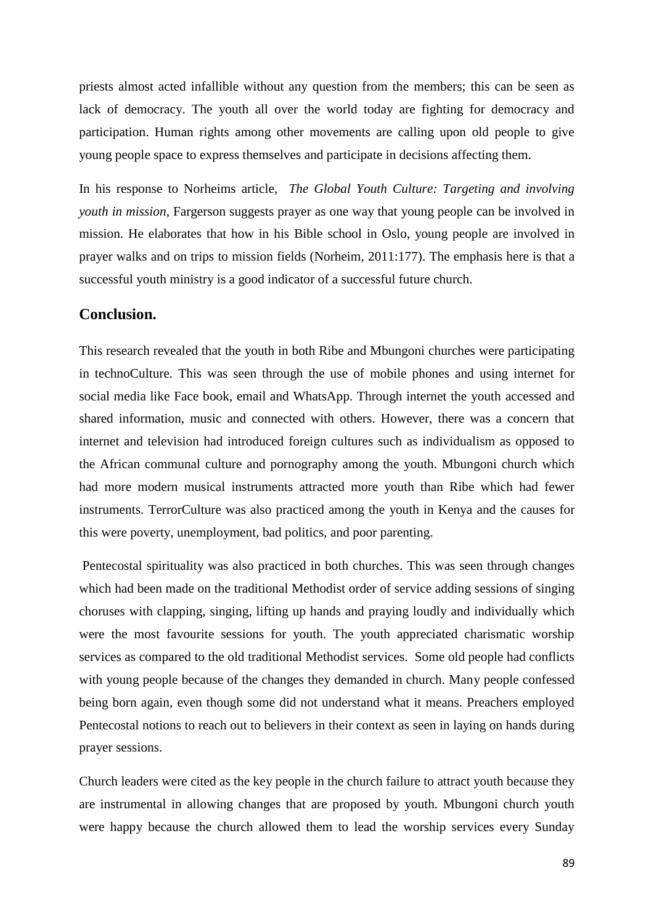priests almost acted infallible without any question from the members; this can be seen as lack of democracy. The youth all over the world today are fighting for democracy and participation. Human rights among other movements are calling upon old people to give young people space to express themselves and participate in decisions affecting them.

In his response to Norheims article*, The Global Youth Culture: Targeting and involving youth in mission,* Fargerson suggests prayer as one way that young people can be involved in mission. He elaborates that how in his Bible school in Oslo, young people are involved in prayer walks and on trips to mission fields (Norheim, 2011:177). The emphasis here is that a successful youth ministry is a good indicator of a successful future church.

## **Conclusion.**

This research revealed that the youth in both Ribe and Mbungoni churches were participating in technoCulture. This was seen through the use of mobile phones and using internet for social media like Face book, email and WhatsApp. Through internet the youth accessed and shared information, music and connected with others. However, there was a concern that internet and television had introduced foreign cultures such as individualism as opposed to the African communal culture and pornography among the youth. Mbungoni church which had more modern musical instruments attracted more youth than Ribe which had fewer instruments. TerrorCulture was also practiced among the youth in Kenya and the causes for this were poverty, unemployment, bad politics, and poor parenting.

Pentecostal spirituality was also practiced in both churches. This was seen through changes which had been made on the traditional Methodist order of service adding sessions of singing choruses with clapping, singing, lifting up hands and praying loudly and individually which were the most favourite sessions for youth. The youth appreciated charismatic worship services as compared to the old traditional Methodist services. Some old people had conflicts with young people because of the changes they demanded in church. Many people confessed being born again, even though some did not understand what it means. Preachers employed Pentecostal notions to reach out to believers in their context as seen in laying on hands during prayer sessions.

Church leaders were cited as the key people in the church failure to attract youth because they are instrumental in allowing changes that are proposed by youth. Mbungoni church youth were happy because the church allowed them to lead the worship services every Sunday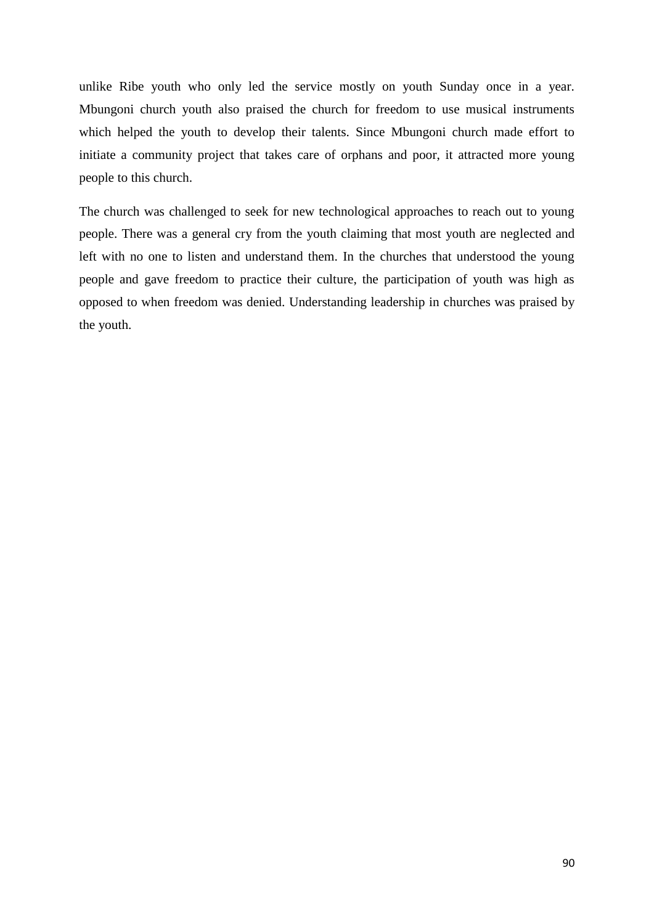unlike Ribe youth who only led the service mostly on youth Sunday once in a year. Mbungoni church youth also praised the church for freedom to use musical instruments which helped the youth to develop their talents. Since Mbungoni church made effort to initiate a community project that takes care of orphans and poor, it attracted more young people to this church.

The church was challenged to seek for new technological approaches to reach out to young people. There was a general cry from the youth claiming that most youth are neglected and left with no one to listen and understand them. In the churches that understood the young people and gave freedom to practice their culture, the participation of youth was high as opposed to when freedom was denied. Understanding leadership in churches was praised by the youth.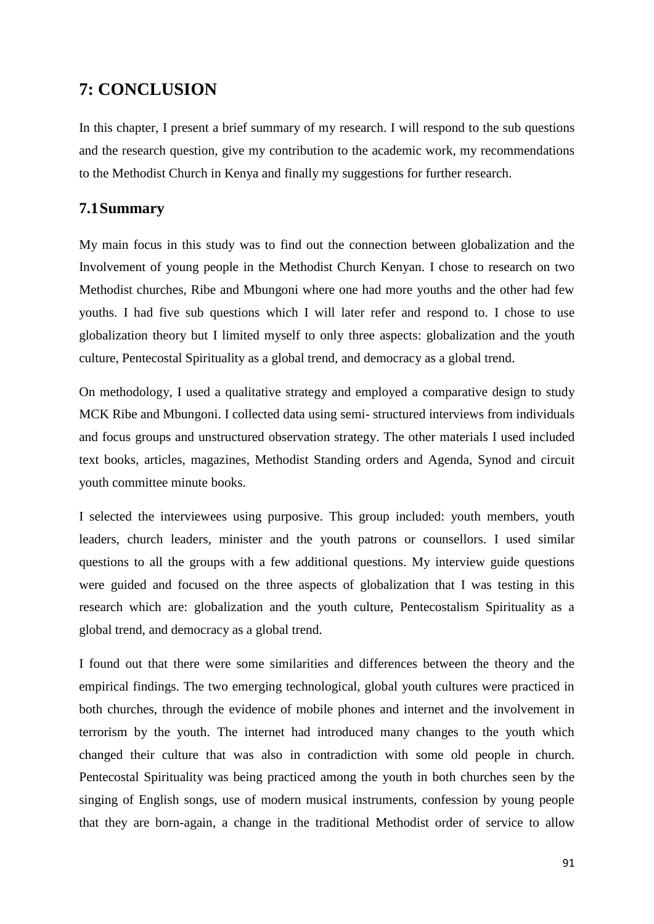# **7: CONCLUSION**

In this chapter, I present a brief summary of my research. I will respond to the sub questions and the research question, give my contribution to the academic work, my recommendations to the Methodist Church in Kenya and finally my suggestions for further research.

## **7.1Summary**

My main focus in this study was to find out the connection between globalization and the Involvement of young people in the Methodist Church Kenyan. I chose to research on two Methodist churches, Ribe and Mbungoni where one had more youths and the other had few youths. I had five sub questions which I will later refer and respond to. I chose to use globalization theory but I limited myself to only three aspects: globalization and the youth culture, Pentecostal Spirituality as a global trend, and democracy as a global trend.

On methodology, I used a qualitative strategy and employed a comparative design to study MCK Ribe and Mbungoni. I collected data using semi- structured interviews from individuals and focus groups and unstructured observation strategy. The other materials I used included text books, articles, magazines, Methodist Standing orders and Agenda, Synod and circuit youth committee minute books.

I selected the interviewees using purposive. This group included: youth members, youth leaders, church leaders, minister and the youth patrons or counsellors. I used similar questions to all the groups with a few additional questions. My interview guide questions were guided and focused on the three aspects of globalization that I was testing in this research which are: globalization and the youth culture, Pentecostalism Spirituality as a global trend, and democracy as a global trend.

I found out that there were some similarities and differences between the theory and the empirical findings. The two emerging technological, global youth cultures were practiced in both churches, through the evidence of mobile phones and internet and the involvement in terrorism by the youth. The internet had introduced many changes to the youth which changed their culture that was also in contradiction with some old people in church. Pentecostal Spirituality was being practiced among the youth in both churches seen by the singing of English songs, use of modern musical instruments, confession by young people that they are born-again, a change in the traditional Methodist order of service to allow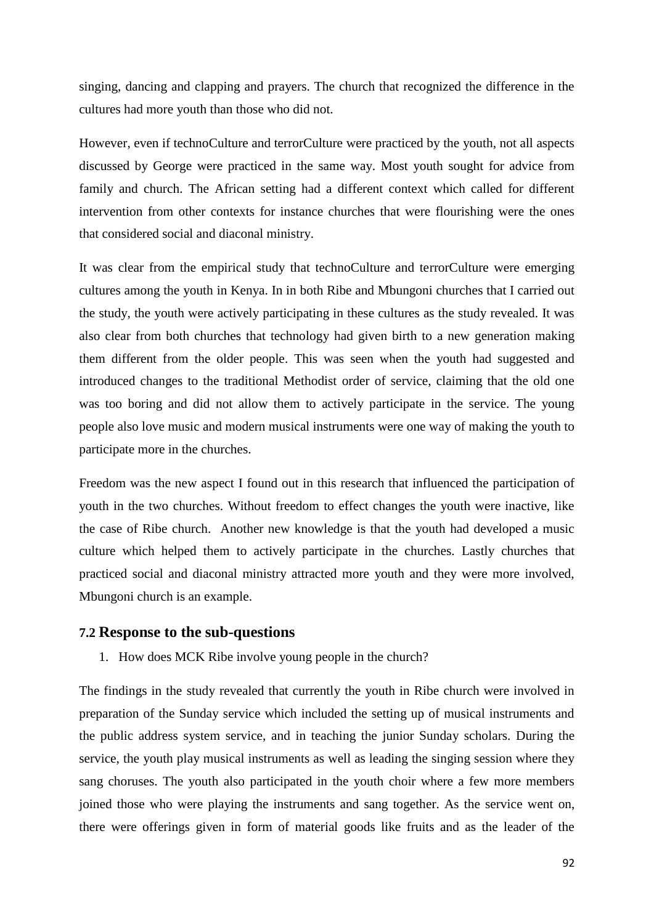singing, dancing and clapping and prayers. The church that recognized the difference in the cultures had more youth than those who did not.

However, even if technoCulture and terrorCulture were practiced by the youth, not all aspects discussed by George were practiced in the same way. Most youth sought for advice from family and church. The African setting had a different context which called for different intervention from other contexts for instance churches that were flourishing were the ones that considered social and diaconal ministry.

It was clear from the empirical study that technoCulture and terrorCulture were emerging cultures among the youth in Kenya. In in both Ribe and Mbungoni churches that I carried out the study, the youth were actively participating in these cultures as the study revealed. It was also clear from both churches that technology had given birth to a new generation making them different from the older people. This was seen when the youth had suggested and introduced changes to the traditional Methodist order of service, claiming that the old one was too boring and did not allow them to actively participate in the service. The young people also love music and modern musical instruments were one way of making the youth to participate more in the churches.

Freedom was the new aspect I found out in this research that influenced the participation of youth in the two churches. Without freedom to effect changes the youth were inactive, like the case of Ribe church. Another new knowledge is that the youth had developed a music culture which helped them to actively participate in the churches. Lastly churches that practiced social and diaconal ministry attracted more youth and they were more involved, Mbungoni church is an example.

## **7.2 Response to the sub-questions**

1. How does MCK Ribe involve young people in the church?

The findings in the study revealed that currently the youth in Ribe church were involved in preparation of the Sunday service which included the setting up of musical instruments and the public address system service, and in teaching the junior Sunday scholars. During the service, the youth play musical instruments as well as leading the singing session where they sang choruses. The youth also participated in the youth choir where a few more members joined those who were playing the instruments and sang together. As the service went on, there were offerings given in form of material goods like fruits and as the leader of the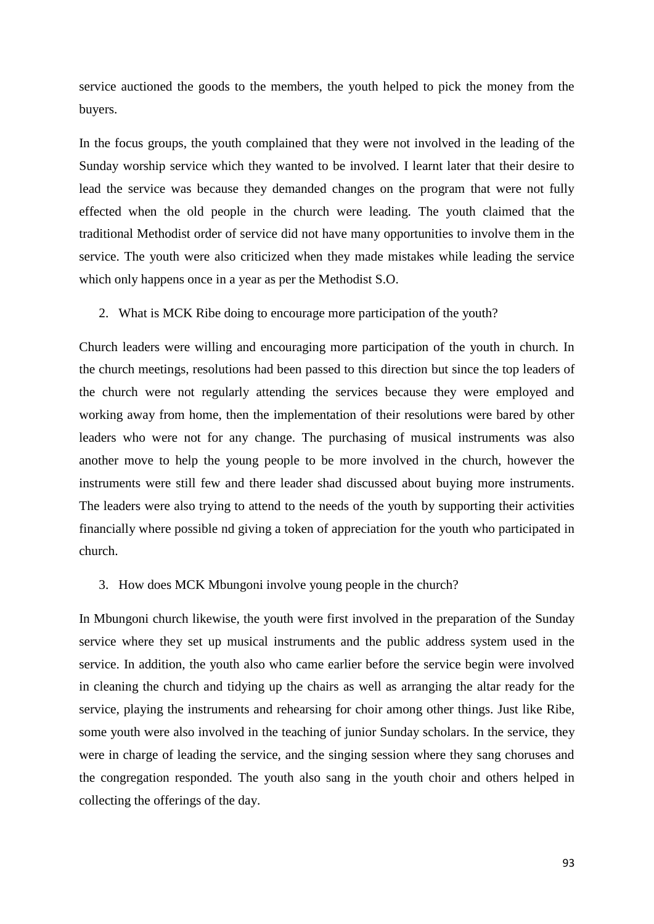service auctioned the goods to the members, the youth helped to pick the money from the buyers.

In the focus groups, the youth complained that they were not involved in the leading of the Sunday worship service which they wanted to be involved. I learnt later that their desire to lead the service was because they demanded changes on the program that were not fully effected when the old people in the church were leading. The youth claimed that the traditional Methodist order of service did not have many opportunities to involve them in the service. The youth were also criticized when they made mistakes while leading the service which only happens once in a year as per the Methodist S.O.

2. What is MCK Ribe doing to encourage more participation of the youth?

Church leaders were willing and encouraging more participation of the youth in church. In the church meetings, resolutions had been passed to this direction but since the top leaders of the church were not regularly attending the services because they were employed and working away from home, then the implementation of their resolutions were bared by other leaders who were not for any change. The purchasing of musical instruments was also another move to help the young people to be more involved in the church, however the instruments were still few and there leader shad discussed about buying more instruments. The leaders were also trying to attend to the needs of the youth by supporting their activities financially where possible nd giving a token of appreciation for the youth who participated in church.

3. How does MCK Mbungoni involve young people in the church?

In Mbungoni church likewise, the youth were first involved in the preparation of the Sunday service where they set up musical instruments and the public address system used in the service. In addition, the youth also who came earlier before the service begin were involved in cleaning the church and tidying up the chairs as well as arranging the altar ready for the service, playing the instruments and rehearsing for choir among other things. Just like Ribe, some youth were also involved in the teaching of junior Sunday scholars. In the service, they were in charge of leading the service, and the singing session where they sang choruses and the congregation responded. The youth also sang in the youth choir and others helped in collecting the offerings of the day.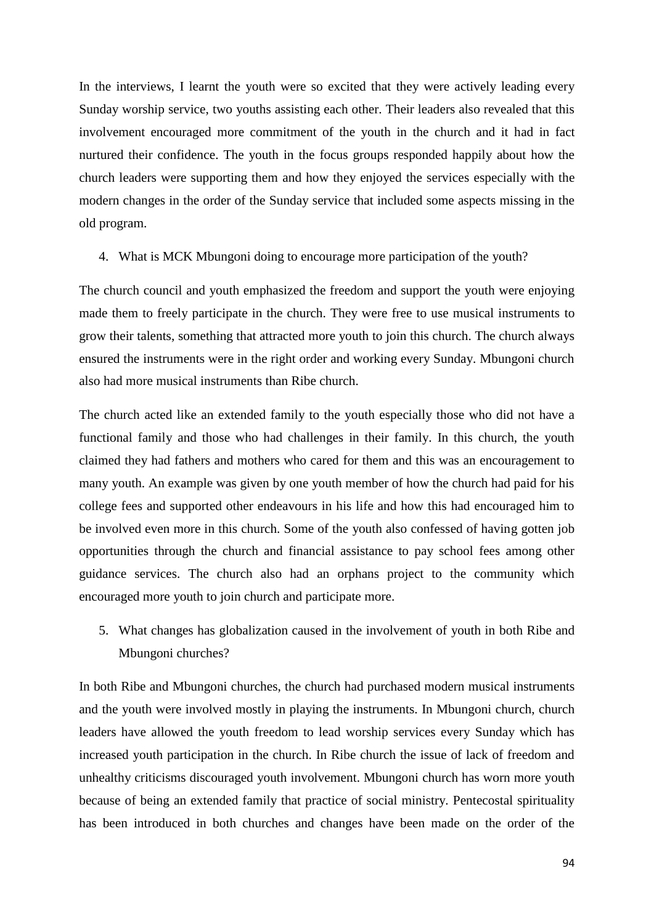In the interviews, I learnt the youth were so excited that they were actively leading every Sunday worship service, two youths assisting each other. Their leaders also revealed that this involvement encouraged more commitment of the youth in the church and it had in fact nurtured their confidence. The youth in the focus groups responded happily about how the church leaders were supporting them and how they enjoyed the services especially with the modern changes in the order of the Sunday service that included some aspects missing in the old program.

4. What is MCK Mbungoni doing to encourage more participation of the youth?

The church council and youth emphasized the freedom and support the youth were enjoying made them to freely participate in the church. They were free to use musical instruments to grow their talents, something that attracted more youth to join this church. The church always ensured the instruments were in the right order and working every Sunday. Mbungoni church also had more musical instruments than Ribe church.

The church acted like an extended family to the youth especially those who did not have a functional family and those who had challenges in their family. In this church, the youth claimed they had fathers and mothers who cared for them and this was an encouragement to many youth. An example was given by one youth member of how the church had paid for his college fees and supported other endeavours in his life and how this had encouraged him to be involved even more in this church. Some of the youth also confessed of having gotten job opportunities through the church and financial assistance to pay school fees among other guidance services. The church also had an orphans project to the community which encouraged more youth to join church and participate more.

5. What changes has globalization caused in the involvement of youth in both Ribe and Mbungoni churches?

In both Ribe and Mbungoni churches, the church had purchased modern musical instruments and the youth were involved mostly in playing the instruments. In Mbungoni church, church leaders have allowed the youth freedom to lead worship services every Sunday which has increased youth participation in the church. In Ribe church the issue of lack of freedom and unhealthy criticisms discouraged youth involvement. Mbungoni church has worn more youth because of being an extended family that practice of social ministry. Pentecostal spirituality has been introduced in both churches and changes have been made on the order of the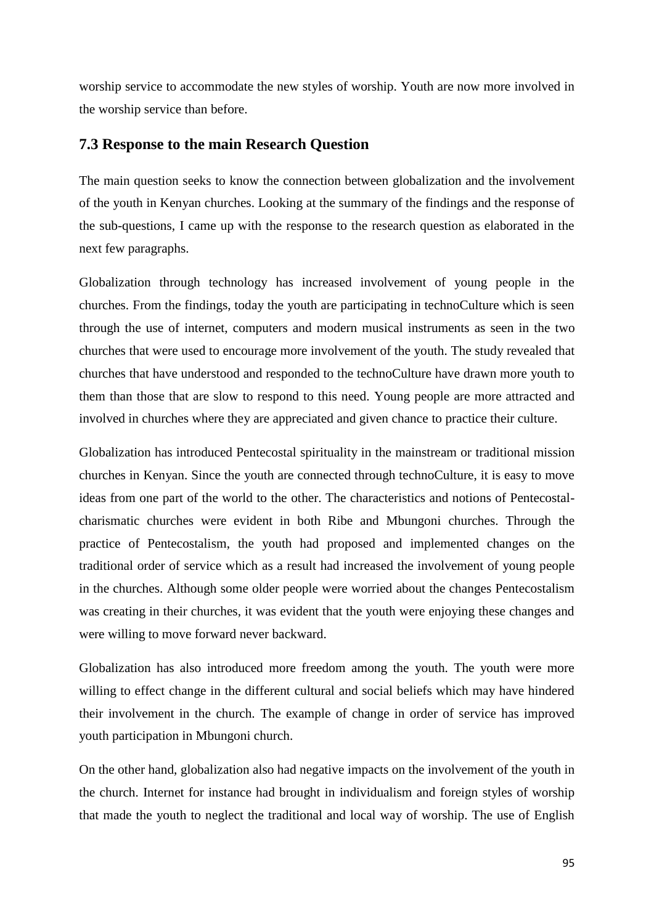worship service to accommodate the new styles of worship. Youth are now more involved in the worship service than before.

## **7.3 Response to the main Research Question**

The main question seeks to know the connection between globalization and the involvement of the youth in Kenyan churches. Looking at the summary of the findings and the response of the sub-questions, I came up with the response to the research question as elaborated in the next few paragraphs.

Globalization through technology has increased involvement of young people in the churches. From the findings, today the youth are participating in technoCulture which is seen through the use of internet, computers and modern musical instruments as seen in the two churches that were used to encourage more involvement of the youth. The study revealed that churches that have understood and responded to the technoCulture have drawn more youth to them than those that are slow to respond to this need. Young people are more attracted and involved in churches where they are appreciated and given chance to practice their culture.

Globalization has introduced Pentecostal spirituality in the mainstream or traditional mission churches in Kenyan. Since the youth are connected through technoCulture, it is easy to move ideas from one part of the world to the other. The characteristics and notions of Pentecostalcharismatic churches were evident in both Ribe and Mbungoni churches. Through the practice of Pentecostalism, the youth had proposed and implemented changes on the traditional order of service which as a result had increased the involvement of young people in the churches. Although some older people were worried about the changes Pentecostalism was creating in their churches, it was evident that the youth were enjoying these changes and were willing to move forward never backward.

Globalization has also introduced more freedom among the youth. The youth were more willing to effect change in the different cultural and social beliefs which may have hindered their involvement in the church. The example of change in order of service has improved youth participation in Mbungoni church.

On the other hand, globalization also had negative impacts on the involvement of the youth in the church. Internet for instance had brought in individualism and foreign styles of worship that made the youth to neglect the traditional and local way of worship. The use of English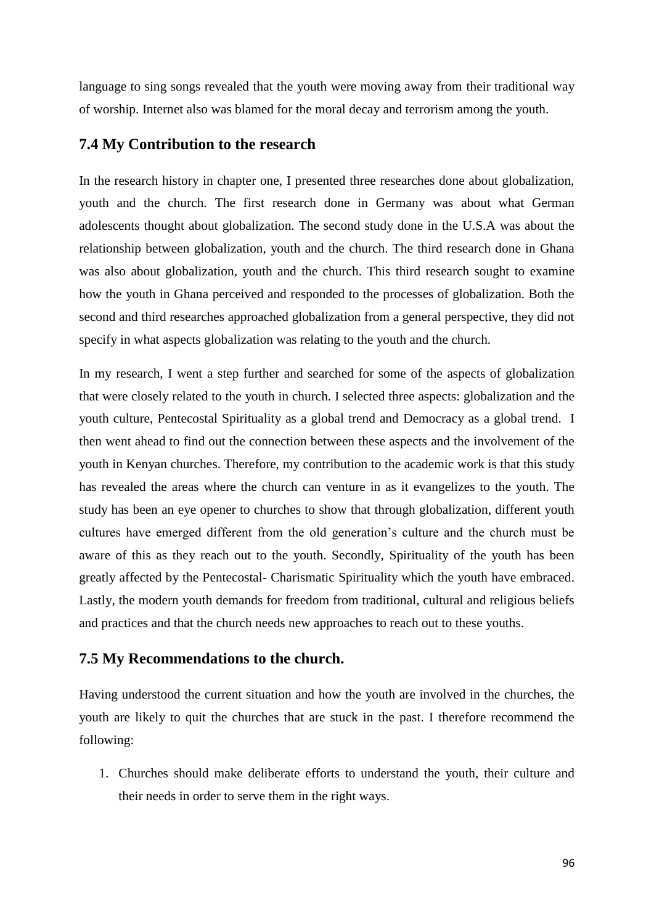language to sing songs revealed that the youth were moving away from their traditional way of worship. Internet also was blamed for the moral decay and terrorism among the youth.

## **7.4 My Contribution to the research**

In the research history in chapter one, I presented three researches done about globalization, youth and the church. The first research done in Germany was about what German adolescents thought about globalization. The second study done in the U.S.A was about the relationship between globalization, youth and the church. The third research done in Ghana was also about globalization, youth and the church. This third research sought to examine how the youth in Ghana perceived and responded to the processes of globalization. Both the second and third researches approached globalization from a general perspective, they did not specify in what aspects globalization was relating to the youth and the church.

In my research, I went a step further and searched for some of the aspects of globalization that were closely related to the youth in church. I selected three aspects: globalization and the youth culture, Pentecostal Spirituality as a global trend and Democracy as a global trend. I then went ahead to find out the connection between these aspects and the involvement of the youth in Kenyan churches. Therefore, my contribution to the academic work is that this study has revealed the areas where the church can venture in as it evangelizes to the youth. The study has been an eye opener to churches to show that through globalization, different youth cultures have emerged different from the old generation's culture and the church must be aware of this as they reach out to the youth. Secondly, Spirituality of the youth has been greatly affected by the Pentecostal- Charismatic Spirituality which the youth have embraced. Lastly, the modern youth demands for freedom from traditional, cultural and religious beliefs and practices and that the church needs new approaches to reach out to these youths.

## **7.5 My Recommendations to the church.**

Having understood the current situation and how the youth are involved in the churches, the youth are likely to quit the churches that are stuck in the past. I therefore recommend the following:

1. Churches should make deliberate efforts to understand the youth, their culture and their needs in order to serve them in the right ways.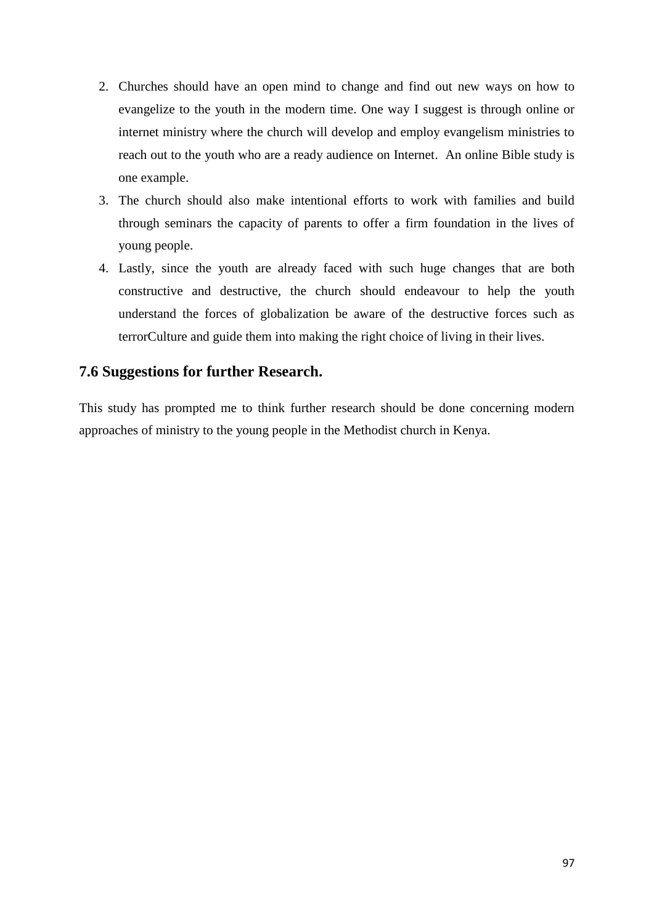- 2. Churches should have an open mind to change and find out new ways on how to evangelize to the youth in the modern time. One way I suggest is through online or internet ministry where the church will develop and employ evangelism ministries to reach out to the youth who are a ready audience on Internet. An online Bible study is one example.
- 3. The church should also make intentional efforts to work with families and build through seminars the capacity of parents to offer a firm foundation in the lives of young people.
- 4. Lastly, since the youth are already faced with such huge changes that are both constructive and destructive, the church should endeavour to help the youth understand the forces of globalization be aware of the destructive forces such as terrorCulture and guide them into making the right choice of living in their lives.

## **7.6 Suggestions for further Research.**

This study has prompted me to think further research should be done concerning modern approaches of ministry to the young people in the Methodist church in Kenya.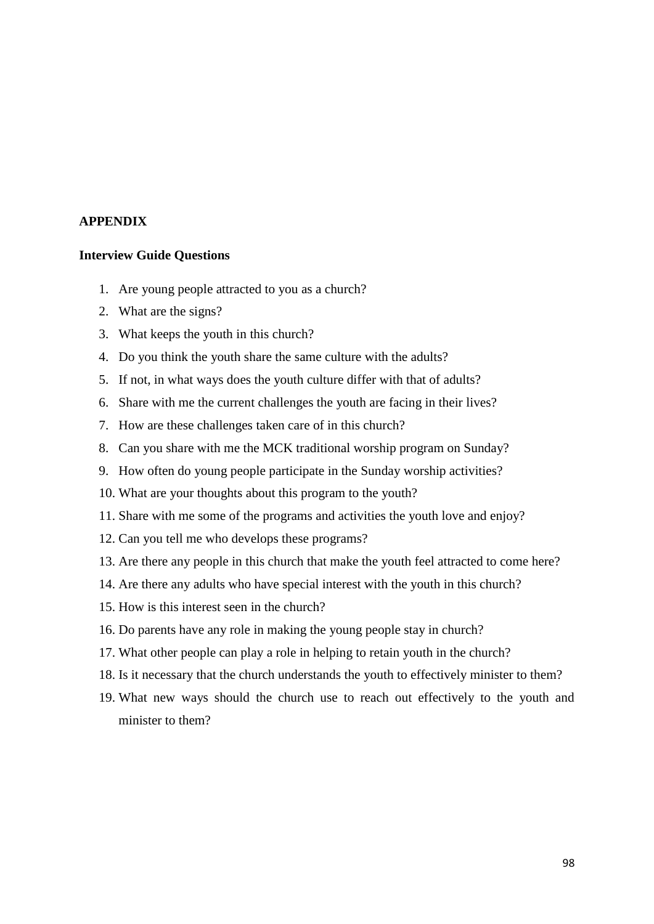## **APPENDIX**

#### **Interview Guide Questions**

- 1. Are young people attracted to you as a church?
- 2. What are the signs?
- 3. What keeps the youth in this church?
- 4. Do you think the youth share the same culture with the adults?
- 5. If not, in what ways does the youth culture differ with that of adults?
- 6. Share with me the current challenges the youth are facing in their lives?
- 7. How are these challenges taken care of in this church?
- 8. Can you share with me the MCK traditional worship program on Sunday?
- 9. How often do young people participate in the Sunday worship activities?
- 10. What are your thoughts about this program to the youth?
- 11. Share with me some of the programs and activities the youth love and enjoy?
- 12. Can you tell me who develops these programs?
- 13. Are there any people in this church that make the youth feel attracted to come here?
- 14. Are there any adults who have special interest with the youth in this church?
- 15. How is this interest seen in the church?
- 16. Do parents have any role in making the young people stay in church?
- 17. What other people can play a role in helping to retain youth in the church?
- 18. Is it necessary that the church understands the youth to effectively minister to them?
- 19. What new ways should the church use to reach out effectively to the youth and minister to them?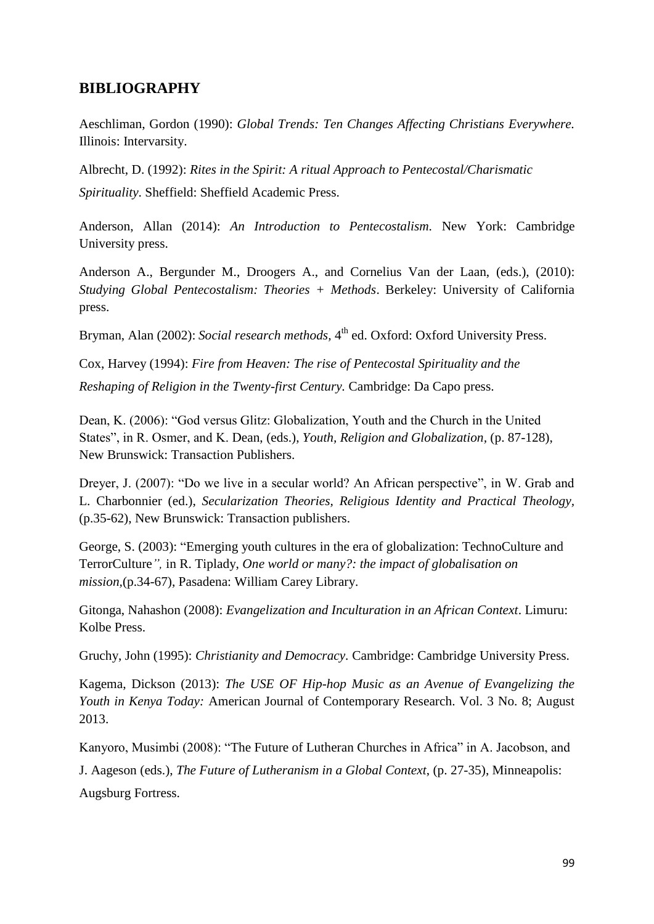## **BIBLIOGRAPHY**

Aeschliman, Gordon (1990): *Global Trends: Ten Changes Affecting Christians Everywhere.*  Illinois: Intervarsity.

Albrecht, D. (1992): *Rites in the Spirit: A ritual Approach to Pentecostal/Charismatic Spirituality*. Sheffield: Sheffield Academic Press.

Anderson, Allan (2014): *An Introduction to Pentecostalism.* New York: Cambridge University press.

Anderson A., Bergunder M., Droogers A., and Cornelius Van der Laan, (eds.), (2010): *Studying Global Pentecostalism: Theories + Methods*. Berkeley: University of California press.

Bryman, Alan (2002): *Social research methods*, 4<sup>th</sup> ed. Oxford: Oxford University Press.

Cox, Harvey (1994): *Fire from Heaven: The rise of Pentecostal Spirituality and the Reshaping of Religion in the Twenty-first Century.* Cambridge: Da Capo press.

Dean, K. (2006): "God versus Glitz: Globalization, Youth and the Church in the United States", in R. Osmer, and K. Dean, (eds.), *Youth, Religion and Globalization,* (p. 87-128), New Brunswick: Transaction Publishers.

Dreyer, J. (2007): "Do we live in a secular world? An African perspective", in W. Grab and L. Charbonnier (ed.), *Secularization Theories, Religious Identity and Practical Theology,* (p.35-62), New Brunswick: Transaction publishers.

George, S. (2003): "Emerging youth cultures in the era of globalization: TechnoCulture and TerrorCulture*",* in R. Tiplady, *One world or many?: the impact of globalisation on mission,*(p.34-67), Pasadena: William Carey Library.

Gitonga, Nahashon (2008): *Evangelization and Inculturation in an African Context*. Limuru: Kolbe Press.

Gruchy, John (1995): *Christianity and Democracy.* Cambridge: Cambridge University Press.

Kagema, Dickson (2013): *The USE OF Hip-hop Music as an Avenue of Evangelizing the Youth in Kenya Today:* American Journal of Contemporary Research. Vol. 3 No. 8; August 2013.

Kanyoro, Musimbi (2008): "The Future of Lutheran Churches in Africa" in A. Jacobson, and

J. Aageson (eds.), *The Future of Lutheranism in a Global Context*, (p. 27-35), Minneapolis:

Augsburg Fortress.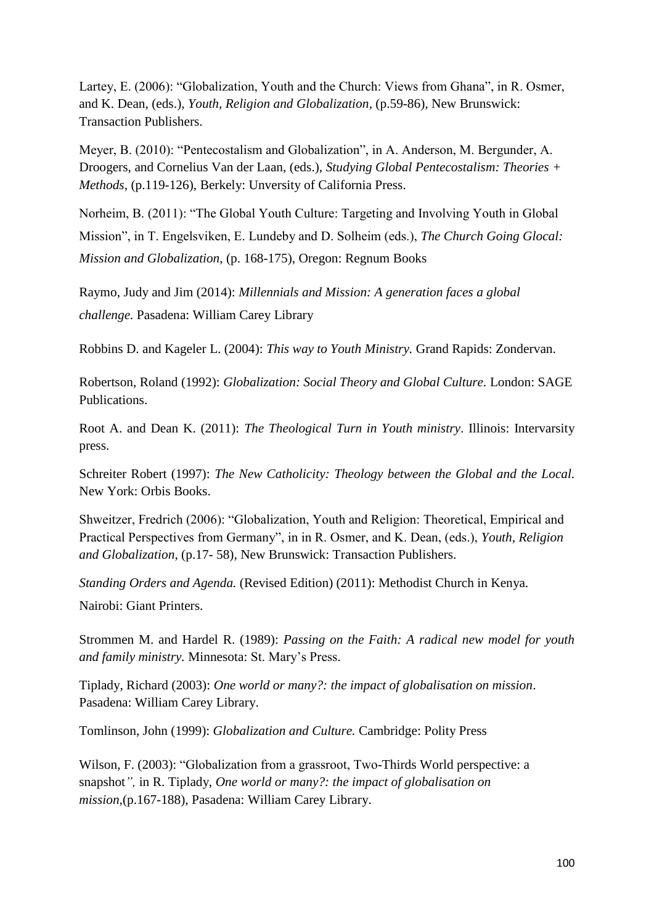Lartey, E. (2006): "Globalization, Youth and the Church: Views from Ghana", in R. Osmer, and K. Dean, (eds.), *Youth, Religion and Globalization,* (p.59-86)*,* New Brunswick: Transaction Publishers.

Meyer, B. (2010): "Pentecostalism and Globalization", in A. Anderson, M. Bergunder, A. Droogers, and Cornelius Van der Laan, (eds.), *Studying Global Pentecostalism: Theories + Methods*, (p.119-126), Berkely: Unversity of California Press.

Norheim, B. (2011): "The Global Youth Culture: Targeting and Involving Youth in Global

Mission", in T. Engelsviken, E. Lundeby and D. Solheim (eds.), *The Church Going Glocal: Mission and Globalization*, (p. 168-175), Oregon: Regnum Books

Raymo, Judy and Jim (2014): *Millennials and Mission: A generation faces a global challenge.* Pasadena: William Carey Library

Robbins D. and Kageler L. (2004): *This way to Youth Ministry.* Grand Rapids: Zondervan.

Robertson, Roland (1992): *Globalization: Social Theory and Global Culture.* London: SAGE Publications.

Root A. and Dean K. (2011): *The Theological Turn in Youth ministry*. Illinois: Intervarsity press.

Schreiter Robert (1997): *The New Catholicity: Theology between the Global and the Local.*  New York: Orbis Books.

Shweitzer, Fredrich (2006): "Globalization, Youth and Religion: Theoretical, Empirical and Practical Perspectives from Germany", in in R. Osmer, and K. Dean, (eds.), *Youth, Religion and Globalization,* (p.17- 58)*,* New Brunswick: Transaction Publishers.

*Standing Orders and Agenda.* (Revised Edition) (2011): Methodist Church in Kenya.

Nairobi: Giant Printers.

Strommen M. and Hardel R. (1989): *Passing on the Faith: A radical new model for youth and family ministry.* Minnesota: St. Mary's Press.

Tiplady, Richard (2003): *One world or many?: the impact of globalisation on mission*. Pasadena: William Carey Library.

Tomlinson, John (1999): *Globalization and Culture.* Cambridge: Polity Press

Wilson, F. (2003): "Globalization from a grassroot, Two-Thirds World perspective: a snapshot*",* in R. Tiplady, *One world or many?: the impact of globalisation on mission,*(p.167-188), Pasadena: William Carey Library.